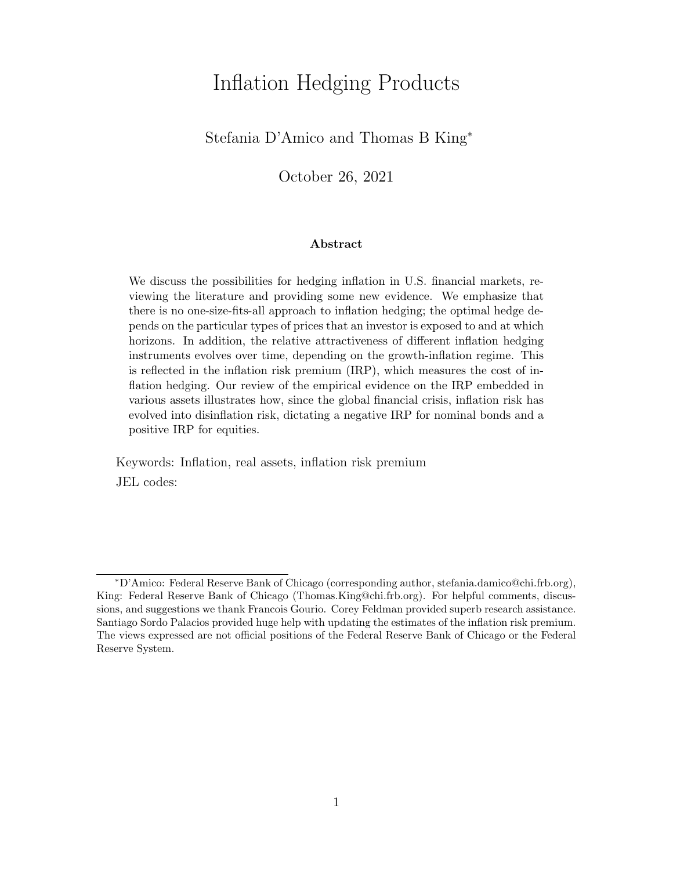# Inflation Hedging Products

## Stefania D'Amico and Thomas B King<sup>∗</sup>

October 26, 2021

#### Abstract

We discuss the possibilities for hedging inflation in U.S. financial markets, reviewing the literature and providing some new evidence. We emphasize that there is no one-size-fits-all approach to inflation hedging; the optimal hedge depends on the particular types of prices that an investor is exposed to and at which horizons. In addition, the relative attractiveness of different inflation hedging instruments evolves over time, depending on the growth-inflation regime. This is reflected in the inflation risk premium (IRP), which measures the cost of inflation hedging. Our review of the empirical evidence on the IRP embedded in various assets illustrates how, since the global financial crisis, inflation risk has evolved into disinflation risk, dictating a negative IRP for nominal bonds and a positive IRP for equities.

Keywords: Inflation, real assets, inflation risk premium JEL codes:

<sup>∗</sup>D'Amico: Federal Reserve Bank of Chicago (corresponding author, stefania.damico@chi.frb.org), King: Federal Reserve Bank of Chicago (Thomas.King@chi.frb.org). For helpful comments, discussions, and suggestions we thank Francois Gourio. Corey Feldman provided superb research assistance. Santiago Sordo Palacios provided huge help with updating the estimates of the inflation risk premium. The views expressed are not official positions of the Federal Reserve Bank of Chicago or the Federal Reserve System.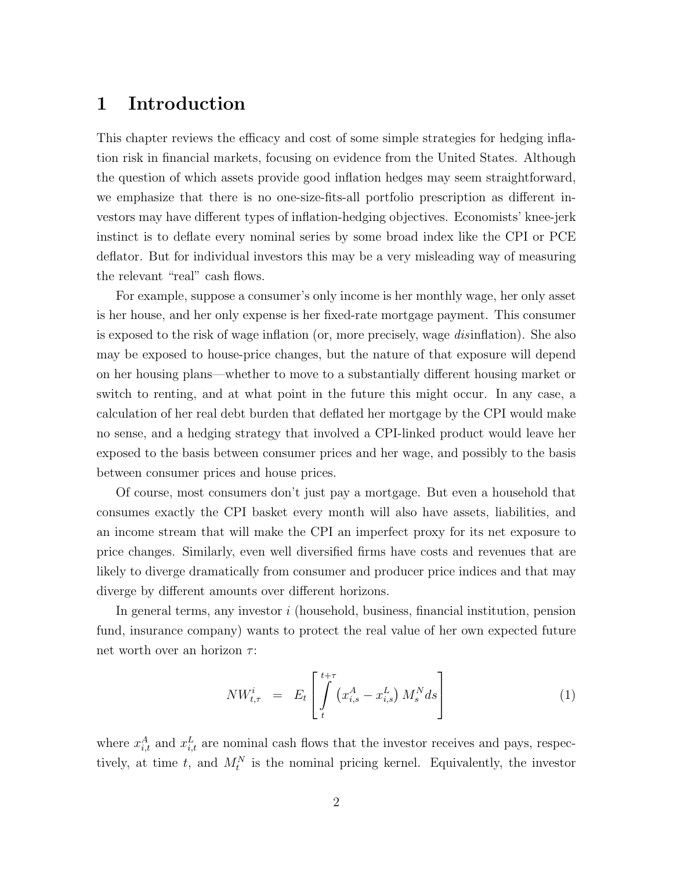# 1 Introduction

This chapter reviews the efficacy and cost of some simple strategies for hedging inflation risk in financial markets, focusing on evidence from the United States. Although the question of which assets provide good inflation hedges may seem straightforward, we emphasize that there is no one-size-fits-all portfolio prescription as different investors may have different types of inflation-hedging objectives. Economists' knee-jerk instinct is to deflate every nominal series by some broad index like the CPI or PCE deflator. But for individual investors this may be a very misleading way of measuring the relevant "real" cash flows.

For example, suppose a consumer's only income is her monthly wage, her only asset is her house, and her only expense is her fixed-rate mortgage payment. This consumer is exposed to the risk of wage inflation (or, more precisely, wage disinflation). She also may be exposed to house-price changes, but the nature of that exposure will depend on her housing plans—whether to move to a substantially different housing market or switch to renting, and at what point in the future this might occur. In any case, a calculation of her real debt burden that deflated her mortgage by the CPI would make no sense, and a hedging strategy that involved a CPI-linked product would leave her exposed to the basis between consumer prices and her wage, and possibly to the basis between consumer prices and house prices.

Of course, most consumers don't just pay a mortgage. But even a household that consumes exactly the CPI basket every month will also have assets, liabilities, and an income stream that will make the CPI an imperfect proxy for its net exposure to price changes. Similarly, even well diversified firms have costs and revenues that are likely to diverge dramatically from consumer and producer price indices and that may diverge by different amounts over different horizons.

In general terms, any investor i (household, business, financial institution, pension fund, insurance company) wants to protect the real value of her own expected future net worth over an horizon  $\tau$ :

$$
NW_{t,\tau}^{i} = E_{t} \left[ \int_{t}^{t+\tau} \left( x_{i,s}^{A} - x_{i,s}^{L} \right) M_{s}^{N} ds \right]
$$
 (1)

where  $x_{i,t}^A$  and  $x_{i,t}^L$  are nominal cash flows that the investor receives and pays, respectively, at time t, and  $M_t^N$  is the nominal pricing kernel. Equivalently, the investor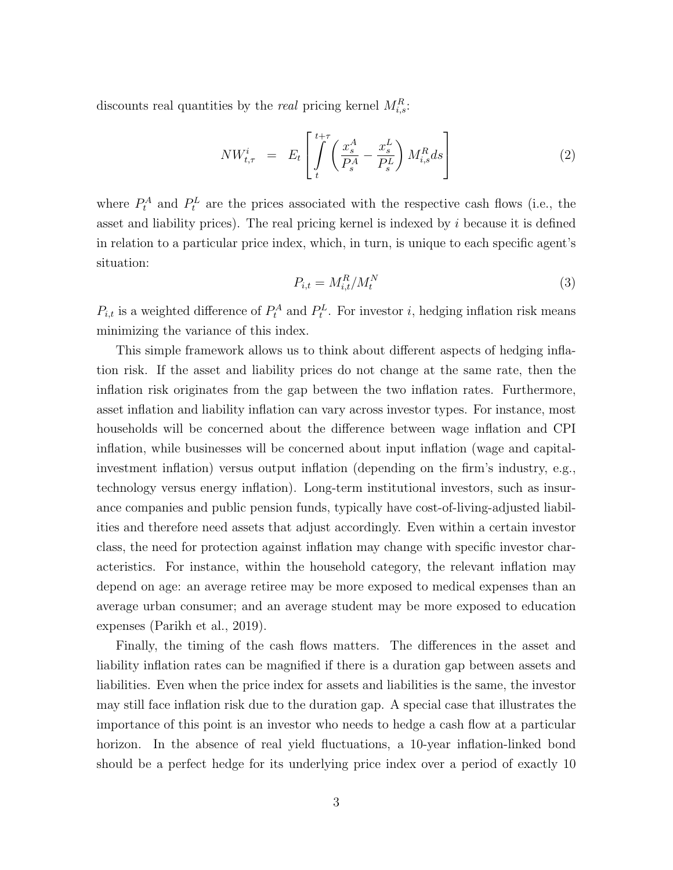discounts real quantities by the *real* pricing kernel  $M_{i,s}^R$ :

$$
NW_{t,\tau}^{i} = E_{t} \left[ \int_{t}^{t+\tau} \left( \frac{x_{s}^{A}}{P_{s}^{A}} - \frac{x_{s}^{L}}{P_{s}^{L}} \right) M_{i,s}^{R} ds \right]
$$
(2)

where  $P_t^A$  and  $P_t^L$  are the prices associated with the respective cash flows (i.e., the asset and liability prices). The real pricing kernel is indexed by  $i$  because it is defined in relation to a particular price index, which, in turn, is unique to each specific agent's situation:

$$
P_{i,t} = M_{i,t}^R / M_t^N \tag{3}
$$

 $P_{i,t}$  is a weighted difference of  $P_t^A$  and  $P_t^L$ . For investor i, hedging inflation risk means minimizing the variance of this index.

This simple framework allows us to think about different aspects of hedging inflation risk. If the asset and liability prices do not change at the same rate, then the inflation risk originates from the gap between the two inflation rates. Furthermore, asset inflation and liability inflation can vary across investor types. For instance, most households will be concerned about the difference between wage inflation and CPI inflation, while businesses will be concerned about input inflation (wage and capitalinvestment inflation) versus output inflation (depending on the firm's industry, e.g., technology versus energy inflation). Long-term institutional investors, such as insurance companies and public pension funds, typically have cost-of-living-adjusted liabilities and therefore need assets that adjust accordingly. Even within a certain investor class, the need for protection against inflation may change with specific investor characteristics. For instance, within the household category, the relevant inflation may depend on age: an average retiree may be more exposed to medical expenses than an average urban consumer; and an average student may be more exposed to education expenses (Parikh et al., 2019).

Finally, the timing of the cash flows matters. The differences in the asset and liability inflation rates can be magnified if there is a duration gap between assets and liabilities. Even when the price index for assets and liabilities is the same, the investor may still face inflation risk due to the duration gap. A special case that illustrates the importance of this point is an investor who needs to hedge a cash flow at a particular horizon. In the absence of real yield fluctuations, a 10-year inflation-linked bond should be a perfect hedge for its underlying price index over a period of exactly 10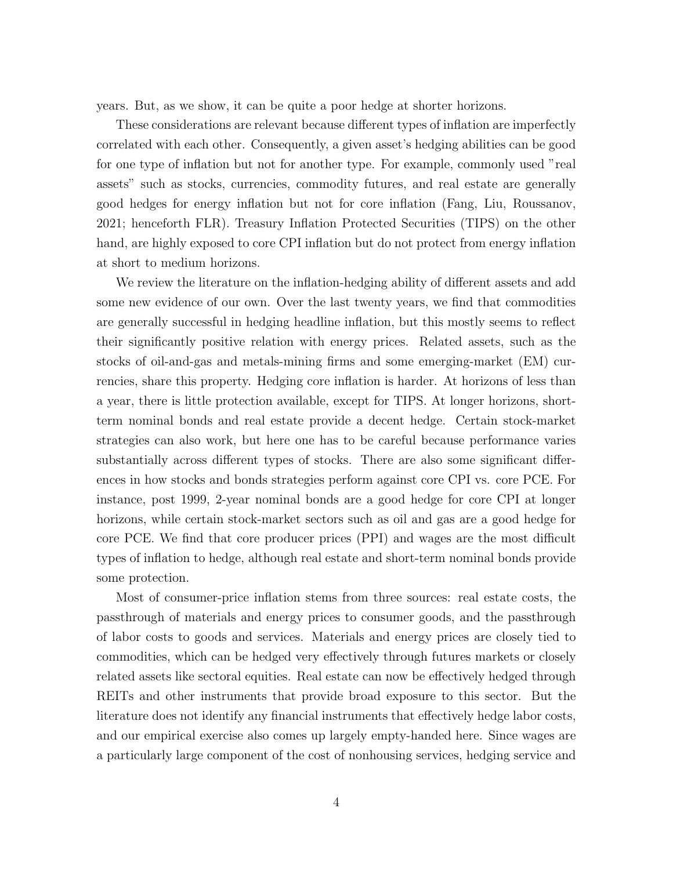years. But, as we show, it can be quite a poor hedge at shorter horizons.

These considerations are relevant because different types of inflation are imperfectly correlated with each other. Consequently, a given asset's hedging abilities can be good for one type of inflation but not for another type. For example, commonly used "real assets" such as stocks, currencies, commodity futures, and real estate are generally good hedges for energy inflation but not for core inflation (Fang, Liu, Roussanov, 2021; henceforth FLR). Treasury Inflation Protected Securities (TIPS) on the other hand, are highly exposed to core CPI inflation but do not protect from energy inflation at short to medium horizons.

We review the literature on the inflation-hedging ability of different assets and add some new evidence of our own. Over the last twenty years, we find that commodities are generally successful in hedging headline inflation, but this mostly seems to reflect their significantly positive relation with energy prices. Related assets, such as the stocks of oil-and-gas and metals-mining firms and some emerging-market (EM) currencies, share this property. Hedging core inflation is harder. At horizons of less than a year, there is little protection available, except for TIPS. At longer horizons, shortterm nominal bonds and real estate provide a decent hedge. Certain stock-market strategies can also work, but here one has to be careful because performance varies substantially across different types of stocks. There are also some significant differences in how stocks and bonds strategies perform against core CPI vs. core PCE. For instance, post 1999, 2-year nominal bonds are a good hedge for core CPI at longer horizons, while certain stock-market sectors such as oil and gas are a good hedge for core PCE. We find that core producer prices (PPI) and wages are the most difficult types of inflation to hedge, although real estate and short-term nominal bonds provide some protection.

Most of consumer-price inflation stems from three sources: real estate costs, the passthrough of materials and energy prices to consumer goods, and the passthrough of labor costs to goods and services. Materials and energy prices are closely tied to commodities, which can be hedged very effectively through futures markets or closely related assets like sectoral equities. Real estate can now be effectively hedged through REITs and other instruments that provide broad exposure to this sector. But the literature does not identify any financial instruments that effectively hedge labor costs, and our empirical exercise also comes up largely empty-handed here. Since wages are a particularly large component of the cost of nonhousing services, hedging service and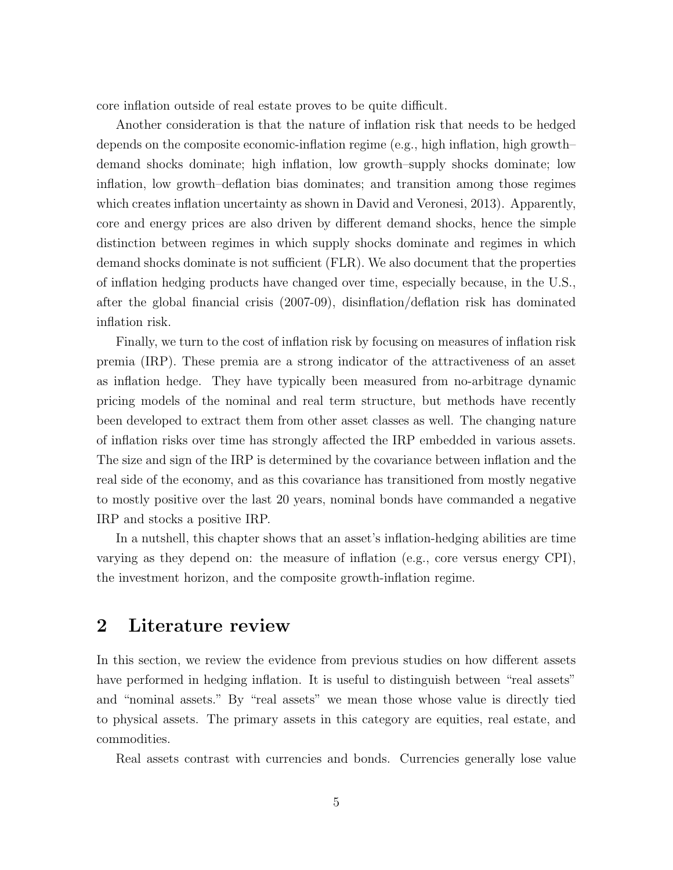core inflation outside of real estate proves to be quite difficult.

Another consideration is that the nature of inflation risk that needs to be hedged depends on the composite economic-inflation regime (e.g., high inflation, high growth– demand shocks dominate; high inflation, low growth–supply shocks dominate; low inflation, low growth–deflation bias dominates; and transition among those regimes which creates inflation uncertainty as shown in David and Veronesi, 2013). Apparently, core and energy prices are also driven by different demand shocks, hence the simple distinction between regimes in which supply shocks dominate and regimes in which demand shocks dominate is not sufficient (FLR). We also document that the properties of inflation hedging products have changed over time, especially because, in the U.S., after the global financial crisis (2007-09), disinflation/deflation risk has dominated inflation risk.

Finally, we turn to the cost of inflation risk by focusing on measures of inflation risk premia (IRP). These premia are a strong indicator of the attractiveness of an asset as inflation hedge. They have typically been measured from no-arbitrage dynamic pricing models of the nominal and real term structure, but methods have recently been developed to extract them from other asset classes as well. The changing nature of inflation risks over time has strongly affected the IRP embedded in various assets. The size and sign of the IRP is determined by the covariance between inflation and the real side of the economy, and as this covariance has transitioned from mostly negative to mostly positive over the last 20 years, nominal bonds have commanded a negative IRP and stocks a positive IRP.

In a nutshell, this chapter shows that an asset's inflation-hedging abilities are time varying as they depend on: the measure of inflation (e.g., core versus energy CPI), the investment horizon, and the composite growth-inflation regime.

## 2 Literature review

In this section, we review the evidence from previous studies on how different assets have performed in hedging inflation. It is useful to distinguish between "real assets" and "nominal assets." By "real assets" we mean those whose value is directly tied to physical assets. The primary assets in this category are equities, real estate, and commodities.

Real assets contrast with currencies and bonds. Currencies generally lose value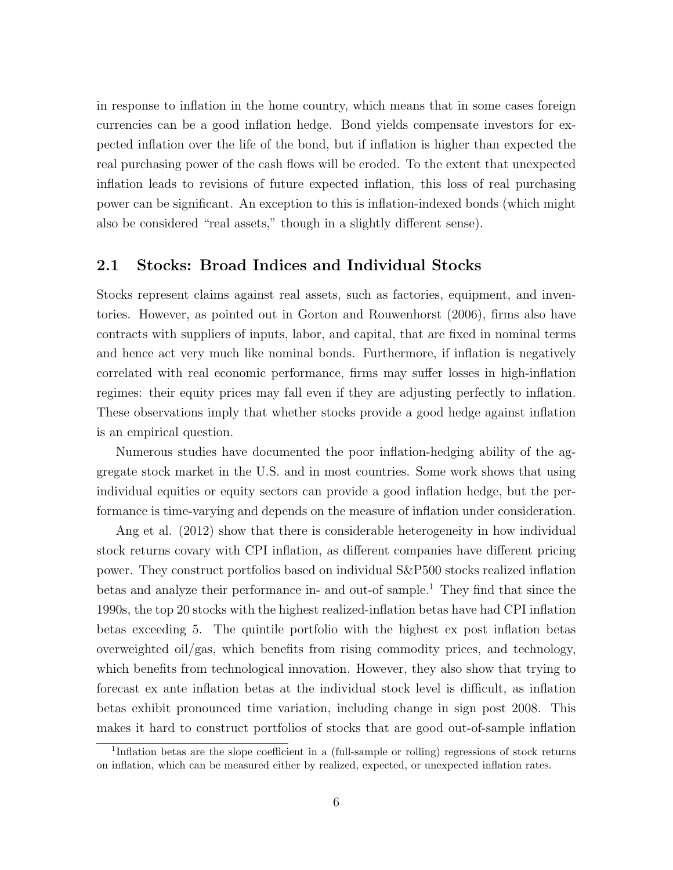in response to inflation in the home country, which means that in some cases foreign currencies can be a good inflation hedge. Bond yields compensate investors for expected inflation over the life of the bond, but if inflation is higher than expected the real purchasing power of the cash flows will be eroded. To the extent that unexpected inflation leads to revisions of future expected inflation, this loss of real purchasing power can be significant. An exception to this is inflation-indexed bonds (which might also be considered "real assets," though in a slightly different sense).

#### 2.1 Stocks: Broad Indices and Individual Stocks

Stocks represent claims against real assets, such as factories, equipment, and inventories. However, as pointed out in Gorton and Rouwenhorst (2006), firms also have contracts with suppliers of inputs, labor, and capital, that are fixed in nominal terms and hence act very much like nominal bonds. Furthermore, if inflation is negatively correlated with real economic performance, firms may suffer losses in high-inflation regimes: their equity prices may fall even if they are adjusting perfectly to inflation. These observations imply that whether stocks provide a good hedge against inflation is an empirical question.

Numerous studies have documented the poor inflation-hedging ability of the aggregate stock market in the U.S. and in most countries. Some work shows that using individual equities or equity sectors can provide a good inflation hedge, but the performance is time-varying and depends on the measure of inflation under consideration.

Ang et al. (2012) show that there is considerable heterogeneity in how individual stock returns covary with CPI inflation, as different companies have different pricing power. They construct portfolios based on individual S&P500 stocks realized inflation betas and analyze their performance in- and out-of sample.<sup>1</sup> They find that since the 1990s, the top 20 stocks with the highest realized-inflation betas have had CPI inflation betas exceeding 5. The quintile portfolio with the highest ex post inflation betas overweighted oil/gas, which benefits from rising commodity prices, and technology, which benefits from technological innovation. However, they also show that trying to forecast ex ante inflation betas at the individual stock level is difficult, as inflation betas exhibit pronounced time variation, including change in sign post 2008. This makes it hard to construct portfolios of stocks that are good out-of-sample inflation

<sup>1</sup> Inflation betas are the slope coefficient in a (full-sample or rolling) regressions of stock returns on inflation, which can be measured either by realized, expected, or unexpected inflation rates.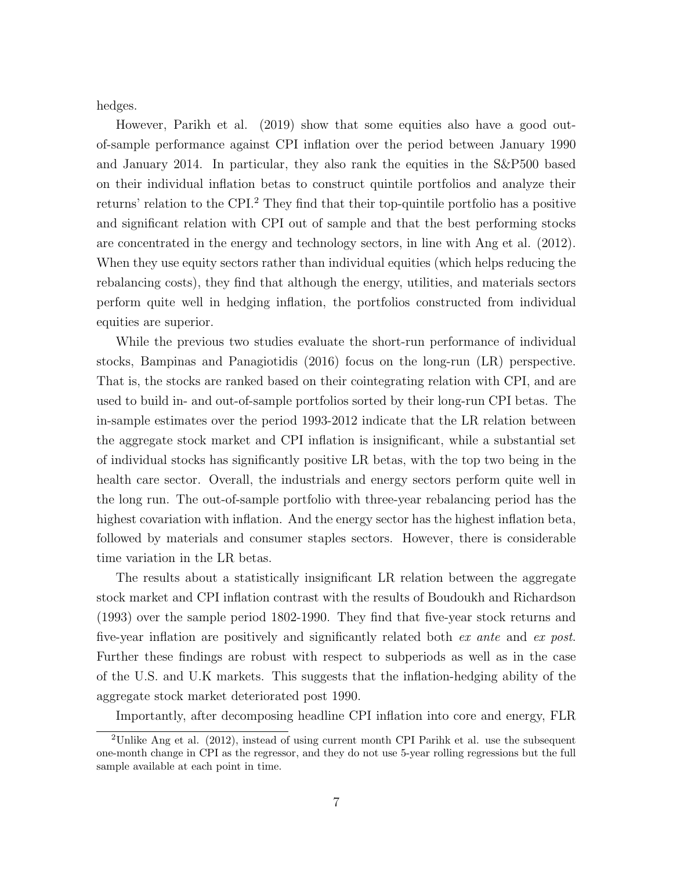hedges.

However, Parikh et al. (2019) show that some equities also have a good outof-sample performance against CPI inflation over the period between January 1990 and January 2014. In particular, they also rank the equities in the S&P500 based on their individual inflation betas to construct quintile portfolios and analyze their returns' relation to the CPI.<sup>2</sup> They find that their top-quintile portfolio has a positive and significant relation with CPI out of sample and that the best performing stocks are concentrated in the energy and technology sectors, in line with Ang et al. (2012). When they use equity sectors rather than individual equities (which helps reducing the rebalancing costs), they find that although the energy, utilities, and materials sectors perform quite well in hedging inflation, the portfolios constructed from individual equities are superior.

While the previous two studies evaluate the short-run performance of individual stocks, Bampinas and Panagiotidis (2016) focus on the long-run (LR) perspective. That is, the stocks are ranked based on their cointegrating relation with CPI, and are used to build in- and out-of-sample portfolios sorted by their long-run CPI betas. The in-sample estimates over the period 1993-2012 indicate that the LR relation between the aggregate stock market and CPI inflation is insignificant, while a substantial set of individual stocks has significantly positive LR betas, with the top two being in the health care sector. Overall, the industrials and energy sectors perform quite well in the long run. The out-of-sample portfolio with three-year rebalancing period has the highest covariation with inflation. And the energy sector has the highest inflation beta, followed by materials and consumer staples sectors. However, there is considerable time variation in the LR betas.

The results about a statistically insignificant LR relation between the aggregate stock market and CPI inflation contrast with the results of Boudoukh and Richardson (1993) over the sample period 1802-1990. They find that five-year stock returns and five-year inflation are positively and significantly related both ex ante and ex post. Further these findings are robust with respect to subperiods as well as in the case of the U.S. and U.K markets. This suggests that the inflation-hedging ability of the aggregate stock market deteriorated post 1990.

Importantly, after decomposing headline CPI inflation into core and energy, FLR

<sup>2</sup>Unlike Ang et al. (2012), instead of using current month CPI Parihk et al. use the subsequent one-month change in CPI as the regressor, and they do not use 5-year rolling regressions but the full sample available at each point in time.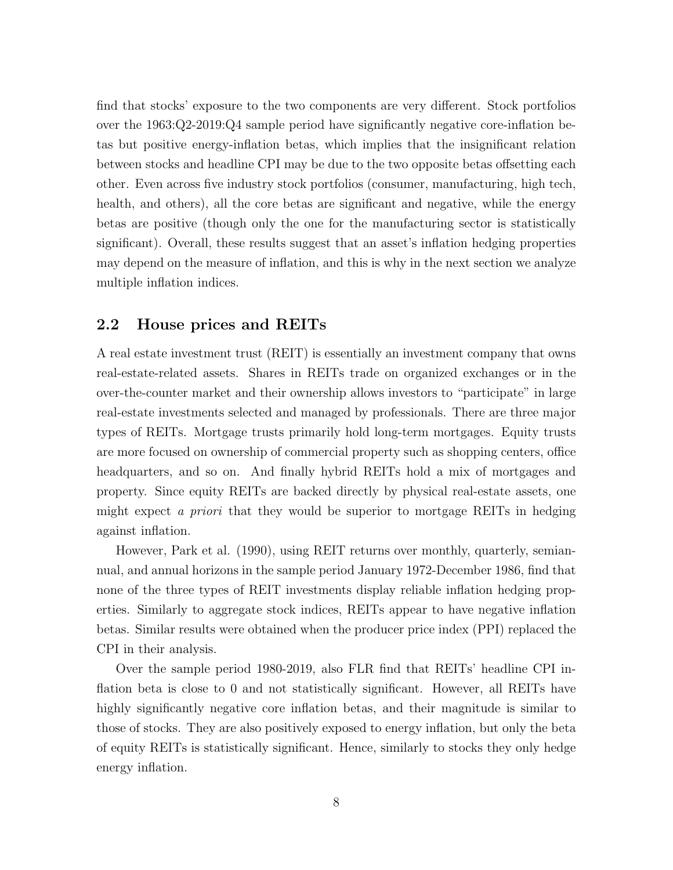find that stocks' exposure to the two components are very different. Stock portfolios over the 1963:Q2-2019:Q4 sample period have significantly negative core-inflation betas but positive energy-inflation betas, which implies that the insignificant relation between stocks and headline CPI may be due to the two opposite betas offsetting each other. Even across five industry stock portfolios (consumer, manufacturing, high tech, health, and others), all the core betas are significant and negative, while the energy betas are positive (though only the one for the manufacturing sector is statistically significant). Overall, these results suggest that an asset's inflation hedging properties may depend on the measure of inflation, and this is why in the next section we analyze multiple inflation indices.

#### 2.2 House prices and REITs

A real estate investment trust (REIT) is essentially an investment company that owns real-estate-related assets. Shares in REITs trade on organized exchanges or in the over-the-counter market and their ownership allows investors to "participate" in large real-estate investments selected and managed by professionals. There are three major types of REITs. Mortgage trusts primarily hold long-term mortgages. Equity trusts are more focused on ownership of commercial property such as shopping centers, office headquarters, and so on. And finally hybrid REITs hold a mix of mortgages and property. Since equity REITs are backed directly by physical real-estate assets, one might expect a priori that they would be superior to mortgage REITs in hedging against inflation.

However, Park et al. (1990), using REIT returns over monthly, quarterly, semiannual, and annual horizons in the sample period January 1972-December 1986, find that none of the three types of REIT investments display reliable inflation hedging properties. Similarly to aggregate stock indices, REITs appear to have negative inflation betas. Similar results were obtained when the producer price index (PPI) replaced the CPI in their analysis.

Over the sample period 1980-2019, also FLR find that REITs' headline CPI inflation beta is close to 0 and not statistically significant. However, all REITs have highly significantly negative core inflation betas, and their magnitude is similar to those of stocks. They are also positively exposed to energy inflation, but only the beta of equity REITs is statistically significant. Hence, similarly to stocks they only hedge energy inflation.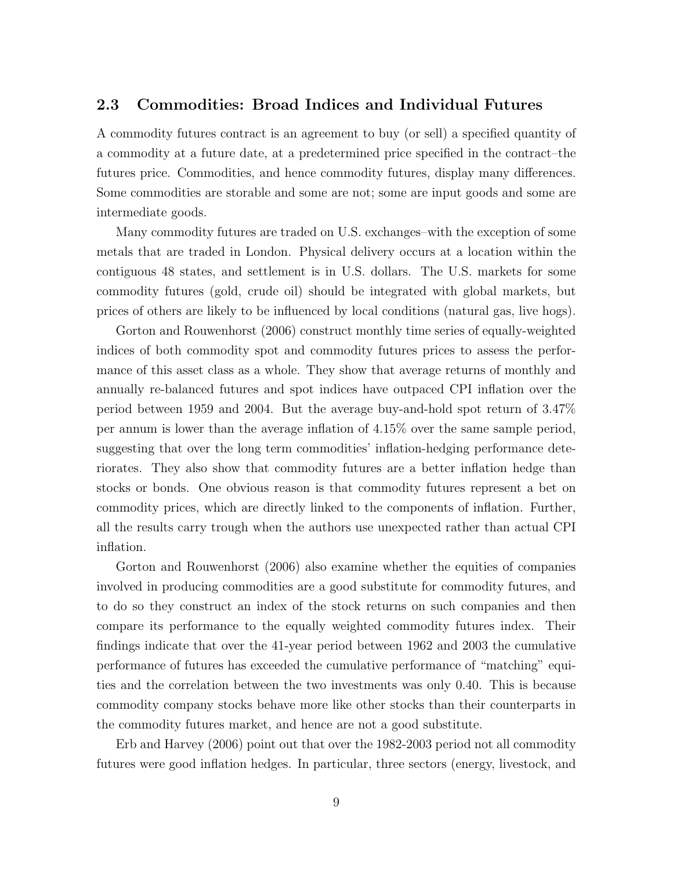#### 2.3 Commodities: Broad Indices and Individual Futures

A commodity futures contract is an agreement to buy (or sell) a specified quantity of a commodity at a future date, at a predetermined price specified in the contract–the futures price. Commodities, and hence commodity futures, display many differences. Some commodities are storable and some are not; some are input goods and some are intermediate goods.

Many commodity futures are traded on U.S. exchanges–with the exception of some metals that are traded in London. Physical delivery occurs at a location within the contiguous 48 states, and settlement is in U.S. dollars. The U.S. markets for some commodity futures (gold, crude oil) should be integrated with global markets, but prices of others are likely to be influenced by local conditions (natural gas, live hogs).

Gorton and Rouwenhorst (2006) construct monthly time series of equally-weighted indices of both commodity spot and commodity futures prices to assess the performance of this asset class as a whole. They show that average returns of monthly and annually re-balanced futures and spot indices have outpaced CPI inflation over the period between 1959 and 2004. But the average buy-and-hold spot return of 3.47% per annum is lower than the average inflation of 4.15% over the same sample period, suggesting that over the long term commodities' inflation-hedging performance deteriorates. They also show that commodity futures are a better inflation hedge than stocks or bonds. One obvious reason is that commodity futures represent a bet on commodity prices, which are directly linked to the components of inflation. Further, all the results carry trough when the authors use unexpected rather than actual CPI inflation.

Gorton and Rouwenhorst (2006) also examine whether the equities of companies involved in producing commodities are a good substitute for commodity futures, and to do so they construct an index of the stock returns on such companies and then compare its performance to the equally weighted commodity futures index. Their findings indicate that over the 41-year period between 1962 and 2003 the cumulative performance of futures has exceeded the cumulative performance of "matching" equities and the correlation between the two investments was only 0.40. This is because commodity company stocks behave more like other stocks than their counterparts in the commodity futures market, and hence are not a good substitute.

Erb and Harvey (2006) point out that over the 1982-2003 period not all commodity futures were good inflation hedges. In particular, three sectors (energy, livestock, and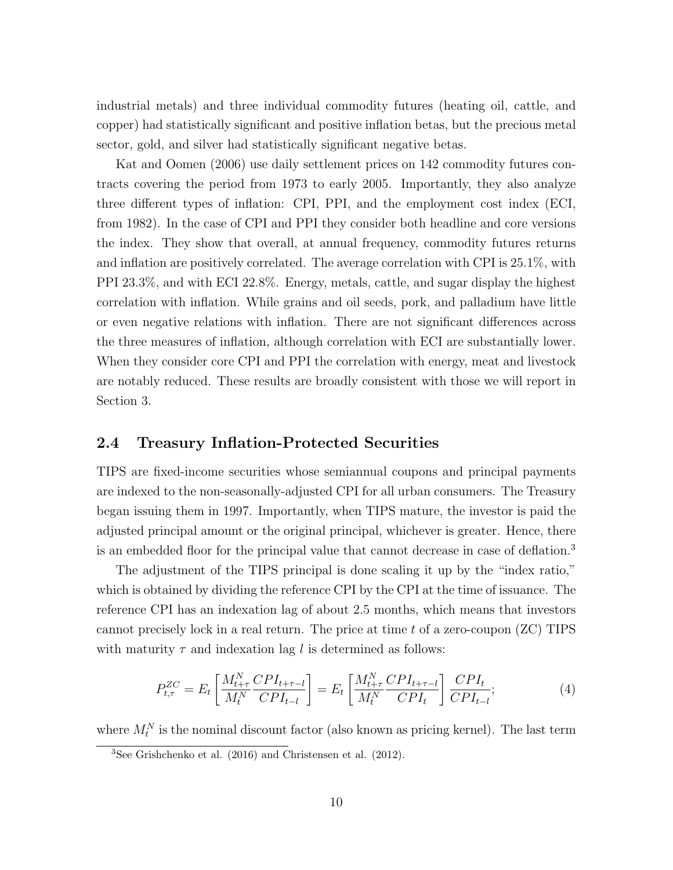industrial metals) and three individual commodity futures (heating oil, cattle, and copper) had statistically significant and positive inflation betas, but the precious metal sector, gold, and silver had statistically significant negative betas.

Kat and Oomen (2006) use daily settlement prices on 142 commodity futures contracts covering the period from 1973 to early 2005. Importantly, they also analyze three different types of inflation: CPI, PPI, and the employment cost index (ECI, from 1982). In the case of CPI and PPI they consider both headline and core versions the index. They show that overall, at annual frequency, commodity futures returns and inflation are positively correlated. The average correlation with CPI is 25.1%, with PPI 23.3%, and with ECI 22.8%. Energy, metals, cattle, and sugar display the highest correlation with inflation. While grains and oil seeds, pork, and palladium have little or even negative relations with inflation. There are not significant differences across the three measures of inflation, although correlation with ECI are substantially lower. When they consider core CPI and PPI the correlation with energy, meat and livestock are notably reduced. These results are broadly consistent with those we will report in Section 3.

#### 2.4 Treasury Inflation-Protected Securities

TIPS are fixed-income securities whose semiannual coupons and principal payments are indexed to the non-seasonally-adjusted CPI for all urban consumers. The Treasury began issuing them in 1997. Importantly, when TIPS mature, the investor is paid the adjusted principal amount or the original principal, whichever is greater. Hence, there is an embedded floor for the principal value that cannot decrease in case of deflation.<sup>3</sup>

The adjustment of the TIPS principal is done scaling it up by the "index ratio," which is obtained by dividing the reference CPI by the CPI at the time of issuance. The reference CPI has an indexation lag of about 2.5 months, which means that investors cannot precisely lock in a real return. The price at time  $t$  of a zero-coupon  $(ZC)$  TIPS with maturity  $\tau$  and indexation lag l is determined as follows:

$$
P_{t,\tau}^{ZC} = E_t \left[ \frac{M_{t+\tau}^N \, CPI_{t+\tau-l}}{M_t^N \, CPI_{t-l}} \right] = E_t \left[ \frac{M_{t+\tau}^N \, CPI_{t+\tau-l}}{M_t^N \, CPI_t} \right] \frac{CPI_t}{CPI_{t-l}}; \tag{4}
$$

where  $M_t^N$  is the nominal discount factor (also known as pricing kernel). The last term

<sup>&</sup>lt;sup>3</sup>See Grishchenko et al. (2016) and Christensen et al. (2012).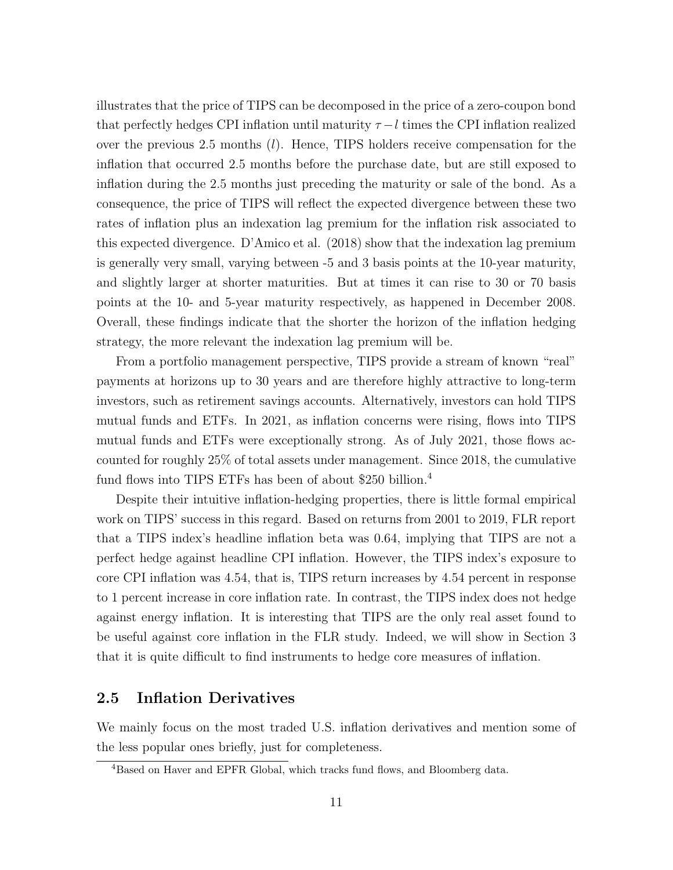illustrates that the price of TIPS can be decomposed in the price of a zero-coupon bond that perfectly hedges CPI inflation until maturity  $\tau - l$  times the CPI inflation realized over the previous 2.5 months  $(l)$ . Hence, TIPS holders receive compensation for the inflation that occurred 2.5 months before the purchase date, but are still exposed to inflation during the 2.5 months just preceding the maturity or sale of the bond. As a consequence, the price of TIPS will reflect the expected divergence between these two rates of inflation plus an indexation lag premium for the inflation risk associated to this expected divergence. D'Amico et al. (2018) show that the indexation lag premium is generally very small, varying between -5 and 3 basis points at the 10-year maturity, and slightly larger at shorter maturities. But at times it can rise to 30 or 70 basis points at the 10- and 5-year maturity respectively, as happened in December 2008. Overall, these findings indicate that the shorter the horizon of the inflation hedging strategy, the more relevant the indexation lag premium will be.

From a portfolio management perspective, TIPS provide a stream of known "real" payments at horizons up to 30 years and are therefore highly attractive to long-term investors, such as retirement savings accounts. Alternatively, investors can hold TIPS mutual funds and ETFs. In 2021, as inflation concerns were rising, flows into TIPS mutual funds and ETFs were exceptionally strong. As of July 2021, those flows accounted for roughly 25% of total assets under management. Since 2018, the cumulative fund flows into TIPS ETFs has been of about \$250 billion.<sup>4</sup>

Despite their intuitive inflation-hedging properties, there is little formal empirical work on TIPS' success in this regard. Based on returns from 2001 to 2019, FLR report that a TIPS index's headline inflation beta was 0.64, implying that TIPS are not a perfect hedge against headline CPI inflation. However, the TIPS index's exposure to core CPI inflation was 4.54, that is, TIPS return increases by 4.54 percent in response to 1 percent increase in core inflation rate. In contrast, the TIPS index does not hedge against energy inflation. It is interesting that TIPS are the only real asset found to be useful against core inflation in the FLR study. Indeed, we will show in Section 3 that it is quite difficult to find instruments to hedge core measures of inflation.

#### 2.5 Inflation Derivatives

We mainly focus on the most traded U.S. inflation derivatives and mention some of the less popular ones briefly, just for completeness.

<sup>4</sup>Based on Haver and EPFR Global, which tracks fund flows, and Bloomberg data.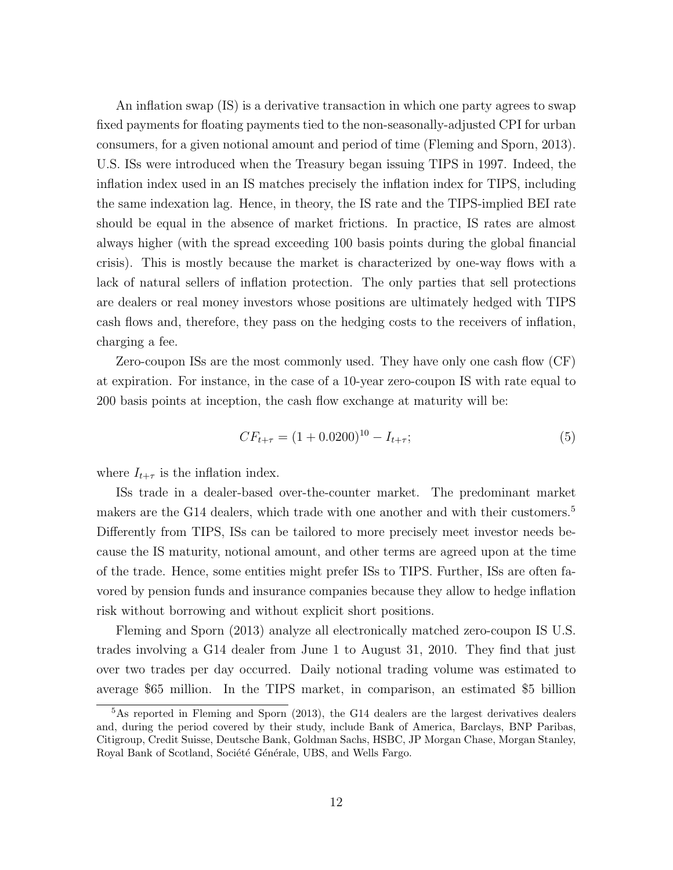An inflation swap (IS) is a derivative transaction in which one party agrees to swap fixed payments for floating payments tied to the non-seasonally-adjusted CPI for urban consumers, for a given notional amount and period of time (Fleming and Sporn, 2013). U.S. ISs were introduced when the Treasury began issuing TIPS in 1997. Indeed, the inflation index used in an IS matches precisely the inflation index for TIPS, including the same indexation lag. Hence, in theory, the IS rate and the TIPS-implied BEI rate should be equal in the absence of market frictions. In practice, IS rates are almost always higher (with the spread exceeding 100 basis points during the global financial crisis). This is mostly because the market is characterized by one-way flows with a lack of natural sellers of inflation protection. The only parties that sell protections are dealers or real money investors whose positions are ultimately hedged with TIPS cash flows and, therefore, they pass on the hedging costs to the receivers of inflation, charging a fee.

Zero-coupon ISs are the most commonly used. They have only one cash flow (CF) at expiration. For instance, in the case of a 10-year zero-coupon IS with rate equal to 200 basis points at inception, the cash flow exchange at maturity will be:

$$
CF_{t+\tau} = (1+0.0200)^{10} - I_{t+\tau};
$$
\n(5)

where  $I_{t+\tau}$  is the inflation index.

ISs trade in a dealer-based over-the-counter market. The predominant market makers are the G14 dealers, which trade with one another and with their customers.<sup>5</sup> Differently from TIPS, ISs can be tailored to more precisely meet investor needs because the IS maturity, notional amount, and other terms are agreed upon at the time of the trade. Hence, some entities might prefer ISs to TIPS. Further, ISs are often favored by pension funds and insurance companies because they allow to hedge inflation risk without borrowing and without explicit short positions.

Fleming and Sporn (2013) analyze all electronically matched zero-coupon IS U.S. trades involving a G14 dealer from June 1 to August 31, 2010. They find that just over two trades per day occurred. Daily notional trading volume was estimated to average \$65 million. In the TIPS market, in comparison, an estimated \$5 billion

 $5$ As reported in Fleming and Sporn (2013), the G14 dealers are the largest derivatives dealers and, during the period covered by their study, include Bank of America, Barclays, BNP Paribas, Citigroup, Credit Suisse, Deutsche Bank, Goldman Sachs, HSBC, JP Morgan Chase, Morgan Stanley, Royal Bank of Scotland, Société Générale, UBS, and Wells Fargo.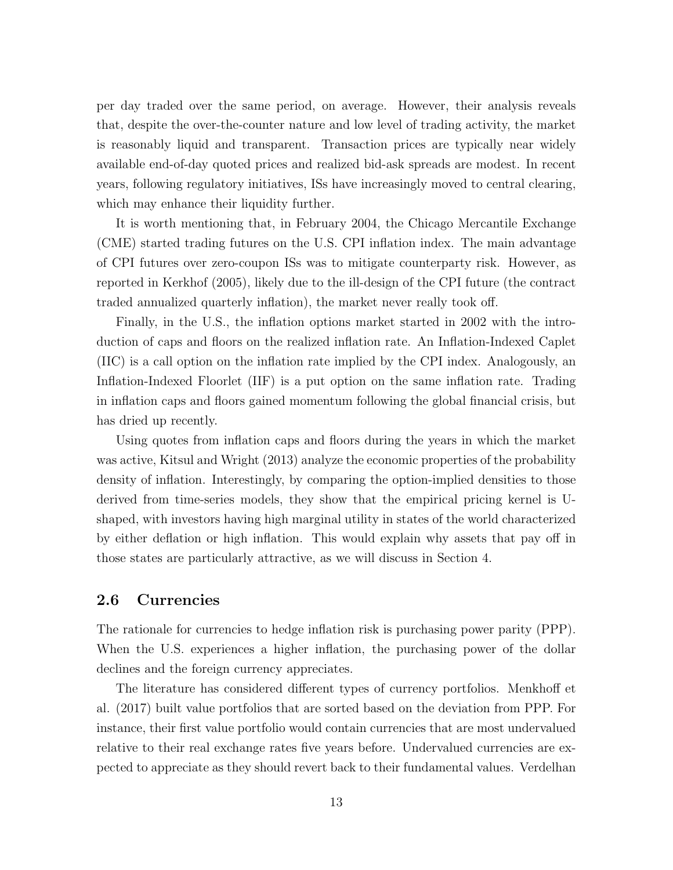per day traded over the same period, on average. However, their analysis reveals that, despite the over-the-counter nature and low level of trading activity, the market is reasonably liquid and transparent. Transaction prices are typically near widely available end-of-day quoted prices and realized bid-ask spreads are modest. In recent years, following regulatory initiatives, ISs have increasingly moved to central clearing, which may enhance their liquidity further.

It is worth mentioning that, in February 2004, the Chicago Mercantile Exchange (CME) started trading futures on the U.S. CPI inflation index. The main advantage of CPI futures over zero-coupon ISs was to mitigate counterparty risk. However, as reported in Kerkhof (2005), likely due to the ill-design of the CPI future (the contract traded annualized quarterly inflation), the market never really took off.

Finally, in the U.S., the inflation options market started in 2002 with the introduction of caps and floors on the realized inflation rate. An Inflation-Indexed Caplet (IIC) is a call option on the inflation rate implied by the CPI index. Analogously, an Inflation-Indexed Floorlet (IIF) is a put option on the same inflation rate. Trading in inflation caps and floors gained momentum following the global financial crisis, but has dried up recently.

Using quotes from inflation caps and floors during the years in which the market was active, Kitsul and Wright (2013) analyze the economic properties of the probability density of inflation. Interestingly, by comparing the option-implied densities to those derived from time-series models, they show that the empirical pricing kernel is Ushaped, with investors having high marginal utility in states of the world characterized by either deflation or high inflation. This would explain why assets that pay off in those states are particularly attractive, as we will discuss in Section 4.

#### 2.6 Currencies

The rationale for currencies to hedge inflation risk is purchasing power parity (PPP). When the U.S. experiences a higher inflation, the purchasing power of the dollar declines and the foreign currency appreciates.

The literature has considered different types of currency portfolios. Menkhoff et al. (2017) built value portfolios that are sorted based on the deviation from PPP. For instance, their first value portfolio would contain currencies that are most undervalued relative to their real exchange rates five years before. Undervalued currencies are expected to appreciate as they should revert back to their fundamental values. Verdelhan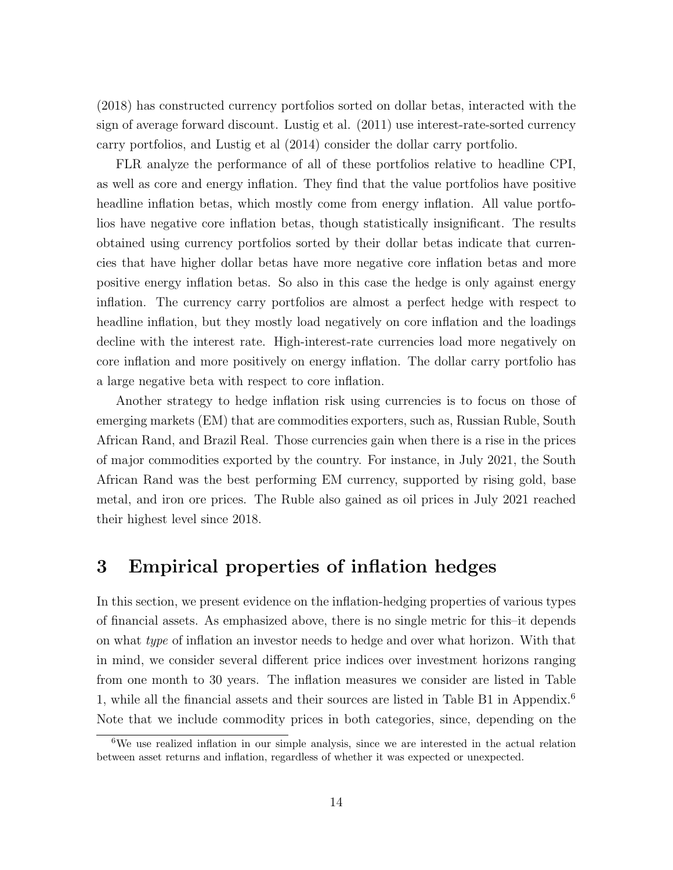(2018) has constructed currency portfolios sorted on dollar betas, interacted with the sign of average forward discount. Lustig et al. (2011) use interest-rate-sorted currency carry portfolios, and Lustig et al (2014) consider the dollar carry portfolio.

FLR analyze the performance of all of these portfolios relative to headline CPI, as well as core and energy inflation. They find that the value portfolios have positive headline inflation betas, which mostly come from energy inflation. All value portfolios have negative core inflation betas, though statistically insignificant. The results obtained using currency portfolios sorted by their dollar betas indicate that currencies that have higher dollar betas have more negative core inflation betas and more positive energy inflation betas. So also in this case the hedge is only against energy inflation. The currency carry portfolios are almost a perfect hedge with respect to headline inflation, but they mostly load negatively on core inflation and the loadings decline with the interest rate. High-interest-rate currencies load more negatively on core inflation and more positively on energy inflation. The dollar carry portfolio has a large negative beta with respect to core inflation.

Another strategy to hedge inflation risk using currencies is to focus on those of emerging markets (EM) that are commodities exporters, such as, Russian Ruble, South African Rand, and Brazil Real. Those currencies gain when there is a rise in the prices of major commodities exported by the country. For instance, in July 2021, the South African Rand was the best performing EM currency, supported by rising gold, base metal, and iron ore prices. The Ruble also gained as oil prices in July 2021 reached their highest level since 2018.

## 3 Empirical properties of inflation hedges

In this section, we present evidence on the inflation-hedging properties of various types of financial assets. As emphasized above, there is no single metric for this–it depends on what type of inflation an investor needs to hedge and over what horizon. With that in mind, we consider several different price indices over investment horizons ranging from one month to 30 years. The inflation measures we consider are listed in Table 1, while all the financial assets and their sources are listed in Table B1 in Appendix.<sup>6</sup> Note that we include commodity prices in both categories, since, depending on the

<sup>6</sup>We use realized inflation in our simple analysis, since we are interested in the actual relation between asset returns and inflation, regardless of whether it was expected or unexpected.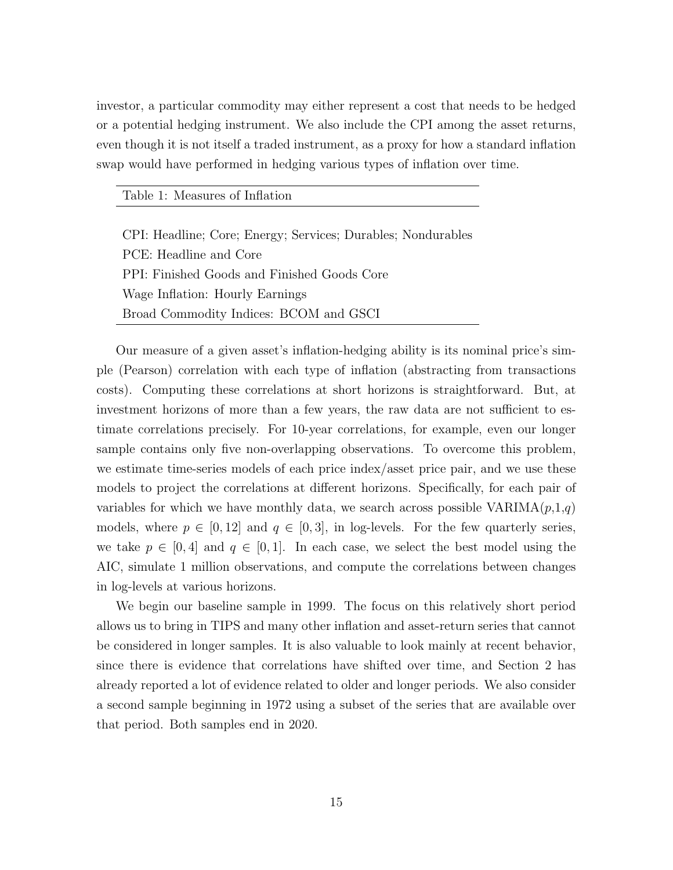investor, a particular commodity may either represent a cost that needs to be hedged or a potential hedging instrument. We also include the CPI among the asset returns, even though it is not itself a traded instrument, as a proxy for how a standard inflation swap would have performed in hedging various types of inflation over time.

Table 1: Measures of Inflation

CPI: Headline; Core; Energy; Services; Durables; Nondurables PCE: Headline and Core PPI: Finished Goods and Finished Goods Core Wage Inflation: Hourly Earnings Broad Commodity Indices: BCOM and GSCI

Our measure of a given asset's inflation-hedging ability is its nominal price's simple (Pearson) correlation with each type of inflation (abstracting from transactions costs). Computing these correlations at short horizons is straightforward. But, at investment horizons of more than a few years, the raw data are not sufficient to estimate correlations precisely. For 10-year correlations, for example, even our longer sample contains only five non-overlapping observations. To overcome this problem, we estimate time-series models of each price index/asset price pair, and we use these models to project the correlations at different horizons. Specifically, for each pair of variables for which we have monthly data, we search across possible  $VARIMA(p,1,q)$ models, where  $p \in [0, 12]$  and  $q \in [0, 3]$ , in log-levels. For the few quarterly series, we take  $p \in [0, 4]$  and  $q \in [0, 1]$ . In each case, we select the best model using the AIC, simulate 1 million observations, and compute the correlations between changes in log-levels at various horizons.

We begin our baseline sample in 1999. The focus on this relatively short period allows us to bring in TIPS and many other inflation and asset-return series that cannot be considered in longer samples. It is also valuable to look mainly at recent behavior, since there is evidence that correlations have shifted over time, and Section 2 has already reported a lot of evidence related to older and longer periods. We also consider a second sample beginning in 1972 using a subset of the series that are available over that period. Both samples end in 2020.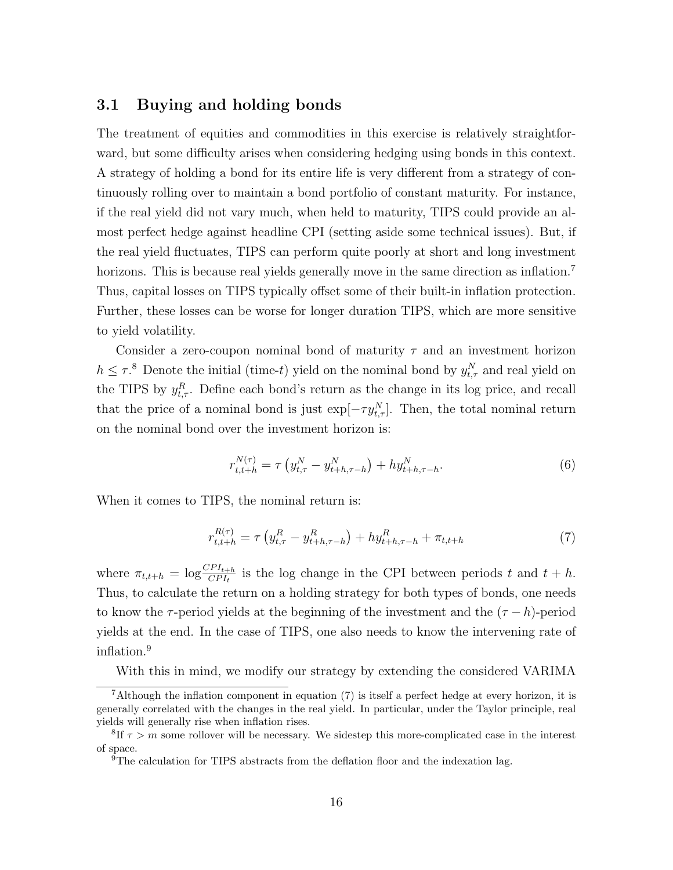#### 3.1 Buying and holding bonds

The treatment of equities and commodities in this exercise is relatively straightforward, but some difficulty arises when considering hedging using bonds in this context. A strategy of holding a bond for its entire life is very different from a strategy of continuously rolling over to maintain a bond portfolio of constant maturity. For instance, if the real yield did not vary much, when held to maturity, TIPS could provide an almost perfect hedge against headline CPI (setting aside some technical issues). But, if the real yield fluctuates, TIPS can perform quite poorly at short and long investment horizons. This is because real yields generally move in the same direction as inflation.<sup>7</sup> Thus, capital losses on TIPS typically offset some of their built-in inflation protection. Further, these losses can be worse for longer duration TIPS, which are more sensitive to yield volatility.

Consider a zero-coupon nominal bond of maturity  $\tau$  and an investment horizon  $h \leq \tau$ <sup>8</sup>. Denote the initial (time-t) yield on the nominal bond by  $y_{t,\tau}^N$  and real yield on the TIPS by  $y_{t,\tau}^R$ . Define each bond's return as the change in its log price, and recall that the price of a nominal bond is just  $\exp[-\tau y_{t,\tau}^N]$ . Then, the total nominal return on the nominal bond over the investment horizon is:

$$
r_{t,t+h}^{N(\tau)} = \tau \left( y_{t,\tau}^N - y_{t+h,\tau-h}^N \right) + hy_{t+h,\tau-h}^N. \tag{6}
$$

When it comes to TIPS, the nominal return is:

$$
r_{t,t+h}^{R(\tau)} = \tau \left( y_{t,\tau}^R - y_{t+h,\tau-h}^R \right) + hy_{t+h,\tau-h}^R + \pi_{t,t+h}
$$
\n<sup>(7)</sup>

where  $\pi_{t,t+h} = \log \frac{CPI_{t+h}}{CPI_t}$  is the log change in the CPI between periods t and  $t + h$ . Thus, to calculate the return on a holding strategy for both types of bonds, one needs to know the  $\tau$ -period yields at the beginning of the investment and the  $(\tau - h)$ -period yields at the end. In the case of TIPS, one also needs to know the intervening rate of inflation.<sup>9</sup>

With this in mind, we modify our strategy by extending the considered VARIMA

<sup>7</sup>Although the inflation component in equation (7) is itself a perfect hedge at every horizon, it is generally correlated with the changes in the real yield. In particular, under the Taylor principle, real yields will generally rise when inflation rises.

<sup>&</sup>lt;sup>8</sup>If  $\tau > m$  some rollover will be necessary. We sidestep this more-complicated case in the interest of space.

<sup>&</sup>lt;sup>9</sup>The calculation for TIPS abstracts from the deflation floor and the indexation lag.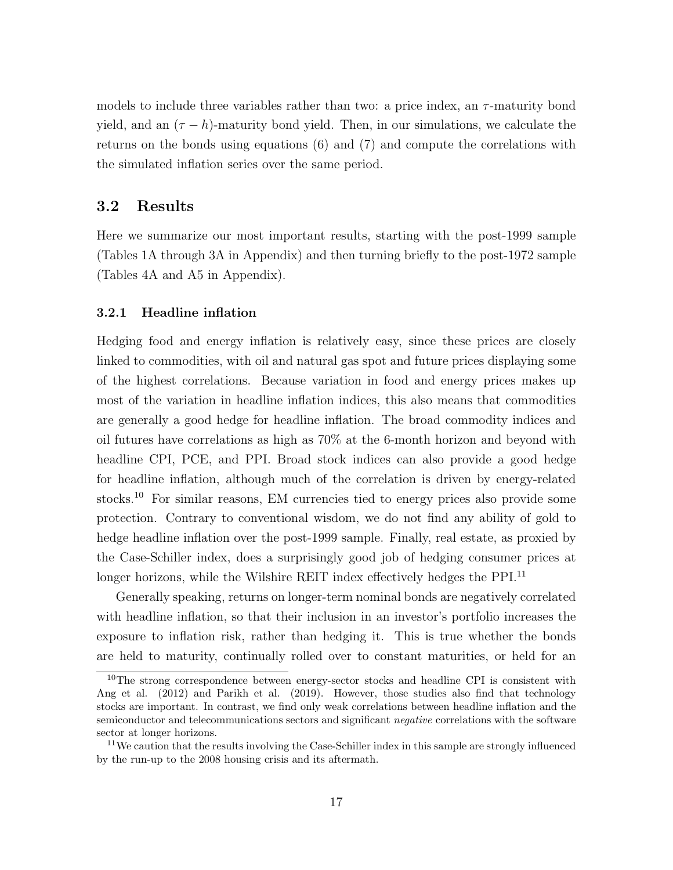models to include three variables rather than two: a price index, an  $\tau$ -maturity bond yield, and an  $(\tau - h)$ -maturity bond yield. Then, in our simulations, we calculate the returns on the bonds using equations (6) and (7) and compute the correlations with the simulated inflation series over the same period.

## 3.2 Results

Here we summarize our most important results, starting with the post-1999 sample (Tables 1A through 3A in Appendix) and then turning briefly to the post-1972 sample (Tables 4A and A5 in Appendix).

#### 3.2.1 Headline inflation

Hedging food and energy inflation is relatively easy, since these prices are closely linked to commodities, with oil and natural gas spot and future prices displaying some of the highest correlations. Because variation in food and energy prices makes up most of the variation in headline inflation indices, this also means that commodities are generally a good hedge for headline inflation. The broad commodity indices and oil futures have correlations as high as 70% at the 6-month horizon and beyond with headline CPI, PCE, and PPI. Broad stock indices can also provide a good hedge for headline inflation, although much of the correlation is driven by energy-related stocks.<sup>10</sup> For similar reasons, EM currencies tied to energy prices also provide some protection. Contrary to conventional wisdom, we do not find any ability of gold to hedge headline inflation over the post-1999 sample. Finally, real estate, as proxied by the Case-Schiller index, does a surprisingly good job of hedging consumer prices at longer horizons, while the Wilshire REIT index effectively hedges the PPI.<sup>11</sup>

Generally speaking, returns on longer-term nominal bonds are negatively correlated with headline inflation, so that their inclusion in an investor's portfolio increases the exposure to inflation risk, rather than hedging it. This is true whether the bonds are held to maturity, continually rolled over to constant maturities, or held for an

<sup>&</sup>lt;sup>10</sup>The strong correspondence between energy-sector stocks and headline CPI is consistent with Ang et al. (2012) and Parikh et al. (2019). However, those studies also find that technology stocks are important. In contrast, we find only weak correlations between headline inflation and the semiconductor and telecommunications sectors and significant *negative* correlations with the software sector at longer horizons.

<sup>&</sup>lt;sup>11</sup>We caution that the results involving the Case-Schiller index in this sample are strongly influenced by the run-up to the 2008 housing crisis and its aftermath.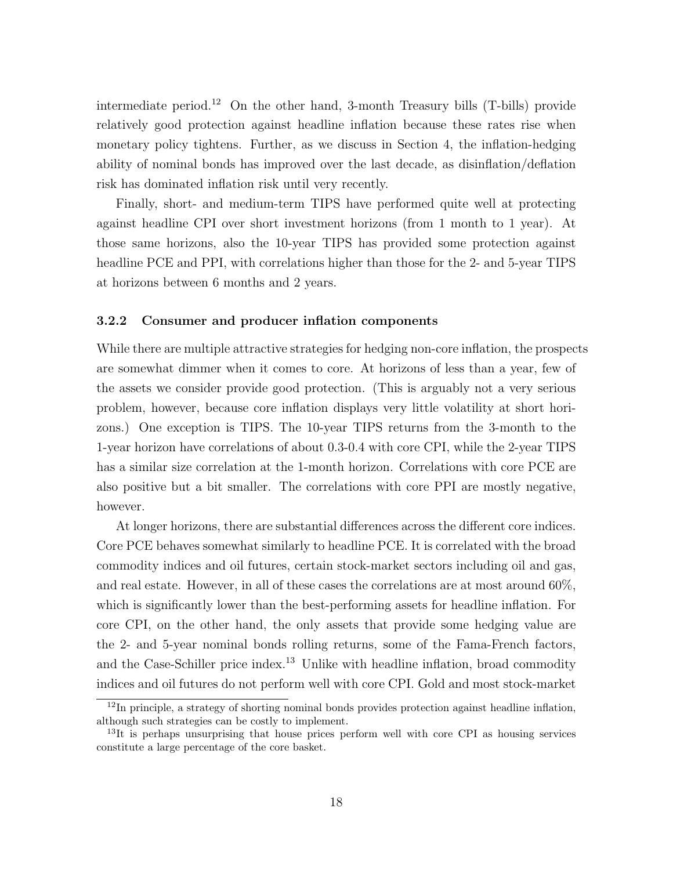intermediate period.<sup>12</sup> On the other hand, 3-month Treasury bills (T-bills) provide relatively good protection against headline inflation because these rates rise when monetary policy tightens. Further, as we discuss in Section 4, the inflation-hedging ability of nominal bonds has improved over the last decade, as disinflation/deflation risk has dominated inflation risk until very recently.

Finally, short- and medium-term TIPS have performed quite well at protecting against headline CPI over short investment horizons (from 1 month to 1 year). At those same horizons, also the 10-year TIPS has provided some protection against headline PCE and PPI, with correlations higher than those for the 2- and 5-year TIPS at horizons between 6 months and 2 years.

#### 3.2.2 Consumer and producer inflation components

While there are multiple attractive strategies for hedging non-core inflation, the prospects are somewhat dimmer when it comes to core. At horizons of less than a year, few of the assets we consider provide good protection. (This is arguably not a very serious problem, however, because core inflation displays very little volatility at short horizons.) One exception is TIPS. The 10-year TIPS returns from the 3-month to the 1-year horizon have correlations of about 0.3-0.4 with core CPI, while the 2-year TIPS has a similar size correlation at the 1-month horizon. Correlations with core PCE are also positive but a bit smaller. The correlations with core PPI are mostly negative, however.

At longer horizons, there are substantial differences across the different core indices. Core PCE behaves somewhat similarly to headline PCE. It is correlated with the broad commodity indices and oil futures, certain stock-market sectors including oil and gas, and real estate. However, in all of these cases the correlations are at most around 60%, which is significantly lower than the best-performing assets for headline inflation. For core CPI, on the other hand, the only assets that provide some hedging value are the 2- and 5-year nominal bonds rolling returns, some of the Fama-French factors, and the Case-Schiller price index.<sup>13</sup> Unlike with headline inflation, broad commodity indices and oil futures do not perform well with core CPI. Gold and most stock-market

 $12$ In principle, a strategy of shorting nominal bonds provides protection against headline inflation, although such strategies can be costly to implement.

 $13$ It is perhaps unsurprising that house prices perform well with core CPI as housing services constitute a large percentage of the core basket.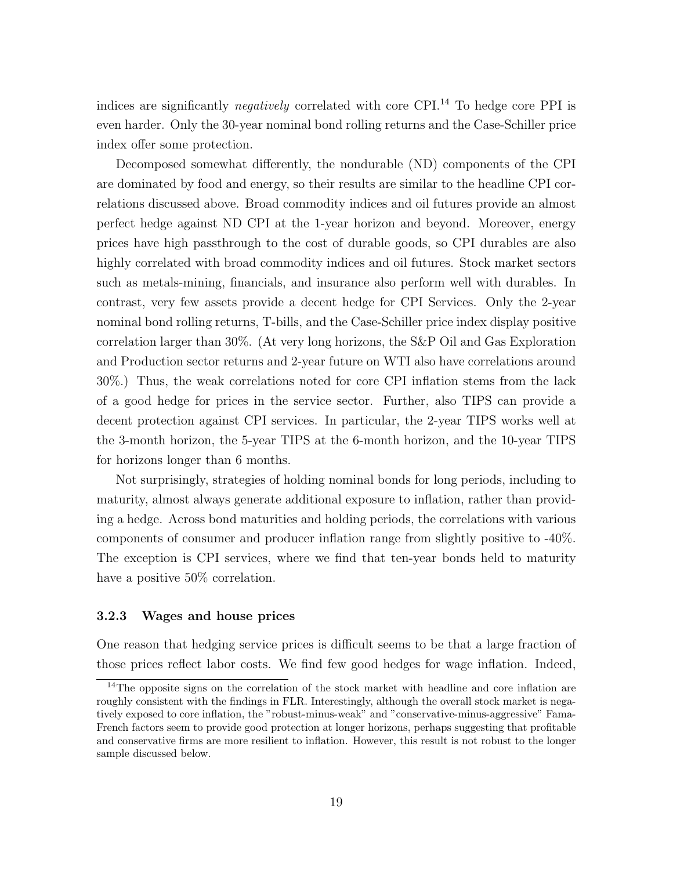indices are significantly *negatively* correlated with core CPI.<sup>14</sup> To hedge core PPI is even harder. Only the 30-year nominal bond rolling returns and the Case-Schiller price index offer some protection.

Decomposed somewhat differently, the nondurable (ND) components of the CPI are dominated by food and energy, so their results are similar to the headline CPI correlations discussed above. Broad commodity indices and oil futures provide an almost perfect hedge against ND CPI at the 1-year horizon and beyond. Moreover, energy prices have high passthrough to the cost of durable goods, so CPI durables are also highly correlated with broad commodity indices and oil futures. Stock market sectors such as metals-mining, financials, and insurance also perform well with durables. In contrast, very few assets provide a decent hedge for CPI Services. Only the 2-year nominal bond rolling returns, T-bills, and the Case-Schiller price index display positive correlation larger than 30%. (At very long horizons, the S&P Oil and Gas Exploration and Production sector returns and 2-year future on WTI also have correlations around 30%.) Thus, the weak correlations noted for core CPI inflation stems from the lack of a good hedge for prices in the service sector. Further, also TIPS can provide a decent protection against CPI services. In particular, the 2-year TIPS works well at the 3-month horizon, the 5-year TIPS at the 6-month horizon, and the 10-year TIPS for horizons longer than 6 months.

Not surprisingly, strategies of holding nominal bonds for long periods, including to maturity, almost always generate additional exposure to inflation, rather than providing a hedge. Across bond maturities and holding periods, the correlations with various components of consumer and producer inflation range from slightly positive to -40%. The exception is CPI services, where we find that ten-year bonds held to maturity have a positive  $50\%$  correlation.

#### 3.2.3 Wages and house prices

One reason that hedging service prices is difficult seems to be that a large fraction of those prices reflect labor costs. We find few good hedges for wage inflation. Indeed,

<sup>&</sup>lt;sup>14</sup>The opposite signs on the correlation of the stock market with headline and core inflation are roughly consistent with the findings in FLR. Interestingly, although the overall stock market is negatively exposed to core inflation, the "robust-minus-weak" and "conservative-minus-aggressive" Fama-French factors seem to provide good protection at longer horizons, perhaps suggesting that profitable and conservative firms are more resilient to inflation. However, this result is not robust to the longer sample discussed below.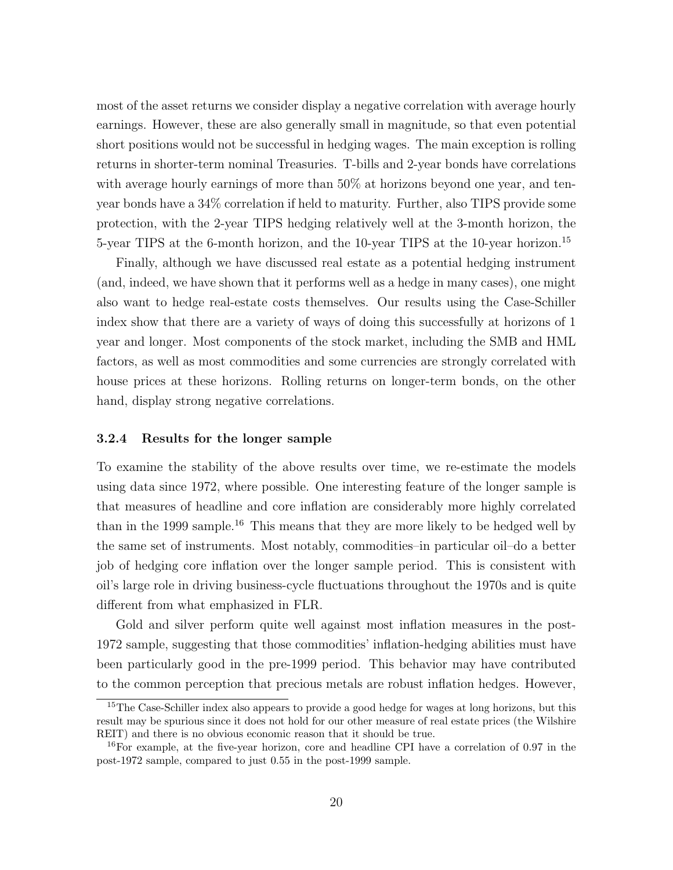most of the asset returns we consider display a negative correlation with average hourly earnings. However, these are also generally small in magnitude, so that even potential short positions would not be successful in hedging wages. The main exception is rolling returns in shorter-term nominal Treasuries. T-bills and 2-year bonds have correlations with average hourly earnings of more than 50% at horizons beyond one year, and tenyear bonds have a 34% correlation if held to maturity. Further, also TIPS provide some protection, with the 2-year TIPS hedging relatively well at the 3-month horizon, the 5-year TIPS at the 6-month horizon, and the 10-year TIPS at the 10-year horizon.<sup>15</sup>

Finally, although we have discussed real estate as a potential hedging instrument (and, indeed, we have shown that it performs well as a hedge in many cases), one might also want to hedge real-estate costs themselves. Our results using the Case-Schiller index show that there are a variety of ways of doing this successfully at horizons of 1 year and longer. Most components of the stock market, including the SMB and HML factors, as well as most commodities and some currencies are strongly correlated with house prices at these horizons. Rolling returns on longer-term bonds, on the other hand, display strong negative correlations.

#### 3.2.4 Results for the longer sample

To examine the stability of the above results over time, we re-estimate the models using data since 1972, where possible. One interesting feature of the longer sample is that measures of headline and core inflation are considerably more highly correlated than in the 1999 sample.<sup>16</sup> This means that they are more likely to be hedged well by the same set of instruments. Most notably, commodities–in particular oil–do a better job of hedging core inflation over the longer sample period. This is consistent with oil's large role in driving business-cycle fluctuations throughout the 1970s and is quite different from what emphasized in FLR.

Gold and silver perform quite well against most inflation measures in the post-1972 sample, suggesting that those commodities' inflation-hedging abilities must have been particularly good in the pre-1999 period. This behavior may have contributed to the common perception that precious metals are robust inflation hedges. However,

<sup>&</sup>lt;sup>15</sup>The Case-Schiller index also appears to provide a good hedge for wages at long horizons, but this result may be spurious since it does not hold for our other measure of real estate prices (the Wilshire REIT) and there is no obvious economic reason that it should be true.

<sup>&</sup>lt;sup>16</sup>For example, at the five-year horizon, core and headline CPI have a correlation of 0.97 in the post-1972 sample, compared to just 0.55 in the post-1999 sample.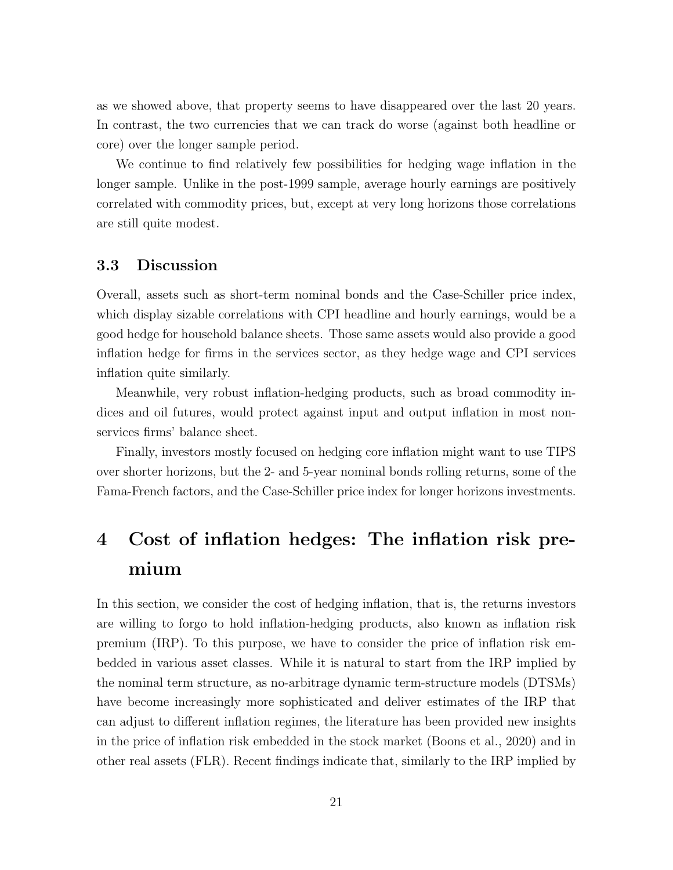as we showed above, that property seems to have disappeared over the last 20 years. In contrast, the two currencies that we can track do worse (against both headline or core) over the longer sample period.

We continue to find relatively few possibilities for hedging wage inflation in the longer sample. Unlike in the post-1999 sample, average hourly earnings are positively correlated with commodity prices, but, except at very long horizons those correlations are still quite modest.

#### 3.3 Discussion

Overall, assets such as short-term nominal bonds and the Case-Schiller price index, which display sizable correlations with CPI headline and hourly earnings, would be a good hedge for household balance sheets. Those same assets would also provide a good inflation hedge for firms in the services sector, as they hedge wage and CPI services inflation quite similarly.

Meanwhile, very robust inflation-hedging products, such as broad commodity indices and oil futures, would protect against input and output inflation in most nonservices firms' balance sheet.

Finally, investors mostly focused on hedging core inflation might want to use TIPS over shorter horizons, but the 2- and 5-year nominal bonds rolling returns, some of the Fama-French factors, and the Case-Schiller price index for longer horizons investments.

# 4 Cost of inflation hedges: The inflation risk premium

In this section, we consider the cost of hedging inflation, that is, the returns investors are willing to forgo to hold inflation-hedging products, also known as inflation risk premium (IRP). To this purpose, we have to consider the price of inflation risk embedded in various asset classes. While it is natural to start from the IRP implied by the nominal term structure, as no-arbitrage dynamic term-structure models (DTSMs) have become increasingly more sophisticated and deliver estimates of the IRP that can adjust to different inflation regimes, the literature has been provided new insights in the price of inflation risk embedded in the stock market (Boons et al., 2020) and in other real assets (FLR). Recent findings indicate that, similarly to the IRP implied by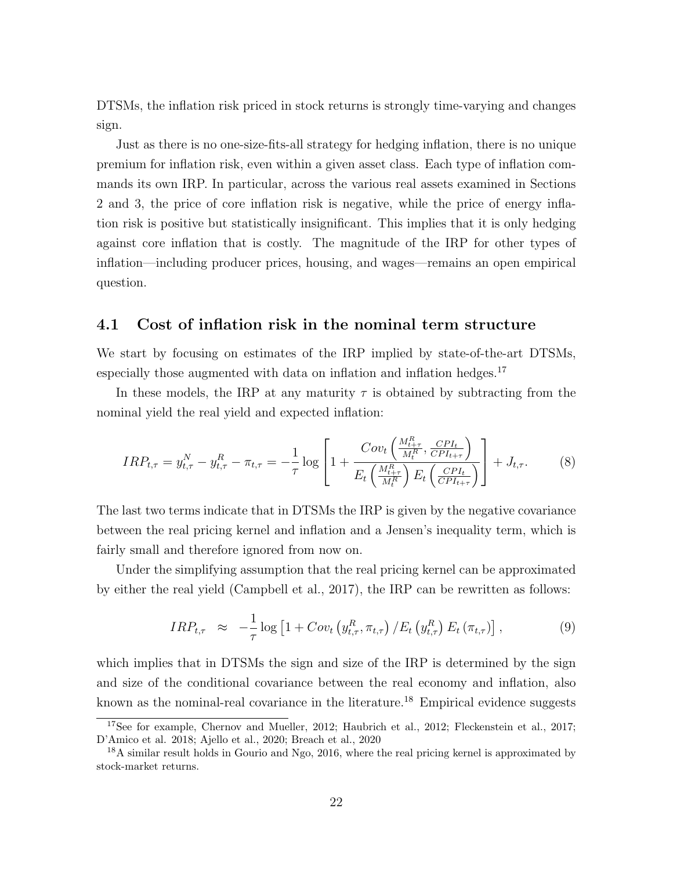DTSMs, the inflation risk priced in stock returns is strongly time-varying and changes sign.

Just as there is no one-size-fits-all strategy for hedging inflation, there is no unique premium for inflation risk, even within a given asset class. Each type of inflation commands its own IRP. In particular, across the various real assets examined in Sections 2 and 3, the price of core inflation risk is negative, while the price of energy inflation risk is positive but statistically insignificant. This implies that it is only hedging against core inflation that is costly. The magnitude of the IRP for other types of inflation—including producer prices, housing, and wages—remains an open empirical question.

#### 4.1 Cost of inflation risk in the nominal term structure

We start by focusing on estimates of the IRP implied by state-of-the-art DTSMs, especially those augmented with data on inflation and inflation hedges.<sup>17</sup>

In these models, the IRP at any maturity  $\tau$  is obtained by subtracting from the nominal yield the real yield and expected inflation:

$$
IRP_{t,\tau} = y_{t,\tau}^{N} - y_{t,\tau}^{R} - \pi_{t,\tau} = -\frac{1}{\tau} \log \left[ 1 + \frac{Cov_{t} \left( \frac{M_{t+\tau}^{R}}{M_{t}^{R}}, \frac{CPI_{t}}{CPI_{t+\tau}} \right)}{E_{t} \left( \frac{M_{t+\tau}^{R}}{M_{t}^{R}} \right) E_{t} \left( \frac{CPI_{t}}{CPI_{t+\tau}} \right)} \right] + J_{t,\tau}.
$$
 (8)

The last two terms indicate that in DTSMs the IRP is given by the negative covariance between the real pricing kernel and inflation and a Jensen's inequality term, which is fairly small and therefore ignored from now on.

Under the simplifying assumption that the real pricing kernel can be approximated by either the real yield (Campbell et al., 2017), the IRP can be rewritten as follows:

$$
IRP_{t,\tau} \approx -\frac{1}{\tau} \log \left[ 1 + Cov_t \left( y_{t,\tau}^R, \pi_{t,\tau} \right) / E_t \left( y_{t,\tau}^R \right) E_t \left( \pi_{t,\tau} \right) \right], \tag{9}
$$

which implies that in DTSMs the sign and size of the IRP is determined by the sign and size of the conditional covariance between the real economy and inflation, also known as the nominal-real covariance in the literature.<sup>18</sup> Empirical evidence suggests

<sup>&</sup>lt;sup>17</sup>See for example, Chernov and Mueller, 2012; Haubrich et al., 2012; Fleckenstein et al., 2017; D'Amico et al. 2018; Ajello et al., 2020; Breach et al., 2020

<sup>&</sup>lt;sup>18</sup>A similar result holds in Gourio and Ngo, 2016, where the real pricing kernel is approximated by stock-market returns.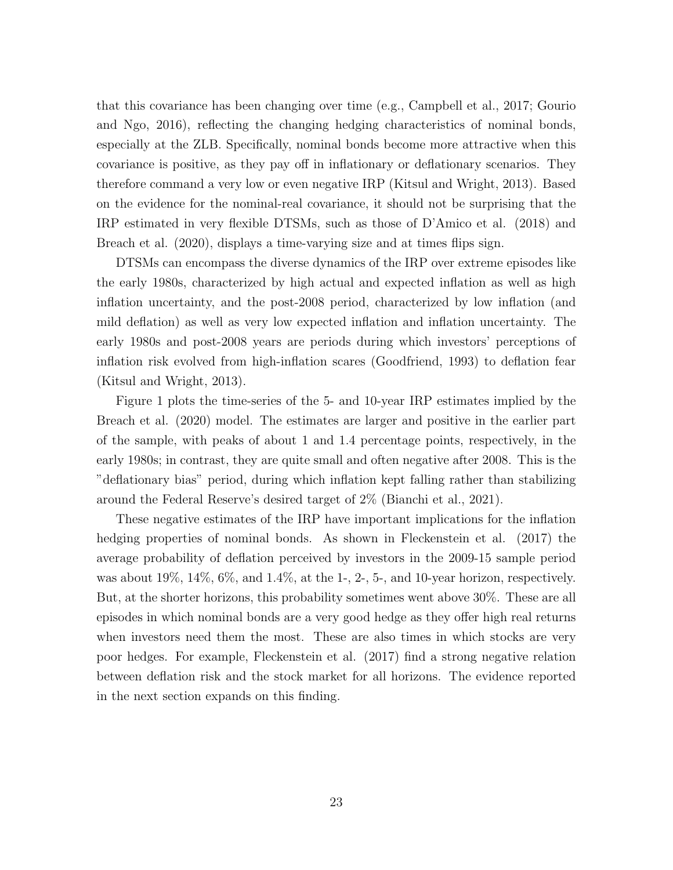that this covariance has been changing over time (e.g., Campbell et al., 2017; Gourio and Ngo, 2016), reflecting the changing hedging characteristics of nominal bonds, especially at the ZLB. Specifically, nominal bonds become more attractive when this covariance is positive, as they pay off in inflationary or deflationary scenarios. They therefore command a very low or even negative IRP (Kitsul and Wright, 2013). Based on the evidence for the nominal-real covariance, it should not be surprising that the IRP estimated in very flexible DTSMs, such as those of D'Amico et al. (2018) and Breach et al. (2020), displays a time-varying size and at times flips sign.

DTSMs can encompass the diverse dynamics of the IRP over extreme episodes like the early 1980s, characterized by high actual and expected inflation as well as high inflation uncertainty, and the post-2008 period, characterized by low inflation (and mild deflation) as well as very low expected inflation and inflation uncertainty. The early 1980s and post-2008 years are periods during which investors' perceptions of inflation risk evolved from high-inflation scares (Goodfriend, 1993) to deflation fear (Kitsul and Wright, 2013).

Figure 1 plots the time-series of the 5- and 10-year IRP estimates implied by the Breach et al. (2020) model. The estimates are larger and positive in the earlier part of the sample, with peaks of about 1 and 1.4 percentage points, respectively, in the early 1980s; in contrast, they are quite small and often negative after 2008. This is the "deflationary bias" period, during which inflation kept falling rather than stabilizing around the Federal Reserve's desired target of 2% (Bianchi et al., 2021).

These negative estimates of the IRP have important implications for the inflation hedging properties of nominal bonds. As shown in Fleckenstein et al. (2017) the average probability of deflation perceived by investors in the 2009-15 sample period was about 19%,  $14\%, 6\%,$  and  $1.4\%,$  at the 1-, 2-, 5-, and 10-year horizon, respectively. But, at the shorter horizons, this probability sometimes went above 30%. These are all episodes in which nominal bonds are a very good hedge as they offer high real returns when investors need them the most. These are also times in which stocks are very poor hedges. For example, Fleckenstein et al. (2017) find a strong negative relation between deflation risk and the stock market for all horizons. The evidence reported in the next section expands on this finding.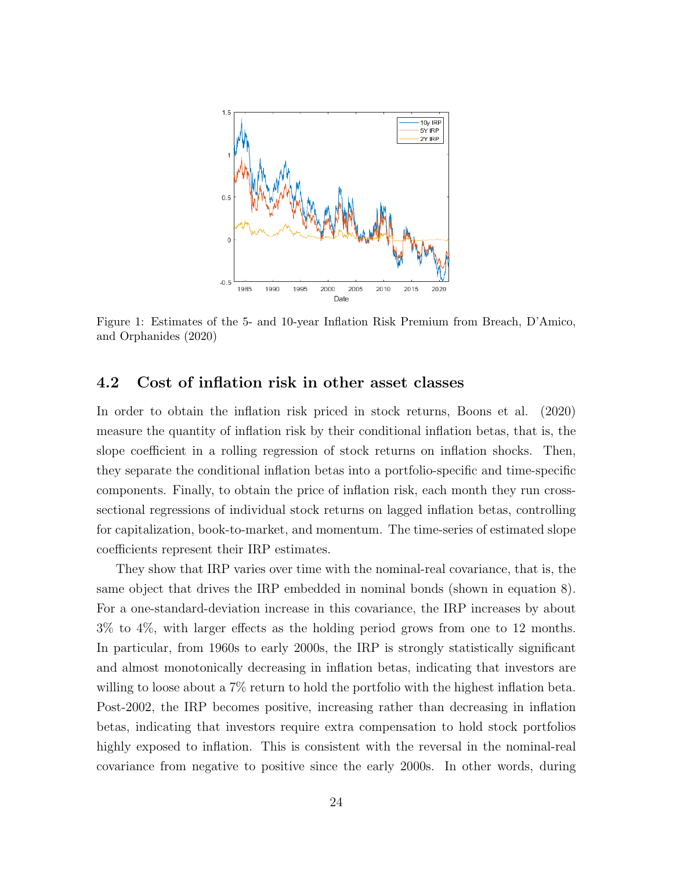

Figure 1: Estimates of the 5- and 10-year Inflation Risk Premium from Breach, D'Amico, and Orphanides (2020)

### 4.2 Cost of inflation risk in other asset classes

In order to obtain the inflation risk priced in stock returns, Boons et al. (2020) measure the quantity of inflation risk by their conditional inflation betas, that is, the slope coefficient in a rolling regression of stock returns on inflation shocks. Then, they separate the conditional inflation betas into a portfolio-specific and time-specific components. Finally, to obtain the price of inflation risk, each month they run crosssectional regressions of individual stock returns on lagged inflation betas, controlling for capitalization, book-to-market, and momentum. The time-series of estimated slope coefficients represent their IRP estimates.

They show that IRP varies over time with the nominal-real covariance, that is, the same object that drives the IRP embedded in nominal bonds (shown in equation 8). For a one-standard-deviation increase in this covariance, the IRP increases by about 3% to 4%, with larger effects as the holding period grows from one to 12 months. In particular, from 1960s to early 2000s, the IRP is strongly statistically significant and almost monotonically decreasing in inflation betas, indicating that investors are willing to loose about a 7% return to hold the portfolio with the highest inflation beta. Post-2002, the IRP becomes positive, increasing rather than decreasing in inflation betas, indicating that investors require extra compensation to hold stock portfolios highly exposed to inflation. This is consistent with the reversal in the nominal-real covariance from negative to positive since the early 2000s. In other words, during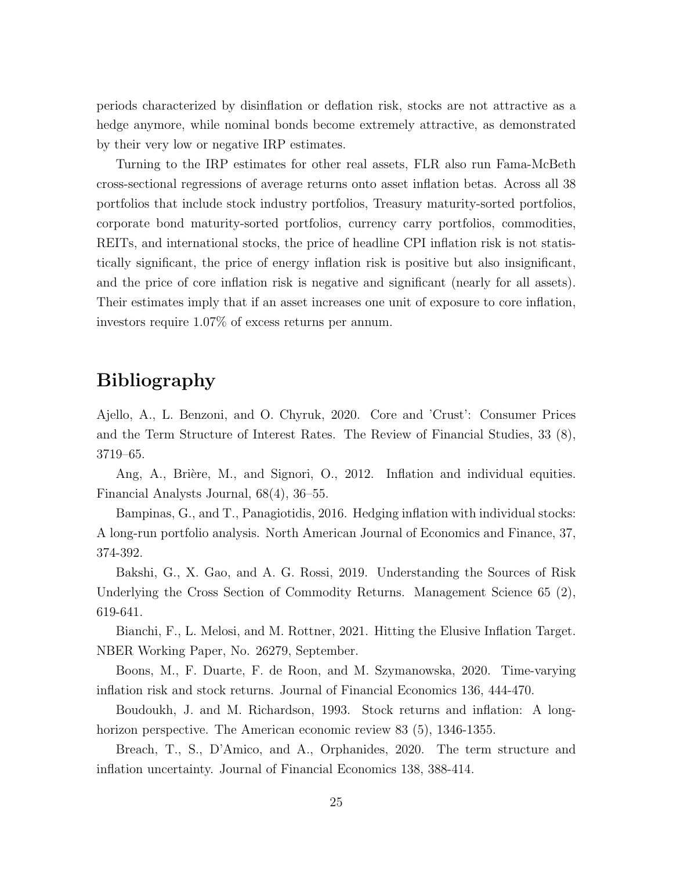periods characterized by disinflation or deflation risk, stocks are not attractive as a hedge anymore, while nominal bonds become extremely attractive, as demonstrated by their very low or negative IRP estimates.

Turning to the IRP estimates for other real assets, FLR also run Fama-McBeth cross-sectional regressions of average returns onto asset inflation betas. Across all 38 portfolios that include stock industry portfolios, Treasury maturity-sorted portfolios, corporate bond maturity-sorted portfolios, currency carry portfolios, commodities, REITs, and international stocks, the price of headline CPI inflation risk is not statistically significant, the price of energy inflation risk is positive but also insignificant, and the price of core inflation risk is negative and significant (nearly for all assets). Their estimates imply that if an asset increases one unit of exposure to core inflation, investors require 1.07% of excess returns per annum.

## Bibliography

Ajello, A., L. Benzoni, and O. Chyruk, 2020. Core and 'Crust': Consumer Prices and the Term Structure of Interest Rates. The Review of Financial Studies, 33 (8), 3719–65.

Ang, A., Brière, M., and Signori, O., 2012. Inflation and individual equities. Financial Analysts Journal, 68(4), 36–55.

Bampinas, G., and T., Panagiotidis, 2016. Hedging inflation with individual stocks: A long-run portfolio analysis. North American Journal of Economics and Finance, 37, 374-392.

Bakshi, G., X. Gao, and A. G. Rossi, 2019. Understanding the Sources of Risk Underlying the Cross Section of Commodity Returns. Management Science 65 (2), 619-641.

Bianchi, F., L. Melosi, and M. Rottner, 2021. Hitting the Elusive Inflation Target. NBER Working Paper, No. 26279, September.

Boons, M., F. Duarte, F. de Roon, and M. Szymanowska, 2020. Time-varying inflation risk and stock returns. Journal of Financial Economics 136, 444-470.

Boudoukh, J. and M. Richardson, 1993. Stock returns and inflation: A longhorizon perspective. The American economic review 83 (5), 1346-1355.

Breach, T., S., D'Amico, and A., Orphanides, 2020. The term structure and inflation uncertainty. Journal of Financial Economics 138, 388-414.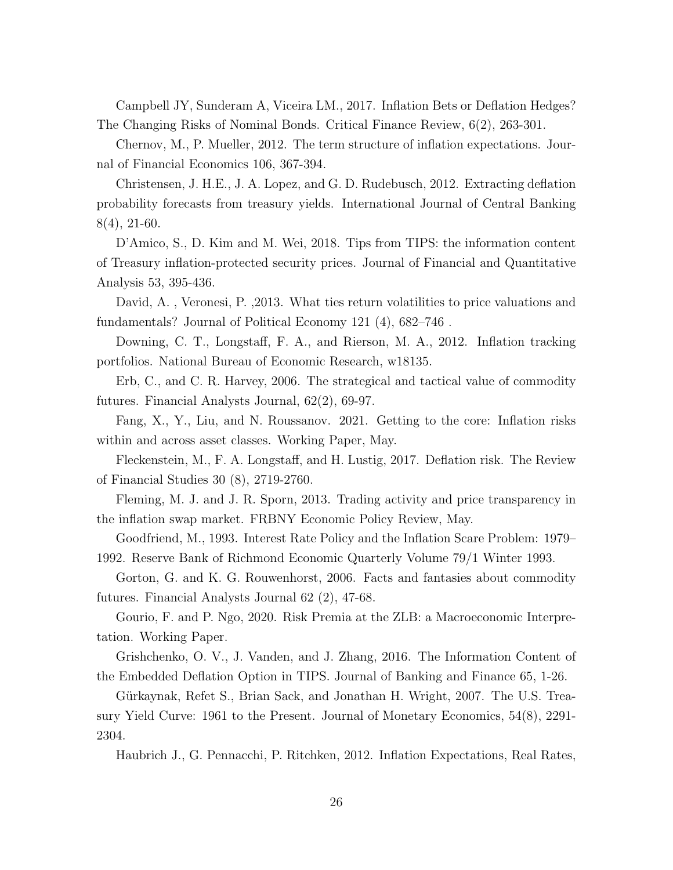Campbell JY, Sunderam A, Viceira LM., 2017. Inflation Bets or Deflation Hedges? The Changing Risks of Nominal Bonds. Critical Finance Review, 6(2), 263-301.

Chernov, M., P. Mueller, 2012. The term structure of inflation expectations. Journal of Financial Economics 106, 367-394.

Christensen, J. H.E., J. A. Lopez, and G. D. Rudebusch, 2012. Extracting deflation probability forecasts from treasury yields. International Journal of Central Banking 8(4), 21-60.

D'Amico, S., D. Kim and M. Wei, 2018. Tips from TIPS: the information content of Treasury inflation-protected security prices. Journal of Financial and Quantitative Analysis 53, 395-436.

David, A. , Veronesi, P. ,2013. What ties return volatilities to price valuations and fundamentals? Journal of Political Economy 121 (4), 682–746 .

Downing, C. T., Longstaff, F. A., and Rierson, M. A., 2012. Inflation tracking portfolios. National Bureau of Economic Research, w18135.

Erb, C., and C. R. Harvey, 2006. The strategical and tactical value of commodity futures. Financial Analysts Journal, 62(2), 69-97.

Fang, X., Y., Liu, and N. Roussanov. 2021. Getting to the core: Inflation risks within and across asset classes. Working Paper, May.

Fleckenstein, M., F. A. Longstaff, and H. Lustig, 2017. Deflation risk. The Review of Financial Studies 30 (8), 2719-2760.

Fleming, M. J. and J. R. Sporn, 2013. Trading activity and price transparency in the inflation swap market. FRBNY Economic Policy Review, May.

Goodfriend, M., 1993. Interest Rate Policy and the Inflation Scare Problem: 1979– 1992. Reserve Bank of Richmond Economic Quarterly Volume 79/1 Winter 1993.

Gorton, G. and K. G. Rouwenhorst, 2006. Facts and fantasies about commodity futures. Financial Analysts Journal 62 (2), 47-68.

Gourio, F. and P. Ngo, 2020. Risk Premia at the ZLB: a Macroeconomic Interpretation. Working Paper.

Grishchenko, O. V., J. Vanden, and J. Zhang, 2016. The Information Content of the Embedded Deflation Option in TIPS. Journal of Banking and Finance 65, 1-26.

Gürkaynak, Refet S., Brian Sack, and Jonathan H. Wright, 2007. The U.S. Treasury Yield Curve: 1961 to the Present. Journal of Monetary Economics, 54(8), 2291- 2304.

Haubrich J., G. Pennacchi, P. Ritchken, 2012. Inflation Expectations, Real Rates,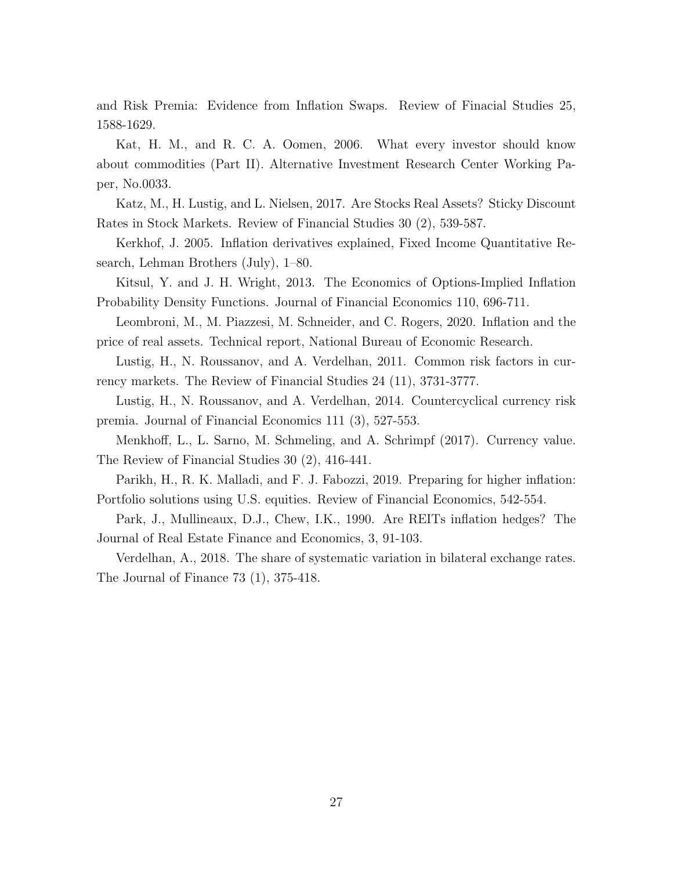and Risk Premia: Evidence from Inflation Swaps. Review of Finacial Studies 25, 1588-1629.

Kat, H. M., and R. C. A. Oomen, 2006. What every investor should know about commodities (Part II). Alternative Investment Research Center Working Paper, No.0033.

Katz, M., H. Lustig, and L. Nielsen, 2017. Are Stocks Real Assets? Sticky Discount Rates in Stock Markets. Review of Financial Studies 30 (2), 539-587.

Kerkhof, J. 2005. Inflation derivatives explained, Fixed Income Quantitative Research, Lehman Brothers (July), 1–80.

Kitsul, Y. and J. H. Wright, 2013. The Economics of Options-Implied Inflation Probability Density Functions. Journal of Financial Economics 110, 696-711.

Leombroni, M., M. Piazzesi, M. Schneider, and C. Rogers, 2020. Inflation and the price of real assets. Technical report, National Bureau of Economic Research.

Lustig, H., N. Roussanov, and A. Verdelhan, 2011. Common risk factors in currency markets. The Review of Financial Studies 24 (11), 3731-3777.

Lustig, H., N. Roussanov, and A. Verdelhan, 2014. Countercyclical currency risk premia. Journal of Financial Economics 111 (3), 527-553.

Menkhoff, L., L. Sarno, M. Schmeling, and A. Schrimpf (2017). Currency value. The Review of Financial Studies 30 (2), 416-441.

Parikh, H., R. K. Malladi, and F. J. Fabozzi, 2019. Preparing for higher inflation: Portfolio solutions using U.S. equities. Review of Financial Economics, 542-554.

Park, J., Mullineaux, D.J., Chew, I.K., 1990. Are REITs inflation hedges? The Journal of Real Estate Finance and Economics, 3, 91-103.

Verdelhan, A., 2018. The share of systematic variation in bilateral exchange rates. The Journal of Finance 73 (1), 375-418.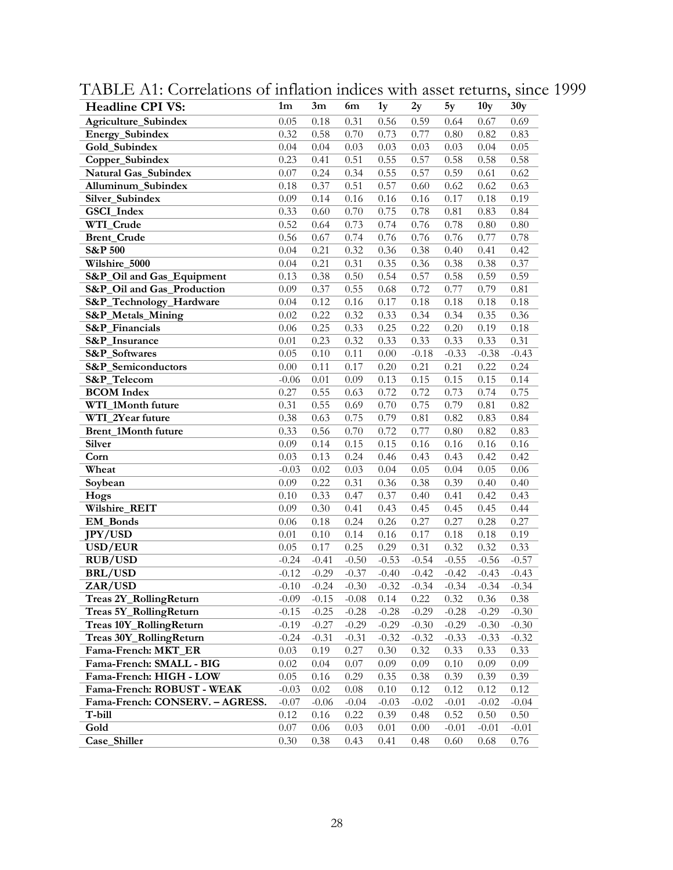| <b>Headline CPI VS:</b>         | 1 <sub>m</sub> | 3m       | 6m      | 1y      | 2y      | 5y       | 10 <sub>y</sub> | 30y      |
|---------------------------------|----------------|----------|---------|---------|---------|----------|-----------------|----------|
| Agriculture_Subindex            | 0.05           | 0.18     | 0.31    | 0.56    | 0.59    | 0.64     | 0.67            | 0.69     |
| Energy_Subindex                 | 0.32           | 0.58     | 0.70    | 0.73    | 0.77    | $0.80\,$ | 0.82            | 0.83     |
| Gold_Subindex                   | 0.04           | 0.04     | 0.03    | 0.03    | 0.03    | 0.03     | 0.04            | 0.05     |
| Copper_Subindex                 | 0.23           | 0.41     | 0.51    | 0.55    | 0.57    | 0.58     | 0.58            | 0.58     |
| Natural Gas_Subindex            | 0.07           | 0.24     | 0.34    | 0.55    | 0.57    | 0.59     | 0.61            | 0.62     |
| Alluminum_Subindex              | 0.18           | 0.37     | 0.51    | 0.57    | 0.60    | 0.62     | 0.62            | 0.63     |
| Silver_Subindex                 | 0.09           | 0.14     | 0.16    | 0.16    | 0.16    | 0.17     | 0.18            | 0.19     |
| GSCI_Index                      | 0.33           | 0.60     | 0.70    | 0.75    | 0.78    | $0.81\,$ | 0.83            | 0.84     |
| WTI_Crude                       | 0.52           | 0.64     | 0.73    | 0.74    | 0.76    | 0.78     | 0.80            | 0.80     |
| <b>Brent_Crude</b>              | 0.56           | 0.67     | 0.74    | 0.76    | 0.76    | 0.76     | 0.77            | 0.78     |
| <b>S&amp;P 500</b>              | 0.04           | 0.21     | 0.32    | 0.36    | 0.38    | 0.40     | 0.41            | 0.42     |
| Wilshire_5000                   | 0.04           | 0.21     | 0.31    | 0.35    | 0.36    | 0.38     | 0.38            | 0.37     |
| S&P_Oil and Gas_Equipment       | 0.13           | 0.38     | 0.50    | 0.54    | 0.57    | 0.58     | 0.59            | 0.59     |
| S&P_Oil and Gas_Production      | 0.09           | 0.37     | 0.55    | 0.68    | 0.72    | 0.77     | 0.79            | 0.81     |
| S&P_Technology_Hardware         | 0.04           | 0.12     | 0.16    | 0.17    | 0.18    | $0.18\,$ | 0.18            | $0.18\,$ |
| S&P_Metals_Mining               | 0.02           | 0.22     | 0.32    | 0.33    | 0.34    | 0.34     | 0.35            | 0.36     |
| S&P_Financials                  | $0.06\,$       | 0.25     | 0.33    | 0.25    | 0.22    | 0.20     | 0.19            | $0.18\,$ |
| S&P Insurance                   | 0.01           | 0.23     | 0.32    | 0.33    | 0.33    | 0.33     | 0.33            | 0.31     |
| S&P_Softwares                   | 0.05           | 0.10     | 0.11    | 0.00    | $-0.18$ | $-0.33$  | $-0.38$         | $-0.43$  |
| S&P_Semiconductors              | 0.00           | 0.11     | 0.17    | 0.20    | 0.21    | 0.21     | 0.22            | 0.24     |
| S&P_Telecom                     | $-0.06$        | 0.01     | 0.09    | 0.13    | 0.15    | 0.15     | 0.15            | 0.14     |
| <b>BCOM</b> Index               | 0.27           | 0.55     | 0.63    | 0.72    | 0.72    | 0.73     | 0.74            | 0.75     |
| WTI_1Month future               | 0.31           | 0.55     | 0.69    | 0.70    | 0.75    | 0.79     | 0.81            | 0.82     |
| WTI_2Year future                | 0.38           | 0.63     | 0.75    | 0.79    | 0.81    | 0.82     | 0.83            | 0.84     |
| Brent_1Month future             | 0.33           | 0.56     | 0.70    | 0.72    | 0.77    | $0.80\,$ | 0.82            | 0.83     |
| Silver                          | 0.09           | 0.14     | 0.15    | 0.15    | 0.16    | 0.16     | 0.16            | 0.16     |
| Corn                            | 0.03           | 0.13     | 0.24    | 0.46    | 0.43    | 0.43     | 0.42            | 0.42     |
| Wheat                           | $-0.03$        | 0.02     | 0.03    | 0.04    | 0.05    | 0.04     | 0.05            | $0.06\,$ |
| Soybean                         | 0.09           | 0.22     | 0.31    | 0.36    | 0.38    | 0.39     | 0.40            | 0.40     |
| Hogs                            | 0.10           | 0.33     | 0.47    | 0.37    | 0.40    | 0.41     | 0.42            | 0.43     |
| Wilshire_REIT                   | 0.09           | 0.30     | 0.41    | 0.43    | 0.45    | 0.45     | 0.45            | 0.44     |
| EM_Bonds                        | 0.06           | 0.18     | 0.24    | 0.26    | 0.27    | 0.27     | 0.28            | 0.27     |
| <b>JPY/USD</b>                  | 0.01           | 0.10     | 0.14    | 0.16    | 0.17    | $0.18\,$ | 0.18            | 0.19     |
| USD/EUR                         | 0.05           | 0.17     | 0.25    | 0.29    | 0.31    | 0.32     | 0.32            | 0.33     |
| <b>RUB/USD</b>                  | $-0.24$        | $-0.41$  | $-0.50$ | $-0.53$ | $-0.54$ | $-0.55$  | $-0.56$         | $-0.57$  |
| <b>BRL/USD</b>                  | $-0.12$        | $-0.29$  | $-0.37$ | $-0.40$ | $-0.42$ | $-0.42$  | $-0.43$         | $-0.43$  |
| ZAR/USD                         | $-0.10$        | $-0.24$  | $-0.30$ | $-0.32$ | $-0.34$ | $-0.34$  | $-0.34$         | $-0.34$  |
| Treas 2Y_RollingReturn          | $-0.09$        | $-0.15$  | $-0.08$ | 0.14    | 0.22    | 0.32     | 0.36            | 0.38     |
| Treas 5Y_RollingReturn          | $-0.15$        | $-0.25$  | $-0.28$ | $-0.28$ | $-0.29$ | $-0.28$  | $-0.29$         | $-0.30$  |
| Treas 10Y_RollingReturn         | $-0.19$        | $-0.27$  | $-0.29$ | $-0.29$ | $-0.30$ | $-0.29$  | $-0.30$         | $-0.30$  |
| Treas 30Y_RollingReturn         | $-0.24$        | $-0.31$  | $-0.31$ | $-0.32$ | $-0.32$ | $-0.33$  | $-0.33$         | $-0.32$  |
| Fama-French: MKT_ER             | 0.03           | 0.19     | 0.27    | 0.30    | 0.32    | 0.33     | 0.33            | 0.33     |
| Fama-French: SMALL - BIG        | 0.02           | 0.04     | 0.07    | 0.09    | 0.09    | 0.10     | 0.09            | 0.09     |
| Fama-French: HIGH - LOW         | 0.05           | 0.16     | 0.29    | 0.35    | 0.38    | 0.39     | 0.39            | 0.39     |
| Fama-French: ROBUST - WEAK      | $-0.03$        | $0.02\,$ | 0.08    | 0.10    | 0.12    | 0.12     | 0.12            | 0.12     |
| Fama-French: CONSERV. - AGRESS. | $-0.07$        | $-0.06$  | $-0.04$ | $-0.03$ | $-0.02$ | $-0.01$  | $-0.02$         | $-0.04$  |
| T-bill                          | 0.12           | 0.16     | 0.22    | 0.39    | 0.48    | 0.52     | 0.50            | 0.50     |
| Gold                            | 0.07           | 0.06     | 0.03    | 0.01    | 0.00    | $-0.01$  | $-0.01$         | $-0.01$  |
| Case_Shiller                    | 0.30           | 0.38     | 0.43    | 0.41    | 0.48    | 0.60     | 0.68            | 0.76     |

TABLE A1: Correlations of inflation indices with asset returns, since 1999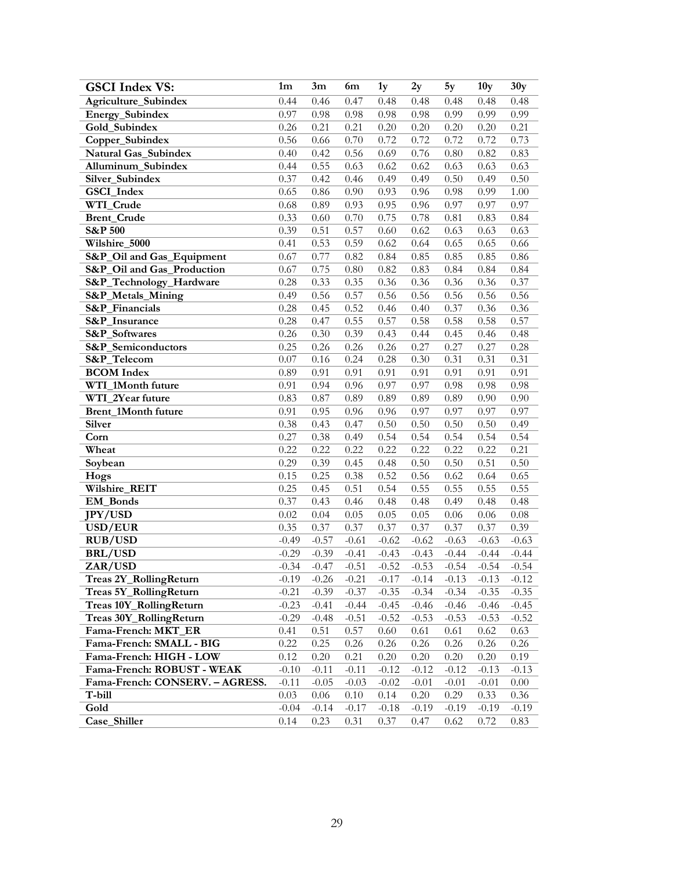| <b>GSCI Index VS:</b>                                 | 1 <sub>m</sub> | 3m      | 6m       | 1y      | 2y       | 5y      | 10 <sub>y</sub> | 30y     |
|-------------------------------------------------------|----------------|---------|----------|---------|----------|---------|-----------------|---------|
| Agriculture_Subindex                                  | 0.44           | 0.46    | 0.47     | 0.48    | 0.48     | 0.48    | 0.48            | 0.48    |
| Energy_Subindex                                       | 0.97           | 0.98    | 0.98     | 0.98    | 0.98     | 0.99    | 0.99            | 0.99    |
| Gold_Subindex                                         | 0.26           | 0.21    | 0.21     | 0.20    | 0.20     | 0.20    | 0.20            | 0.21    |
| Copper_Subindex                                       | 0.56           | 0.66    | 0.70     | 0.72    | 0.72     | 0.72    | 0.72            | 0.73    |
| <b>Natural Gas Subindex</b>                           | 0.40           | 0.42    | 0.56     | 0.69    | 0.76     | 0.80    | 0.82            | 0.83    |
| Alluminum_Subindex                                    | 0.44           | 0.55    | 0.63     | 0.62    | 0.62     | 0.63    | 0.63            | 0.63    |
| Silver_Subindex                                       | 0.37           | 0.42    | 0.46     | 0.49    | 0.49     | 0.50    | 0.49            | 0.50    |
| GSCI_Index                                            | 0.65           | 0.86    | 0.90     | 0.93    | 0.96     | 0.98    | 0.99            | 1.00    |
| WTI_Crude                                             | 0.68           | 0.89    | 0.93     | 0.95    | 0.96     | 0.97    | 0.97            | 0.97    |
| <b>Brent_Crude</b>                                    | 0.33           | 0.60    | 0.70     | 0.75    | 0.78     | 0.81    | 0.83            | 0.84    |
| <b>S&amp;P 500</b>                                    | 0.39           | 0.51    | 0.57     | 0.60    | 0.62     | 0.63    | 0.63            | 0.63    |
| Wilshire_5000                                         | 0.41           | 0.53    | 0.59     | 0.62    | 0.64     | 0.65    | 0.65            | 0.66    |
| S&P_Oil and Gas_Equipment                             | 0.67           | 0.77    | 0.82     | 0.84    | 0.85     | 0.85    | 0.85            | 0.86    |
| S&P_Oil and Gas_Production                            | 0.67           | 0.75    | $0.80\,$ | 0.82    | 0.83     | 0.84    | 0.84            | 0.84    |
| S&P_Technology_Hardware                               | 0.28           | 0.33    | 0.35     | 0.36    | 0.36     | 0.36    | 0.36            | 0.37    |
| S&P_Metals_Mining                                     | 0.49           | 0.56    | 0.57     | 0.56    | 0.56     | 0.56    | 0.56            | 0.56    |
| S&P_Financials                                        | 0.28           | 0.45    | 0.52     | 0.46    | 0.40     | 0.37    | 0.36            | 0.36    |
| S&P_Insurance                                         | 0.28           | 0.47    | 0.55     | 0.57    | 0.58     | 0.58    | 0.58            | 0.57    |
| S&P_Softwares                                         | 0.26           | 0.30    | 0.39     | 0.43    | 0.44     | 0.45    | 0.46            | 0.48    |
| S&P_Semiconductors                                    | 0.25           | 0.26    | 0.26     | 0.26    | 0.27     | 0.27    | 0.27            | 0.28    |
| S&P_Telecom                                           | 0.07           | 0.16    | 0.24     | 0.28    | 0.30     | 0.31    | 0.31            | 0.31    |
| <b>BCOM</b> Index                                     | 0.89           | 0.91    | 0.91     | 0.91    | 0.91     | 0.91    | 0.91            | 0.91    |
| WTI_1Month future                                     | 0.91           | 0.94    | 0.96     | 0.97    | 0.97     | 0.98    | 0.98            | 0.98    |
| WTI 2Year future                                      | 0.83           | 0.87    | 0.89     | 0.89    | 0.89     | 0.89    | 0.90            | 0.90    |
| Brent_1Month future                                   | 0.91           | 0.95    | 0.96     | 0.96    | 0.97     | 0.97    | 0.97            | 0.97    |
| Silver                                                | 0.38           | 0.43    | 0.47     | 0.50    | 0.50     | 0.50    | 0.50            | 0.49    |
| Corn                                                  | 0.27           | 0.38    | 0.49     | 0.54    | 0.54     | 0.54    | 0.54            | 0.54    |
| Wheat                                                 | 0.22           | 0.22    | 0.22     | 0.22    | 0.22     | 0.22    | 0.22            | 0.21    |
| Soybean                                               | 0.29           | 0.39    | 0.45     | 0.48    | 0.50     | 0.50    | 0.51            | 0.50    |
| Hogs                                                  | 0.15           | 0.25    | 0.38     | 0.52    | 0.56     | 0.62    | 0.64            | 0.65    |
| Wilshire_REIT                                         | 0.25           | 0.45    | 0.51     | 0.54    | 0.55     | 0.55    | 0.55            | 0.55    |
| EM_Bonds                                              | 0.37           | 0.43    | 0.46     | 0.48    | 0.48     | 0.49    | 0.48            | 0.48    |
| <b>JPY/USD</b>                                        | 0.02           | 0.04    | 0.05     | 0.05    | 0.05     | 0.06    | 0.06            | 0.08    |
| USD/EUR                                               | 0.35           | 0.37    | 0.37     | 0.37    | 0.37     | 0.37    | 0.37            | 0.39    |
| <b>RUB/USD</b>                                        | $-0.49$        | $-0.57$ | $-0.61$  | $-0.62$ | $-0.62$  | $-0.63$ | $-0.63$         | $-0.63$ |
| <b>BRL/USD</b>                                        | $-0.29$        | $-0.39$ | $-0.41$  | $-0.43$ | $-0.43$  | $-0.44$ | $-0.44$         | $-0.44$ |
| ZAR/USD                                               | $-0.34$        | $-0.47$ | $-0.51$  | $-0.52$ | $-0.53$  | $-0.54$ | $-0.54$         | $-0.54$ |
| Treas 2Y_RollingReturn                                | $-0.19$        | $-0.26$ | $-0.21$  | $-0.17$ | $-0.14$  | $-0.13$ | $-0.13$         | $-0.12$ |
| <b>Treas 5Y RollingReturn</b>                         | $-0.21$        | $-0.39$ | $-0.37$  | $-0.35$ | $-0.34$  | $-0.34$ | $-0.35$         | $-0.35$ |
| Treas 10Y_RollingReturn                               | $-0.23$        | $-0.41$ | $-0.44$  | $-0.45$ | $-0.46$  | $-0.46$ | $-0.46$         | $-0.45$ |
| Treas 30Y_RollingReturn                               | $-0.29$        | $-0.48$ | $-0.51$  | $-0.52$ | $-0.53$  | $-0.53$ | $-0.53$         | $-0.52$ |
| Fama-French: MKT_ER                                   | 0.41           | 0.51    | 0.57     | 0.60    | 0.61     | 0.61    | 0.62            | 0.63    |
| Fama-French: SMALL - BIG                              | 0.22           | 0.25    | 0.26     | 0.26    | 0.26     | 0.26    | 0.26            | 0.26    |
| Fama-French: HIGH - LOW<br>Fama-French: ROBUST - WEAK | 0.12           | 0.20    | 0.21     | 0.20    | 0.20     | 0.20    | 0.20            | 0.19    |
|                                                       | $-0.10$        | $-0.11$ | $-0.11$  | $-0.12$ | $-0.12$  | $-0.12$ | $-0.13$         | $-0.13$ |
| Fama-French: CONSERV. - AGRESS.                       | $-0.11$        | $-0.05$ | $-0.03$  | $-0.02$ | $-0.01$  | $-0.01$ | $-0.01$         | 0.00    |
| T-bill                                                | 0.03           | 0.06    | 0.10     | 0.14    | $0.20\,$ | 0.29    | 0.33            | 0.36    |
| Gold                                                  | $-0.04$        | $-0.14$ | $-0.17$  | $-0.18$ | $-0.19$  | $-0.19$ | $-0.19$         | $-0.19$ |
| Case_Shiller                                          | 0.14           | 0.23    | 0.31     | 0.37    | 0.47     | 0.62    | 0.72            | 0.83    |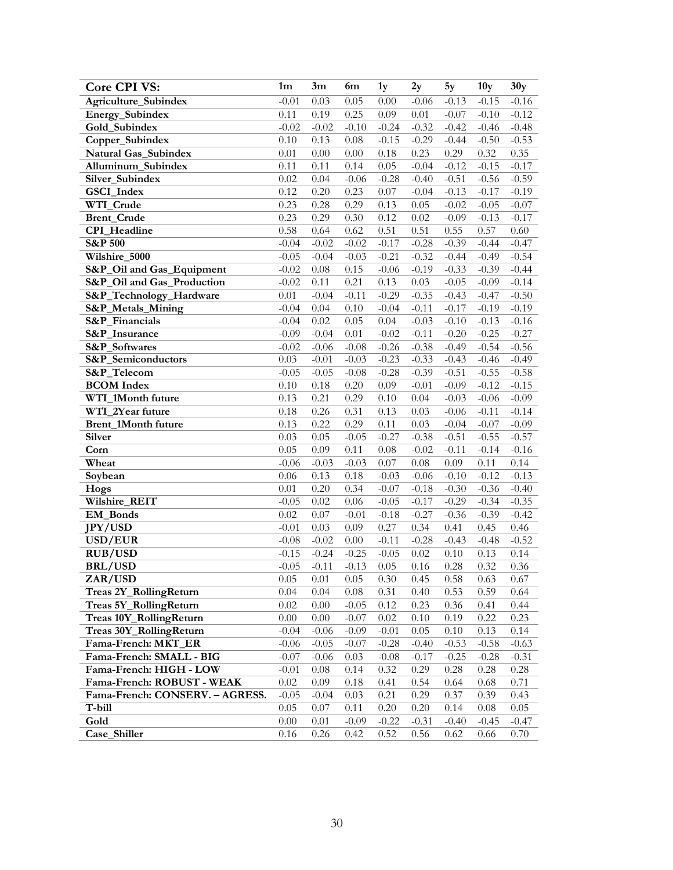| Core CPI VS:                                                  | 1 <sub>m</sub> | 3m       | 6m       | 1y       | 2y           | 5y       | 10 <sub>y</sub> | 30y      |
|---------------------------------------------------------------|----------------|----------|----------|----------|--------------|----------|-----------------|----------|
| Agriculture_Subindex                                          | $-0.01$        | 0.03     | 0.05     | 0.00     | $-0.06$      | $-0.13$  | $-0.15$         | $-0.16$  |
| Energy_Subindex                                               | 0.11           | 0.19     | 0.25     | 0.09     | 0.01         | $-0.07$  | $-0.10$         | $-0.12$  |
| Gold_Subindex                                                 | $-0.02$        | $-0.02$  | $-0.10$  | $-0.24$  | $-0.32$      | $-0.42$  | $-0.46$         | $-0.48$  |
| Copper_Subindex                                               | 0.10           | 0.13     | $0.08\,$ | $-0.15$  | $-0.29$      | $-0.44$  | $-0.50$         | $-0.53$  |
| Natural Gas_Subindex                                          | 0.01           | 0.00     | $0.00\,$ | $0.18\,$ | 0.23         | 0.29     | 0.32            | 0.35     |
| Alluminum_Subindex                                            | 0.11           | 0.11     | 0.14     | 0.05     | $-0.04$      | $-0.12$  | $-0.15$         | $-0.17$  |
| Silver_Subindex                                               | 0.02           | 0.04     | $-0.06$  | $-0.28$  | $-0.40$      | $-0.51$  | $-0.56$         | $-0.59$  |
| GSCI_Index                                                    | 0.12           | 0.20     | 0.23     | $0.07\,$ | $-0.04$      | $-0.13$  | $-0.17$         | $-0.19$  |
| WTI_Crude                                                     | 0.23           | 0.28     | 0.29     | 0.13     | 0.05         | $-0.02$  | $-0.05$         | $-0.07$  |
| <b>Brent_Crude</b>                                            | 0.23           | 0.29     | 0.30     | 0.12     | 0.02         | $-0.09$  | $-0.13$         | $-0.17$  |
| CPI_Headline                                                  | 0.58           | 0.64     | 0.62     | 0.51     | 0.51         | 0.55     | 0.57            | 0.60     |
| <b>S&amp;P 500</b>                                            | $-0.04$        | $-0.02$  | $-0.02$  | $-0.17$  | $-0.28$      | $-0.39$  | $-0.44$         | $-0.47$  |
| Wilshire_5000                                                 | $-0.05$        | $-0.04$  | $-0.03$  | $-0.21$  | $-0.32$      | $-0.44$  | $-0.49$         | $-0.54$  |
| S&P_Oil and Gas_Equipment                                     | $-0.02$        | 0.08     | 0.15     | $-0.06$  | $-0.19$      | $-0.33$  | $-0.39$         | $-0.44$  |
| S&P_Oil and Gas_Production                                    | $-0.02$        | 0.11     | 0.21     | 0.13     | 0.03         | $-0.05$  | $-0.09$         | $-0.14$  |
| S&P_Technology_Hardware                                       | $0.01\,$       | $-0.04$  | $-0.11$  | $-0.29$  | $-0.35$      | $-0.43$  | $-0.47$         | $-0.50$  |
| S&P_Metals_Mining                                             | $-0.04$        | 0.04     | 0.10     | $-0.04$  | $-0.11$      | $-0.17$  | $-0.19$         | $-0.19$  |
| S&P_Financials                                                | $-0.04$        | 0.02     | 0.05     | 0.04     | $-0.03$      | $-0.10$  | $-0.13$         | $-0.16$  |
| <b>S&amp;P</b> Insurance                                      | $-0.09$        | $-0.04$  | $0.01\,$ | $-0.02$  | $-0.11$      | $-0.20$  | $-0.25$         | $-0.27$  |
| S&P_Softwares                                                 | $-0.02$        | $-0.06$  | $-0.08$  | $-0.26$  | $-0.38$      | $-0.49$  | $-0.54$         | $-0.56$  |
| S&P_Semiconductors                                            | 0.03           | $-0.01$  | $-0.03$  | $-0.23$  | $-0.33$      | $-0.43$  | $-0.46$         | $-0.49$  |
| S&P_Telecom                                                   | $-0.05$        | $-0.05$  | $-0.08$  | $-0.28$  | $-0.39$      | $-0.51$  | $-0.55$         | $-0.58$  |
| <b>BCOM</b> Index                                             | 0.10           | 0.18     | 0.20     | 0.09     | $-0.01$      | $-0.09$  | $-0.12$         | $-0.15$  |
| WTI_1Month future                                             | 0.13           | 0.21     | 0.29     | 0.10     | 0.04         | $-0.03$  | $-0.06$         | $-0.09$  |
| WTI_2Year future                                              | 0.18           | 0.26     | 0.31     | 0.13     | 0.03         | $-0.06$  | $-0.11$         | $-0.14$  |
| Brent_1Month future                                           | 0.13           | 0.22     | 0.29     | 0.11     | 0.03         | $-0.04$  | $-0.07$         | $-0.09$  |
| <b>Silver</b>                                                 | 0.03           | 0.05     | $-0.05$  | $-0.27$  | $-0.38$      | $-0.51$  | $-0.55$         | $-0.57$  |
| Corn                                                          | 0.05           | 0.09     | 0.11     | 0.08     | $-0.02$      | $-0.11$  | $-0.14$         | $-0.16$  |
| Wheat                                                         | $-0.06$        | $-0.03$  | $-0.03$  | 0.07     | $0.08\,$     | 0.09     | 0.11            | 0.14     |
| Soybean                                                       | 0.06           | 0.13     | 0.18     | $-0.03$  | $-0.06$      | $-0.10$  | $-0.12$         | $-0.13$  |
| Hogs                                                          | 0.01           | 0.20     | 0.34     | $-0.07$  | $-0.18$      | $-0.30$  | $-0.36$         | $-0.40$  |
| Wilshire_REIT                                                 | $-0.05$        | 0.02     | 0.06     | $-0.05$  | $-0.17$      | $-0.29$  | $-0.34$         | $-0.35$  |
| EM_Bonds                                                      | 0.02           | 0.07     | $-0.01$  | $-0.18$  | $-0.27$      | $-0.36$  | $-0.39$         | $-0.42$  |
| <b>JPY/USD</b>                                                | $-0.01$        | 0.03     | 0.09     | 0.27     | 0.34         | 0.41     | 0.45            | 0.46     |
| USD/EUR                                                       | $-0.08$        | $-0.02$  | $0.00\,$ | $-0.11$  | $-0.28$      | $-0.43$  | $-0.48$         | $-0.52$  |
| <b>RUB/USD</b>                                                | $-0.15$        | $-0.24$  | $-0.25$  | $-0.05$  | 0.02         | 0.10     | 0.13            | 0.14     |
| <b>BRL/USD</b>                                                | $-0.05$        | $-0.11$  | $-0.13$  | 0.05     | $0.16\,$     | 0.28     | 0.32            | 0.36     |
| ZAR/USD                                                       | 0.05           | 0.01     | 0.05     | 0.30     | 0.45         | 0.58     | 0.63            | 0.67     |
| Treas 2Y_RollingReturn                                        | 0.04           | 0.04     | $0.08\,$ | 0.31     | 0.40         | 0.53     | 0.59            | 0.64     |
| Treas 5Y_RollingReturn                                        | 0.02           | 0.00     | $-0.05$  | 0.12     | 0.23         | 0.36     | 0.41            | 0.44     |
| Treas 10Y_RollingReturn                                       | $0.00\,$       | $0.00\,$ | $-0.07$  | 0.02     | 0.10         | 0.19     | 0.22            | 0.23     |
| Treas 30Y_RollingReturn                                       | $-0.04$        | $-0.06$  | $-0.09$  | $-0.01$  | 0.05         | 0.10     | 0.13            | 0.14     |
| Fama-French: MKT_ER                                           | $-0.06$        | $-0.05$  | $-0.07$  | $-0.28$  | $-0.40$      | $-0.53$  | $-0.58$         | $-0.63$  |
| Fama-French: SMALL - BIG                                      | $-0.07$        | $-0.06$  | 0.03     | $-0.08$  | $-0.17$      | $-0.25$  | $-0.28$         | $-0.31$  |
| Fama-French: HIGH - LOW                                       | $-0.01$        | $0.08\,$ | 0.14     | 0.32     | 0.29<br>0.54 | $0.28\,$ | 0.28            | $0.28\,$ |
| Fama-French: ROBUST - WEAK<br>Fama-French: CONSERV. - AGRESS. | 0.02           | 0.09     | $0.18\,$ | 0.41     |              | 0.64     | 0.68            | 0.71     |
| T-bill                                                        | $-0.05$        | $-0.04$  | 0.03     | 0.21     | 0.29         | 0.37     | 0.39            | 0.43     |
|                                                               | 0.05           | 0.07     | 0.11     | 0.20     | 0.20         | 0.14     | $0.08\,$        | 0.05     |
| Gold<br>Case_Shiller                                          | 0.00           | 0.01     | $-0.09$  | $-0.22$  | $-0.31$      | $-0.40$  | $-0.45$         | $-0.47$  |
|                                                               | 0.16           | 0.26     | 0.42     | 0.52     | 0.56         | 0.62     | 0.66            | 0.70     |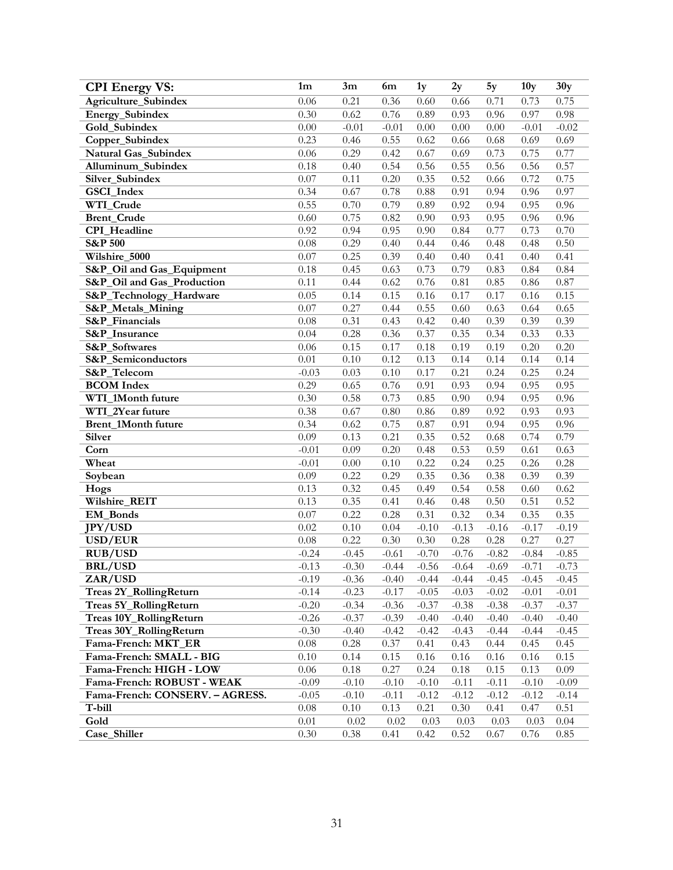| <b>CPI</b> Energy VS:           | 1 <sub>m</sub> | 3m       | 6m      | 1y      | 2y       | 5y      | 10 <sub>y</sub> | 30y     |
|---------------------------------|----------------|----------|---------|---------|----------|---------|-----------------|---------|
| Agriculture_Subindex            | 0.06           | 0.21     | 0.36    | 0.60    | 0.66     | 0.71    | 0.73            | 0.75    |
| Energy_Subindex                 | 0.30           | 0.62     | 0.76    | 0.89    | 0.93     | 0.96    | 0.97            | 0.98    |
| Gold_Subindex                   | 0.00           | $-0.01$  | $-0.01$ | 0.00    | 0.00     | 0.00    | $-0.01$         | $-0.02$ |
| Copper_Subindex                 | 0.23           | 0.46     | 0.55    | 0.62    | 0.66     | 0.68    | 0.69            | 0.69    |
| Natural Gas_Subindex            | 0.06           | 0.29     | 0.42    | 0.67    | 0.69     | 0.73    | 0.75            | 0.77    |
| Alluminum_Subindex              | 0.18           | 0.40     | 0.54    | 0.56    | 0.55     | 0.56    | 0.56            | 0.57    |
| Silver_Subindex                 | 0.07           | 0.11     | 0.20    | 0.35    | 0.52     | 0.66    | 0.72            | 0.75    |
| GSCI_Index                      | 0.34           | 0.67     | 0.78    | 0.88    | 0.91     | 0.94    | 0.96            | 0.97    |
| WTI_Crude                       | 0.55           | 0.70     | 0.79    | 0.89    | 0.92     | 0.94    | 0.95            | 0.96    |
| <b>Brent_Crude</b>              | 0.60           | 0.75     | 0.82    | 0.90    | 0.93     | 0.95    | 0.96            | 0.96    |
| CPI_Headline                    | 0.92           | 0.94     | 0.95    | 0.90    | 0.84     | 0.77    | 0.73            | 0.70    |
| <b>S&amp;P 500</b>              | 0.08           | 0.29     | 0.40    | 0.44    | 0.46     | 0.48    | 0.48            | 0.50    |
| Wilshire_5000                   | 0.07           | 0.25     | 0.39    | 0.40    | 0.40     | 0.41    | 0.40            | 0.41    |
| S&P_Oil and Gas_Equipment       | 0.18           | 0.45     | 0.63    | 0.73    | 0.79     | 0.83    | 0.84            | 0.84    |
| S&P_Oil and Gas_Production      | 0.11           | 0.44     | 0.62    | 0.76    | 0.81     | 0.85    | 0.86            | 0.87    |
| S&P_Technology_Hardware         | 0.05           | 0.14     | 0.15    | 0.16    | 0.17     | 0.17    | 0.16            | 0.15    |
| S&P_Metals_Mining               | 0.07           | 0.27     | 0.44    | 0.55    | 0.60     | 0.63    | 0.64            | 0.65    |
| S&P_Financials                  | 0.08           | 0.31     | 0.43    | 0.42    | 0.40     | 0.39    | 0.39            | 0.39    |
| <b>S&amp;P</b> Insurance        | 0.04           | 0.28     | 0.36    | 0.37    | 0.35     | 0.34    | 0.33            | 0.33    |
| S&P_Softwares                   | 0.06           | 0.15     | 0.17    | 0.18    | 0.19     | 0.19    | 0.20            | 0.20    |
| S&P_Semiconductors              | 0.01           | 0.10     | 0.12    | 0.13    | 0.14     | 0.14    | 0.14            | 0.14    |
| S&P_Telecom                     | $-0.03$        | 0.03     | 0.10    | 0.17    | 0.21     | 0.24    | 0.25            | 0.24    |
| <b>BCOM</b> Index               | 0.29           | 0.65     | 0.76    | 0.91    | 0.93     | 0.94    | 0.95            | 0.95    |
| WTI 1Month future               | 0.30           | 0.58     | 0.73    | 0.85    | 0.90     | 0.94    | 0.95            | 0.96    |
| WTI_2Year future                | 0.38           | 0.67     | 0.80    | 0.86    | 0.89     | 0.92    | 0.93            | 0.93    |
| Brent_1Month future             | 0.34           | 0.62     | 0.75    | 0.87    | 0.91     | 0.94    | 0.95            | 0.96    |
| <b>Silver</b>                   | 0.09           | 0.13     | 0.21    | 0.35    | 0.52     | 0.68    | 0.74            | 0.79    |
| Corn                            | $-0.01$        | 0.09     | 0.20    | 0.48    | 0.53     | 0.59    | 0.61            | 0.63    |
| Wheat                           | $-0.01$        | $0.00\,$ | 0.10    | 0.22    | 0.24     | 0.25    | 0.26            | 0.28    |
| Soybean                         | 0.09           | 0.22     | 0.29    | 0.35    | 0.36     | 0.38    | 0.39            | 0.39    |
| Hogs                            | 0.13           | 0.32     | 0.45    | 0.49    | 0.54     | 0.58    | 0.60            | 0.62    |
| Wilshire_REIT                   | 0.13           | 0.35     | 0.41    | 0.46    | 0.48     | 0.50    | 0.51            | 0.52    |
| EM_Bonds                        | 0.07           | 0.22     | 0.28    | 0.31    | 0.32     | 0.34    | 0.35            | 0.35    |
| <b>JPY/USD</b>                  | 0.02           | 0.10     | 0.04    | $-0.10$ | $-0.13$  | $-0.16$ | $-0.17$         | $-0.19$ |
| USD/EUR                         | 0.08           | 0.22     | 0.30    | 0.30    | 0.28     | 0.28    | 0.27            | 0.27    |
| <b>RUB/USD</b>                  | $-0.24$        | $-0.45$  | $-0.61$ | $-0.70$ | $-0.76$  | $-0.82$ | $-0.84$         | $-0.85$ |
| <b>BRL/USD</b>                  | $-0.13$        | $-0.30$  | $-0.44$ | $-0.56$ | $-0.64$  | $-0.69$ | $-0.71$         | $-0.73$ |
| ZAR/USD                         | $-0.19$        | $-0.36$  | $-0.40$ | $-0.44$ | $-0.44$  | $-0.45$ | $-0.45$         | $-0.45$ |
| Treas 2Y_RollingReturn          | $-0.14$        | $-0.23$  | $-0.17$ | $-0.05$ | $-0.03$  | $-0.02$ | $-0.01$         | $-0.01$ |
| Treas 5Y_RollingReturn          | $-0.20$        | $-0.34$  | $-0.36$ | $-0.37$ | $-0.38$  | $-0.38$ | $-0.37$         | $-0.37$ |
| Treas 10Y_RollingReturn         | $-0.26$        | $-0.37$  | $-0.39$ | $-0.40$ | $-0.40$  | $-0.40$ | $-0.40$         | $-0.40$ |
| Treas 30Y_RollingReturn         | $-0.30$        | $-0.40$  | $-0.42$ | $-0.42$ | $-0.43$  | $-0.44$ | $-0.44$         | $-0.45$ |
| Fama-French: MKT_ER             | $0.08\,$       | 0.28     | 0.37    | 0.41    | 0.43     | 0.44    | 0.45            | 0.45    |
| Fama-French: SMALL - BIG        | $0.10\,$       | 0.14     | 0.15    | 0.16    | 0.16     | 0.16    | 0.16            | 0.15    |
| Fama-French: HIGH - LOW         | $0.06\,$       | $0.18\,$ | 0.27    | 0.24    | $0.18\,$ | 0.15    | 0.13            | 0.09    |
| Fama-French: ROBUST - WEAK      | $-0.09$        | $-0.10$  | $-0.10$ | $-0.10$ | $-0.11$  | $-0.11$ | $-0.10$         | $-0.09$ |
| Fama-French: CONSERV. - AGRESS. | $-0.05$        | $-0.10$  | $-0.11$ | $-0.12$ | $-0.12$  | $-0.12$ | $-0.12$         | $-0.14$ |
| T-bill                          | $0.08\,$       | $0.10\,$ | 0.13    | 0.21    | 0.30     | 0.41    | 0.47            | 0.51    |
| Gold                            | $0.01\,$       | 0.02     | 0.02    | 0.03    | 0.03     | 0.03    | 0.03            | 0.04    |
| Case_Shiller                    | 0.30           | 0.38     | 0.41    | 0.42    | 0.52     | 0.67    | 0.76            | 0.85    |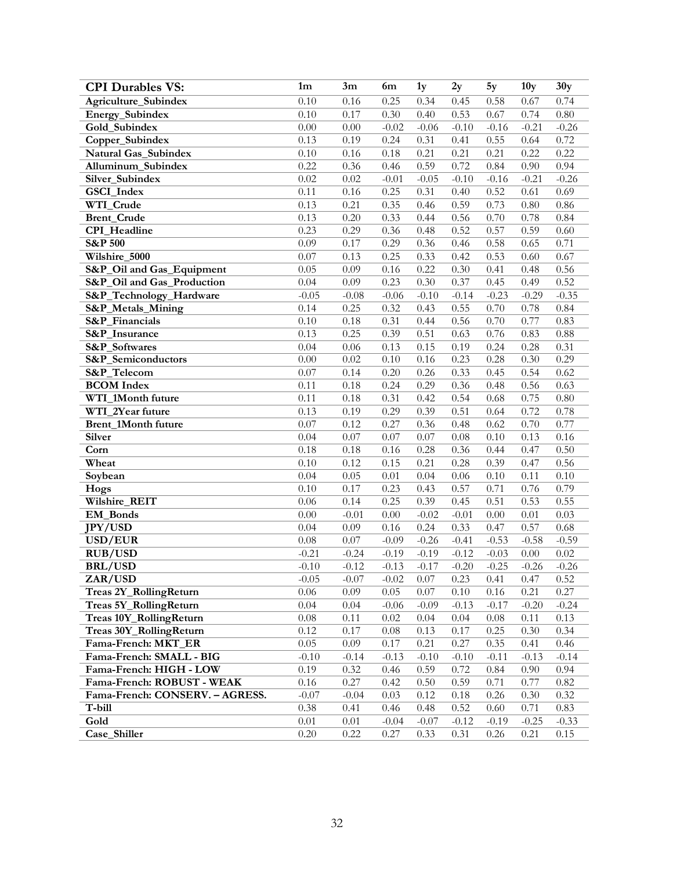| <b>CPI Durables VS:</b>         | 1 <sub>m</sub> | 3m       | 6m      | 1y      | 2y       | 5y       | 10 <sub>y</sub> | 30y     |
|---------------------------------|----------------|----------|---------|---------|----------|----------|-----------------|---------|
| Agriculture_Subindex            | 0.10           | 0.16     | 0.25    | 0.34    | 0.45     | 0.58     | 0.67            | 0.74    |
| Energy_Subindex                 | 0.10           | 0.17     | 0.30    | 0.40    | 0.53     | 0.67     | 0.74            | 0.80    |
| Gold_Subindex                   | 0.00           | $0.00\,$ | $-0.02$ | $-0.06$ | $-0.10$  | $-0.16$  | $-0.21$         | $-0.26$ |
| Copper_Subindex                 | 0.13           | 0.19     | 0.24    | 0.31    | 0.41     | 0.55     | 0.64            | 0.72    |
| Natural Gas_Subindex            | 0.10           | 0.16     | 0.18    | 0.21    | 0.21     | 0.21     | 0.22            | 0.22    |
| Alluminum_Subindex              | 0.22           | 0.36     | 0.46    | 0.59    | 0.72     | 0.84     | 0.90            | 0.94    |
| Silver_Subindex                 | 0.02           | 0.02     | $-0.01$ | $-0.05$ | $-0.10$  | $-0.16$  | $-0.21$         | $-0.26$ |
| GSCI_Index                      | 0.11           | 0.16     | 0.25    | 0.31    | 0.40     | 0.52     | 0.61            | 0.69    |
| WTI_Crude                       | 0.13           | 0.21     | 0.35    | 0.46    | 0.59     | 0.73     | 0.80            | 0.86    |
| <b>Brent_Crude</b>              | 0.13           | 0.20     | 0.33    | 0.44    | 0.56     | 0.70     | 0.78            | 0.84    |
| CPI_Headline                    | 0.23           | 0.29     | 0.36    | 0.48    | 0.52     | 0.57     | 0.59            | 0.60    |
| <b>S&amp;P 500</b>              | 0.09           | 0.17     | 0.29    | 0.36    | 0.46     | 0.58     | 0.65            | 0.71    |
| Wilshire_5000                   | 0.07           | 0.13     | 0.25    | 0.33    | 0.42     | 0.53     | 0.60            | 0.67    |
| S&P_Oil and Gas_Equipment       | 0.05           | 0.09     | 0.16    | 0.22    | 0.30     | 0.41     | 0.48            | 0.56    |
| S&P_Oil and Gas_Production      | 0.04           | 0.09     | 0.23    | 0.30    | 0.37     | 0.45     | 0.49            | 0.52    |
| S&P_Technology_Hardware         | $-0.05$        | $-0.08$  | $-0.06$ | $-0.10$ | $-0.14$  | $-0.23$  | $-0.29$         | $-0.35$ |
| S&P_Metals_Mining               | 0.14           | 0.25     | 0.32    | 0.43    | 0.55     | 0.70     | 0.78            | 0.84    |
| S&P_Financials                  | 0.10           | 0.18     | 0.31    | 0.44    | 0.56     | 0.70     | 0.77            | 0.83    |
| <b>S&amp;P</b> Insurance        | 0.13           | 0.25     | 0.39    | 0.51    | 0.63     | 0.76     | 0.83            | 0.88    |
| S&P_Softwares                   | 0.04           | 0.06     | 0.13    | 0.15    | 0.19     | 0.24     | 0.28            | 0.31    |
| S&P_Semiconductors              | 0.00           | 0.02     | 0.10    | 0.16    | 0.23     | 0.28     | 0.30            | 0.29    |
| S&P_Telecom                     | 0.07           | 0.14     | 0.20    | 0.26    | 0.33     | 0.45     | 0.54            | 0.62    |
| <b>BCOM</b> Index               | 0.11           | 0.18     | 0.24    | 0.29    | 0.36     | 0.48     | 0.56            | 0.63    |
| WTI_1Month future               | 0.11           | 0.18     | 0.31    | 0.42    | 0.54     | 0.68     | 0.75            | 0.80    |
| WTI_2Year future                | 0.13           | 0.19     | 0.29    | 0.39    | 0.51     | 0.64     | 0.72            | 0.78    |
| Brent_1Month future             | 0.07           | 0.12     | 0.27    | 0.36    | 0.48     | 0.62     | 0.70            | 0.77    |
| <b>Silver</b>                   | 0.04           | 0.07     | 0.07    | 0.07    | $0.08\,$ | 0.10     | 0.13            | 0.16    |
| Corn                            | 0.18           | 0.18     | 0.16    | 0.28    | 0.36     | 0.44     | 0.47            | 0.50    |
| Wheat                           | 0.10           | 0.12     | 0.15    | 0.21    | 0.28     | 0.39     | 0.47            | 0.56    |
| Soybean                         | 0.04           | 0.05     | 0.01    | 0.04    | 0.06     | 0.10     | 0.11            | 0.10    |
| Hogs                            | 0.10           | 0.17     | 0.23    | 0.43    | 0.57     | 0.71     | 0.76            | 0.79    |
| Wilshire_REIT                   | 0.06           | 0.14     | 0.25    | 0.39    | 0.45     | 0.51     | 0.53            | 0.55    |
| <b>EM_Bonds</b>                 | 0.00           | $-0.01$  | 0.00    | $-0.02$ | $-0.01$  | 0.00     | 0.01            | 0.03    |
| <b>JPY/USD</b>                  | 0.04           | 0.09     | 0.16    | 0.24    | 0.33     | 0.47     | 0.57            | 0.68    |
| USD/EUR                         | 0.08           | $0.07\,$ | $-0.09$ | $-0.26$ | $-0.41$  | $-0.53$  | $-0.58$         | $-0.59$ |
| <b>RUB/USD</b>                  | $-0.21$        | $-0.24$  | $-0.19$ | $-0.19$ | $-0.12$  | $-0.03$  | $0.00\,$        | 0.02    |
| <b>BRL/USD</b>                  | $-0.10$        | $-0.12$  | $-0.13$ | $-0.17$ | $-0.20$  | $-0.25$  | $-0.26$         | $-0.26$ |
| ZAR/USD                         | $-0.05$        | $-0.07$  | $-0.02$ | 0.07    | 0.23     | 0.41     | 0.47            | 0.52    |
| Treas 2Y_RollingReturn          | 0.06           | 0.09     | 0.05    | 0.07    | 0.10     | 0.16     | 0.21            | 0.27    |
| Treas 5Y_RollingReturn          | 0.04           | 0.04     | $-0.06$ | $-0.09$ | $-0.13$  | $-0.17$  | $-0.20$         | $-0.24$ |
| Treas 10Y_RollingReturn         | $0.08\,$       | 0.11     | 0.02    | 0.04    | 0.04     | $0.08\,$ | 0.11            | 0.13    |
| Treas 30Y_RollingReturn         | 0.12           | 0.17     | 0.08    | 0.13    | 0.17     | 0.25     | 0.30            | 0.34    |
| Fama-French: MKT_ER             | 0.05           | 0.09     | 0.17    | 0.21    | 0.27     | 0.35     | 0.41            | 0.46    |
| Fama-French: SMALL - BIG        | $-0.10$        | $-0.14$  | $-0.13$ | $-0.10$ | $-0.10$  | $-0.11$  | $-0.13$         | $-0.14$ |
| Fama-French: HIGH - LOW         | 0.19           | 0.32     | 0.46    | 0.59    | 0.72     | 0.84     | 0.90            | 0.94    |
| Fama-French: ROBUST - WEAK      | $0.16\,$       | 0.27     | 0.42    | 0.50    | 0.59     | 0.71     | 0.77            | 0.82    |
| Fama-French: CONSERV. - AGRESS. | $-0.07$        | $-0.04$  | 0.03    | 0.12    | 0.18     | 0.26     | 0.30            | 0.32    |
| T-bill                          | 0.38           | 0.41     | 0.46    | 0.48    | 0.52     | 0.60     | 0.71            | 0.83    |
| Gold                            | $0.01\,$       | 0.01     | $-0.04$ | $-0.07$ | $-0.12$  | $-0.19$  | $-0.25$         | $-0.33$ |
| Case_Shiller                    | 0.20           | 0.22     | 0.27    | 0.33    | 0.31     | $0.26\,$ | 0.21            | 0.15    |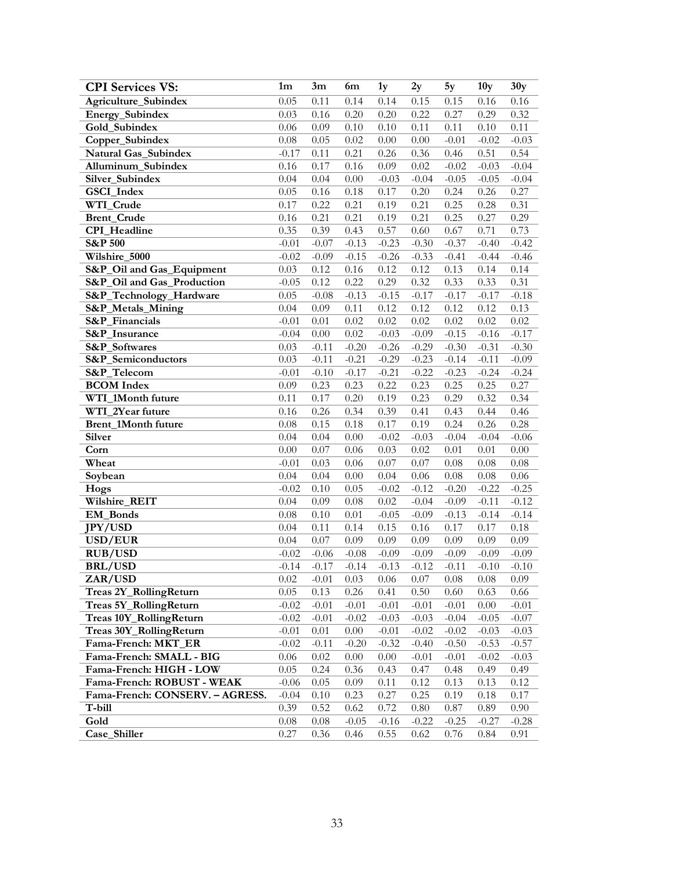| <b>CPI Services VS:</b>                         | 1 <sub>m</sub>     | 3m           | 6m               | 1y           | 2y              | 5y              | 10 <sub>y</sub> | 30y             |
|-------------------------------------------------|--------------------|--------------|------------------|--------------|-----------------|-----------------|-----------------|-----------------|
| Agriculture_Subindex                            | 0.05               | 0.11         | 0.14             | 0.14         | 0.15            | 0.15            | 0.16            | 0.16            |
| Energy_Subindex                                 | 0.03               | 0.16         | 0.20             | 0.20         | 0.22            | 0.27            | 0.29            | 0.32            |
| Gold_Subindex                                   | 0.06               | 0.09         | 0.10             | 0.10         | 0.11            | 0.11            | 0.10            | 0.11            |
| Copper_Subindex                                 | 0.08               | 0.05         | $0.02\,$         | 0.00         | 0.00            | $-0.01$         | $-0.02$         | $-0.03$         |
| Natural Gas_Subindex                            | $-0.17$            | 0.11         | 0.21             | 0.26         | 0.36            | 0.46            | 0.51            | 0.54            |
| Alluminum_Subindex                              | 0.16               | 0.17         | 0.16             | 0.09         | 0.02            | $-0.02$         | $-0.03$         | $-0.04$         |
| Silver_Subindex                                 | 0.04               | 0.04         | $0.00\,$         | $-0.03$      | $-0.04$         | $-0.05$         | $-0.05$         | $-0.04$         |
| GSCI_Index                                      | 0.05               | 0.16         | 0.18             | 0.17         | 0.20            | 0.24            | 0.26            | 0.27            |
| WTI_Crude                                       | 0.17               | 0.22         | 0.21             | 0.19         | 0.21            | 0.25            | 0.28            | 0.31            |
| <b>Brent_Crude</b>                              | 0.16               | 0.21         | 0.21             | 0.19         | 0.21            | 0.25            | 0.27            | 0.29            |
| CPI_Headline                                    | 0.35               | 0.39         | 0.43             | 0.57         | 0.60            | 0.67            | 0.71            | 0.73            |
| <b>S&amp;P 500</b>                              | $-0.01$            | $-0.07$      | $-0.13$          | $-0.23$      | $-0.30$         | $-0.37$         | $-0.40$         | $-0.42$         |
| Wilshire_5000                                   | $-0.02$            | $-0.09$      | $-0.15$          | $-0.26$      | $-0.33$         | $-0.41$         | $-0.44$         | $-0.46$         |
| S&P_Oil and Gas_Equipment                       | 0.03               | 0.12         | $0.16\,$         | 0.12         | 0.12            | 0.13            | 0.14            | 0.14            |
| S&P_Oil and Gas_Production                      | $-0.05$            | 0.12         | 0.22             | 0.29         | 0.32            | 0.33            | 0.33            | 0.31            |
| S&P_Technology_Hardware                         | 0.05               | $-0.08$      | $-0.13$          | $-0.15$      | $-0.17$         | $-0.17$         | $-0.17$         | $-0.18$         |
| <b>S&amp;P_Metals_Mining</b>                    | 0.04               | 0.09         | $0.11\,$         | 0.12         | 0.12            | 0.12            | 0.12            | 0.13            |
| S&P_Financials                                  | $-0.01$            | $0.01\,$     | 0.02             | 0.02         | 0.02            | 0.02            | 0.02            | 0.02            |
| S&P_Insurance                                   | $-0.04$            | 0.00         | 0.02             | $-0.03$      | $-0.09$         | $-0.15$         | $-0.16$         | $-0.17$         |
| S&P_Softwares                                   | 0.03               | $-0.11$      | $-0.20$          | $-0.26$      | $-0.29$         | $-0.30$         | $-0.31$         | $-0.30$         |
| S&P_Semiconductors                              | 0.03               | $-0.11$      | $-0.21$          | $-0.29$      | $-0.23$         | $-0.14$         | $-0.11$         | $-0.09$         |
| S&P_Telecom                                     | $-0.01$            | $-0.10$      | $-0.17$          | $-0.21$      | $-0.22$         | $-0.23$         | $-0.24$         | $-0.24$         |
| <b>BCOM</b> Index                               | 0.09               | 0.23         | 0.23             | 0.22         | 0.23            | 0.25            | 0.25            | 0.27            |
| WTI_1Month future                               | 0.11               | 0.17         | 0.20             | 0.19         | 0.23            | 0.29            | 0.32            | 0.34            |
| WTI_2Year future                                | 0.16               | 0.26         | 0.34             | 0.39         | 0.41            | 0.43            | 0.44            | 0.46            |
| Brent_1Month future                             | 0.08               | 0.15         | 0.18             | 0.17         | 0.19            | 0.24            | 0.26            | 0.28            |
| Silver                                          | 0.04               | 0.04         | $0.00\,$         | $-0.02$      | $-0.03$         | $-0.04$         | $-0.04$         | $-0.06$         |
| Corn                                            | 0.00               | 0.07         | $0.06\,$         | 0.03         | 0.02            | 0.01            | 0.01            | 0.00            |
| Wheat                                           | $-0.01$            | 0.03         | 0.06             | 0.07         | 0.07            | 0.08            | 0.08            | $0.08\,$        |
| Soybean                                         | 0.04               | 0.04         | $0.00\,$         | 0.04         | 0.06            | 0.08            | $0.08\,$        | 0.06            |
| Hogs                                            | $-0.02$            | 0.10         | 0.05             | $-0.02$      | $-0.12$         | $-0.20$         | $-0.22$         | $-0.25$         |
| Wilshire_REIT                                   | 0.04               | 0.09         | $0.08\,$         | 0.02         | $-0.04$         | $-0.09$         | $-0.11$         | $-0.12$         |
| <b>EM</b> Bonds                                 | 0.08               | 0.10         | 0.01             | $-0.05$      | $-0.09$         | $-0.13$         | $-0.14$         | $-0.14$         |
| <b>JPY/USD</b>                                  | 0.04               | 0.11         | 0.14             | 0.15         | 0.16            | 0.17            | 0.17            | $0.18\,$        |
| USD/EUR                                         | 0.04               | 0.07         | 0.09             | 0.09         | 0.09            | 0.09            | 0.09            | 0.09            |
| <b>RUB/USD</b>                                  | $-0.02$            | $-0.06$      | $-0.08$          | $-0.09$      | $-0.09$         | $-0.09$         | $-0.09$         | $-0.09$         |
| <b>BRL/USD</b>                                  | $-0.14$            | $-0.17$      | $-0.14$          | $-0.13$      | $-0.12$         | $-0.11$         | $-0.10$         | $-0.10$         |
| ZAR/USD                                         | 0.02               | $-0.01$      | 0.03             | 0.06         | 0.07            | 0.08            | 0.08            | 0.09            |
| Treas 2Y_RollingReturn                          | 0.05               | 0.13         | 0.26             | 0.41         | 0.50            | 0.60            | 0.63            | 0.66            |
| Treas 5Y_RollingReturn                          | $-0.02$            | $-0.01$      | $-0.01$          | $-0.01$      | $-0.01$         | $-0.01$         | 0.00            | $-0.01$         |
| Treas 10Y_RollingReturn                         | $-0.02$            | $-0.01$      | $-0.02$          | $-0.03$      | $-0.03$         | $-0.04$         | $-0.05$         | $-0.07$         |
| Treas 30Y_RollingReturn                         | $-0.01$            | 0.01         | $0.00\,$         | $-0.01$      | $-0.02$         | $-0.02$         | $-0.03$         | $-0.03$         |
| Fama-French: MKT_ER<br>Fama-French: SMALL - BIG | $-0.02$            | $-0.11$      | $-0.20$          | $-0.32$      | $-0.40$         | $-0.50$         | $-0.53$         | $-0.57$         |
| Fama-French: HIGH - LOW                         | 0.06<br>0.05       | 0.02<br>0.24 | $0.00\,$<br>0.36 | 0.00<br>0.43 | $-0.01$<br>0.47 | $-0.01$<br>0.48 | $-0.02$<br>0.49 | $-0.03$<br>0.49 |
| Fama-French: ROBUST - WEAK                      |                    |              | 0.09             |              | 0.12            | 0.13            | 0.13            |                 |
| Fama-French: CONSERV. - AGRESS.                 | $-0.06$<br>$-0.04$ | 0.05<br>0.10 | 0.23             | 0.11<br>0.27 | 0.25            | 0.19            | 0.18            | 0.12<br>0.17    |
| T-bill                                          | 0.39               | 0.52         | 0.62             | 0.72         | 0.80            | 0.87            | 0.89            | 0.90            |
| Gold                                            | 0.08               | 0.08         | $-0.05$          | $-0.16$      | $-0.22$         | $-0.25$         | $-0.27$         | $-0.28$         |
| Case_Shiller                                    | 0.27               | 0.36         | 0.46             | 0.55         | 0.62            | 0.76            | 0.84            | 0.91            |
|                                                 |                    |              |                  |              |                 |                 |                 |                 |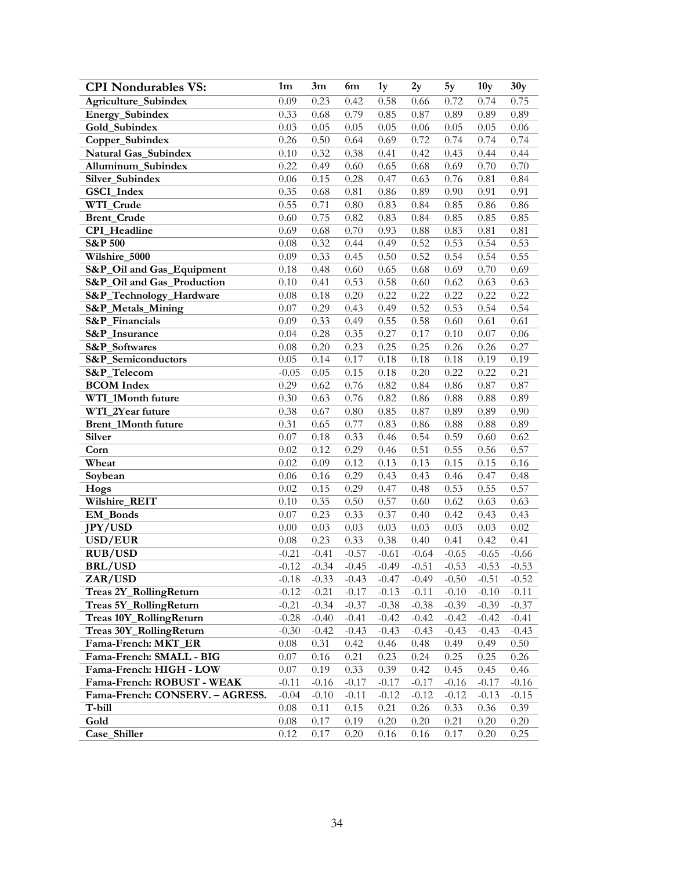| <b>CPI Nondurables VS:</b>      | 1 <sub>m</sub> | 3m      | 6m       | 1y      | 2y      | 5y      | 10 <sub>y</sub> | 30y     |
|---------------------------------|----------------|---------|----------|---------|---------|---------|-----------------|---------|
| Agriculture_Subindex            | 0.09           | 0.23    | 0.42     | 0.58    | 0.66    | 0.72    | 0.74            | 0.75    |
| Energy_Subindex                 | 0.33           | 0.68    | 0.79     | 0.85    | 0.87    | 0.89    | 0.89            | 0.89    |
| Gold_Subindex                   | 0.03           | 0.05    | 0.05     | 0.05    | 0.06    | 0.05    | 0.05            | 0.06    |
| Copper_Subindex                 | 0.26           | 0.50    | 0.64     | 0.69    | 0.72    | 0.74    | 0.74            | 0.74    |
| <b>Natural Gas Subindex</b>     | 0.10           | 0.32    | 0.38     | 0.41    | 0.42    | 0.43    | 0.44            | 0.44    |
| Alluminum_Subindex              | 0.22           | 0.49    | 0.60     | 0.65    | 0.68    | 0.69    | 0.70            | 0.70    |
| Silver_Subindex                 | 0.06           | 0.15    | 0.28     | 0.47    | 0.63    | 0.76    | 0.81            | 0.84    |
| GSCI_Index                      | 0.35           | 0.68    | 0.81     | 0.86    | 0.89    | 0.90    | 0.91            | 0.91    |
| WTI_Crude                       | 0.55           | 0.71    | $0.80\,$ | 0.83    | 0.84    | 0.85    | 0.86            | 0.86    |
| <b>Brent_Crude</b>              | 0.60           | 0.75    | 0.82     | 0.83    | 0.84    | 0.85    | 0.85            | 0.85    |
| <b>CPI</b> Headline             | 0.69           | 0.68    | 0.70     | 0.93    | 0.88    | 0.83    | $0.81\,$        | 0.81    |
| <b>S&amp;P 500</b>              | 0.08           | 0.32    | 0.44     | 0.49    | 0.52    | 0.53    | 0.54            | 0.53    |
| Wilshire_5000                   | 0.09           | 0.33    | 0.45     | 0.50    | 0.52    | 0.54    | 0.54            | 0.55    |
| S&P_Oil and Gas_Equipment       | 0.18           | 0.48    | 0.60     | 0.65    | 0.68    | 0.69    | 0.70            | 0.69    |
| S&P_Oil and Gas_Production      | 0.10           | 0.41    | 0.53     | 0.58    | 0.60    | 0.62    | 0.63            | 0.63    |
| S&P_Technology_Hardware         | 0.08           | 0.18    | 0.20     | 0.22    | 0.22    | 0.22    | 0.22            | 0.22    |
| S&P_Metals_Mining               | 0.07           | 0.29    | 0.43     | 0.49    | 0.52    | 0.53    | 0.54            | 0.54    |
| S&P_Financials                  | 0.09           | 0.33    | 0.49     | 0.55    | 0.58    | 0.60    | 0.61            | 0.61    |
| S&P_Insurance                   | 0.04           | 0.28    | 0.35     | 0.27    | 0.17    | 0.10    | 0.07            | 0.06    |
| S&P_Softwares                   | 0.08           | 0.20    | 0.23     | 0.25    | 0.25    | 0.26    | 0.26            | 0.27    |
| S&P_Semiconductors              | 0.05           | 0.14    | 0.17     | 0.18    | 0.18    | 0.18    | 0.19            | 0.19    |
| S&P_Telecom                     | $-0.05$        | 0.05    | 0.15     | 0.18    | 0.20    | 0.22    | 0.22            | 0.21    |
| <b>BCOM</b> Index               | 0.29           | 0.62    | 0.76     | 0.82    | 0.84    | 0.86    | 0.87            | 0.87    |
| WTI_1Month future               | 0.30           | 0.63    | 0.76     | 0.82    | 0.86    | 0.88    | 0.88            | 0.89    |
| WTI_2Year future                | 0.38           | 0.67    | $0.80\,$ | 0.85    | 0.87    | 0.89    | 0.89            | 0.90    |
| Brent_1Month future             | 0.31           | 0.65    | 0.77     | 0.83    | 0.86    | 0.88    | 0.88            | 0.89    |
| Silver                          | 0.07           | 0.18    | 0.33     | 0.46    | 0.54    | 0.59    | 0.60            | 0.62    |
| Corn                            | 0.02           | 0.12    | 0.29     | 0.46    | 0.51    | 0.55    | 0.56            | 0.57    |
| Wheat                           | 0.02           | 0.09    | 0.12     | 0.13    | 0.13    | 0.15    | 0.15            | 0.16    |
| Soybean                         | 0.06           | 0.16    | 0.29     | 0.43    | 0.43    | 0.46    | 0.47            | 0.48    |
| Hogs                            | 0.02           | 0.15    | 0.29     | 0.47    | 0.48    | 0.53    | 0.55            | 0.57    |
| Wilshire_REIT                   | 0.10           | 0.35    | 0.50     | 0.57    | 0.60    | 0.62    | 0.63            | 0.63    |
| EM_Bonds                        | 0.07           | 0.23    | 0.33     | 0.37    | 0.40    | 0.42    | 0.43            | 0.43    |
| <b>JPY/USD</b>                  | 0.00           | 0.03    | 0.03     | 0.03    | 0.03    | 0.03    | 0.03            | 0.02    |
| USD/EUR                         | 0.08           | 0.23    | 0.33     | 0.38    | 0.40    | 0.41    | 0.42            | 0.41    |
| <b>RUB/USD</b>                  | $-0.21$        | $-0.41$ | $-0.57$  | $-0.61$ | $-0.64$ | $-0.65$ | $-0.65$         | $-0.66$ |
| <b>BRL/USD</b>                  | $-0.12$        | $-0.34$ | $-0.45$  | $-0.49$ | $-0.51$ | $-0.53$ | $-0.53$         | $-0.53$ |
| ZAR/USD                         | $-0.18$        | $-0.33$ | $-0.43$  | $-0.47$ | $-0.49$ | $-0.50$ | $-0.51$         | $-0.52$ |
| Treas 2Y_RollingReturn          | $-0.12$        | $-0.21$ | $-0.17$  | $-0.13$ | $-0.11$ | $-0.10$ | $-0.10$         | $-0.11$ |
| Treas 5Y_RollingReturn          | $-0.21$        | $-0.34$ | $-0.37$  | $-0.38$ | $-0.38$ | $-0.39$ | $-0.39$         | $-0.37$ |
| Treas 10Y_RollingReturn         | $-0.28$        | $-0.40$ | $-0.41$  | $-0.42$ | $-0.42$ | $-0.42$ | $-0.42$         | $-0.41$ |
| Treas 30Y_RollingReturn         | $-0.30$        | $-0.42$ | $-0.43$  | $-0.43$ | $-0.43$ | $-0.43$ | $-0.43$         | $-0.43$ |
| Fama-French: MKT_ER             | 0.08           | 0.31    | 0.42     | 0.46    | 0.48    | 0.49    | 0.49            | 0.50    |
| Fama-French: SMALL - BIG        | 0.07           | 0.16    | 0.21     | 0.23    | 0.24    | 0.25    | 0.25            | 0.26    |
| Fama-French: HIGH - LOW         | 0.07           | 0.19    | 0.33     | 0.39    | 0.42    | 0.45    | 0.45            | 0.46    |
| Fama-French: ROBUST - WEAK      | $-0.11$        | $-0.16$ | $-0.17$  | $-0.17$ | $-0.17$ | $-0.16$ | $-0.17$         | $-0.16$ |
| Fama-French: CONSERV. - AGRESS. | $-0.04$        | $-0.10$ | $-0.11$  | $-0.12$ | $-0.12$ | $-0.12$ | $-0.13$         | $-0.15$ |
| T-bill                          | $0.08\,$       | 0.11    | 0.15     | 0.21    | 0.26    | 0.33    | 0.36            | 0.39    |
| Gold                            | 0.08           | 0.17    | 0.19     | 0.20    | 0.20    | 0.21    | 0.20            | 0.20    |
| Case_Shiller                    | 0.12           | 0.17    | 0.20     | 0.16    | 0.16    | 0.17    | 0.20            | 0.25    |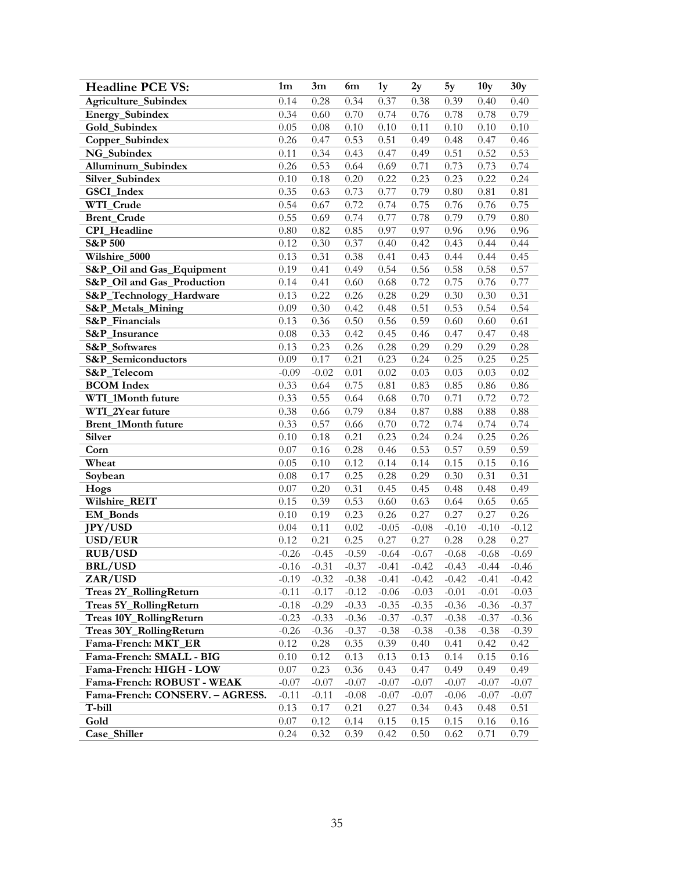| <b>Headline PCE VS:</b>         | 1 <sub>m</sub> | 3m      | 6m      | 1y      | 2y      | 5y      | 10 <sub>y</sub> | 30y      |
|---------------------------------|----------------|---------|---------|---------|---------|---------|-----------------|----------|
| Agriculture_Subindex            | 0.14           | 0.28    | 0.34    | 0.37    | 0.38    | 0.39    | 0.40            | 0.40     |
| Energy_Subindex                 | 0.34           | 0.60    | 0.70    | 0.74    | 0.76    | 0.78    | 0.78            | 0.79     |
| Gold_Subindex                   | 0.05           | 0.08    | 0.10    | 0.10    | 0.11    | 0.10    | 0.10            | $0.10\,$ |
| Copper_Subindex                 | 0.26           | 0.47    | 0.53    | 0.51    | 0.49    | 0.48    | 0.47            | 0.46     |
| NG_Subindex                     | 0.11           | 0.34    | 0.43    | 0.47    | 0.49    | 0.51    | 0.52            | 0.53     |
| Alluminum_Subindex              | 0.26           | 0.53    | 0.64    | 0.69    | 0.71    | 0.73    | 0.73            | 0.74     |
| Silver_Subindex                 | 0.10           | 0.18    | 0.20    | 0.22    | 0.23    | 0.23    | 0.22            | 0.24     |
| GSCI_Index                      | 0.35           | 0.63    | 0.73    | 0.77    | 0.79    | 0.80    | 0.81            | 0.81     |
| WTI_Crude                       | 0.54           | 0.67    | 0.72    | 0.74    | 0.75    | 0.76    | 0.76            | 0.75     |
| <b>Brent_Crude</b>              | 0.55           | 0.69    | 0.74    | 0.77    | 0.78    | 0.79    | 0.79            | $0.80\,$ |
| CPI_Headline                    | $0.80\,$       | 0.82    | 0.85    | 0.97    | 0.97    | 0.96    | 0.96            | 0.96     |
| <b>S&amp;P 500</b>              | 0.12           | 0.30    | 0.37    | 0.40    | 0.42    | 0.43    | 0.44            | 0.44     |
| Wilshire_5000                   | 0.13           | 0.31    | 0.38    | 0.41    | 0.43    | 0.44    | 0.44            | 0.45     |
| S&P_Oil and Gas_Equipment       | 0.19           | 0.41    | 0.49    | 0.54    | 0.56    | 0.58    | 0.58            | 0.57     |
| S&P_Oil and Gas_Production      | 0.14           | 0.41    | 0.60    | 0.68    | 0.72    | 0.75    | 0.76            | 0.77     |
| S&P_Technology_Hardware         | 0.13           | 0.22    | 0.26    | 0.28    | 0.29    | 0.30    | 0.30            | 0.31     |
| <b>S&amp;P_Metals_Mining</b>    | 0.09           | 0.30    | 0.42    | 0.48    | 0.51    | 0.53    | 0.54            | 0.54     |
| <b>S&amp;P</b> Financials       | 0.13           | 0.36    | 0.50    | 0.56    | 0.59    | 0.60    | 0.60            | 0.61     |
| S&P_Insurance                   | 0.08           | 0.33    | 0.42    | 0.45    | 0.46    | 0.47    | 0.47            | 0.48     |
| S&P_Softwares                   | 0.13           | 0.23    | 0.26    | 0.28    | 0.29    | 0.29    | 0.29            | 0.28     |
| S&P_Semiconductors              | 0.09           | 0.17    | 0.21    | 0.23    | 0.24    | 0.25    | 0.25            | 0.25     |
| S&P_Telecom                     | $-0.09$        | $-0.02$ | 0.01    | 0.02    | 0.03    | 0.03    | 0.03            | 0.02     |
| <b>BCOM</b> Index               | 0.33           | 0.64    | 0.75    | 0.81    | 0.83    | 0.85    | 0.86            | 0.86     |
| WTI_1Month future               | 0.33           | 0.55    | 0.64    | 0.68    | 0.70    | 0.71    | 0.72            | 0.72     |
| WTI_2Year future                | 0.38           | 0.66    | 0.79    | 0.84    | 0.87    | 0.88    | 0.88            | $0.88\,$ |
| Brent_1Month future             | 0.33           | 0.57    | 0.66    | 0.70    | 0.72    | 0.74    | 0.74            | 0.74     |
| Silver                          | 0.10           | 0.18    | 0.21    | 0.23    | 0.24    | 0.24    | 0.25            | 0.26     |
| Corn                            | 0.07           | 0.16    | 0.28    | 0.46    | 0.53    | 0.57    | 0.59            | 0.59     |
| Wheat                           | 0.05           | 0.10    | 0.12    | 0.14    | 0.14    | 0.15    | 0.15            | 0.16     |
| Soybean                         | 0.08           | 0.17    | 0.25    | 0.28    | 0.29    | 0.30    | 0.31            | 0.31     |
| Hogs                            | 0.07           | 0.20    | 0.31    | 0.45    | 0.45    | 0.48    | 0.48            | 0.49     |
| Wilshire_REIT                   | 0.15           | 0.39    | 0.53    | 0.60    | 0.63    | 0.64    | 0.65            | 0.65     |
| <b>EM_Bonds</b>                 | 0.10           | 0.19    | 0.23    | 0.26    | 0.27    | 0.27    | 0.27            | 0.26     |
| <b>JPY/USD</b>                  | 0.04           | 0.11    | 0.02    | $-0.05$ | $-0.08$ | $-0.10$ | $-0.10$         | $-0.12$  |
| USD/EUR                         | 0.12           | 0.21    | 0.25    | 0.27    | 0.27    | 0.28    | 0.28            | 0.27     |
| <b>RUB/USD</b>                  | $-0.26$        | $-0.45$ | $-0.59$ | $-0.64$ | $-0.67$ | $-0.68$ | $-0.68$         | $-0.69$  |
| <b>BRL/USD</b>                  | $-0.16$        | $-0.31$ | $-0.37$ | $-0.41$ | $-0.42$ | $-0.43$ | $-0.44$         | $-0.46$  |
| ZAR/USD                         | $-0.19$        | $-0.32$ | $-0.38$ | $-0.41$ | $-0.42$ | $-0.42$ | $-0.41$         | $-0.42$  |
| Treas 2Y_RollingReturn          | $-0.11$        | $-0.17$ | $-0.12$ | $-0.06$ | $-0.03$ | $-0.01$ | $-0.01$         | $-0.03$  |
| Treas 5Y_RollingReturn          | $-0.18$        | $-0.29$ | $-0.33$ | $-0.35$ | $-0.35$ | $-0.36$ | $-0.36$         | $-0.37$  |
| Treas 10Y_RollingReturn         | $-0.23$        | $-0.33$ | $-0.36$ | $-0.37$ | $-0.37$ | $-0.38$ | $-0.37$         | $-0.36$  |
| Treas 30Y_RollingReturn         | $-0.26$        | $-0.36$ | $-0.37$ | $-0.38$ | $-0.38$ | $-0.38$ | $-0.38$         | $-0.39$  |
| Fama-French: MKT_ER             | 0.12           | 0.28    | 0.35    | 0.39    | 0.40    | 0.41    | 0.42            | 0.42     |
| Fama-French: SMALL - BIG        | 0.10           | 0.12    | 0.13    | 0.13    | 0.13    | 0.14    | 0.15            | 0.16     |
| Fama-French: HIGH - LOW         | $0.07\,$       | 0.23    | 0.36    | 0.43    | 0.47    | 0.49    | 0.49            | 0.49     |
| Fama-French: ROBUST - WEAK      | $-0.07$        | $-0.07$ | $-0.07$ | $-0.07$ | $-0.07$ | $-0.07$ | $-0.07$         | $-0.07$  |
| Fama-French: CONSERV. - AGRESS. | $-0.11$        | $-0.11$ | $-0.08$ | $-0.07$ | $-0.07$ | $-0.06$ | $-0.07$         | $-0.07$  |
| T-bill                          | 0.13           | 0.17    | 0.21    | 0.27    | 0.34    | 0.43    | 0.48            | 0.51     |
| Gold                            | 0.07           | 0.12    | 0.14    | 0.15    | 0.15    | 0.15    | 0.16            | 0.16     |
| Case_Shiller                    | 0.24           | 0.32    | 0.39    | 0.42    | 0.50    | 0.62    | 0.71            | 0.79     |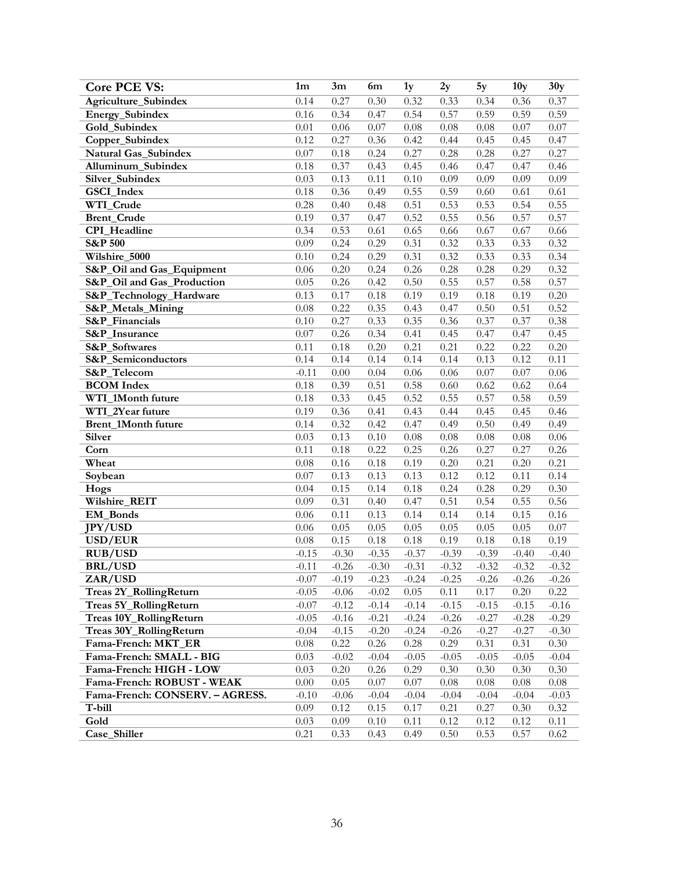| <b>Core PCE VS:</b>             | 1 <sub>m</sub> | 3m      | 6m      | 1y       | 2y      | 5y       | 10 <sub>y</sub> | 30y     |
|---------------------------------|----------------|---------|---------|----------|---------|----------|-----------------|---------|
| Agriculture_Subindex            | 0.14           | 0.27    | 0.30    | 0.32     | 0.33    | 0.34     | 0.36            | 0.37    |
| Energy_Subindex                 | 0.16           | 0.34    | 0.47    | 0.54     | 0.57    | 0.59     | 0.59            | 0.59    |
| Gold_Subindex                   | 0.01           | 0.06    | 0.07    | $0.08\,$ | 0.08    | 0.08     | 0.07            | 0.07    |
| Copper_Subindex                 | 0.12           | 0.27    | 0.36    | 0.42     | 0.44    | 0.45     | 0.45            | 0.47    |
| Natural Gas_Subindex            | 0.07           | 0.18    | 0.24    | 0.27     | 0.28    | 0.28     | 0.27            | 0.27    |
| Alluminum_Subindex              | 0.18           | 0.37    | 0.43    | 0.45     | 0.46    | 0.47     | 0.47            | 0.46    |
| Silver_Subindex                 | 0.03           | 0.13    | 0.11    | 0.10     | 0.09    | 0.09     | 0.09            | 0.09    |
| GSCI_Index                      | 0.18           | 0.36    | 0.49    | 0.55     | 0.59    | 0.60     | 0.61            | 0.61    |
| WTI_Crude                       | 0.28           | 0.40    | 0.48    | 0.51     | 0.53    | 0.53     | 0.54            | 0.55    |
| <b>Brent_Crude</b>              | 0.19           | 0.37    | 0.47    | 0.52     | 0.55    | 0.56     | 0.57            | 0.57    |
| CPI_Headline                    | 0.34           | 0.53    | 0.61    | 0.65     | 0.66    | 0.67     | 0.67            | 0.66    |
| $S\&P\overline{500}$            | 0.09           | 0.24    | 0.29    | 0.31     | 0.32    | 0.33     | 0.33            | 0.32    |
| Wilshire_5000                   | 0.10           | 0.24    | 0.29    | 0.31     | 0.32    | 0.33     | 0.33            | 0.34    |
| S&P_Oil and Gas_Equipment       | 0.06           | 0.20    | 0.24    | 0.26     | 0.28    | 0.28     | 0.29            | 0.32    |
| S&P_Oil and Gas_Production      | 0.05           | 0.26    | 0.42    | 0.50     | 0.55    | 0.57     | 0.58            | 0.57    |
| S&P_Technology_Hardware         | 0.13           | 0.17    | 0.18    | 0.19     | 0.19    | 0.18     | 0.19            | 0.20    |
| S&P_Metals_Mining               | 0.08           | 0.22    | 0.35    | 0.43     | 0.47    | 0.50     | 0.51            | 0.52    |
| S&P_Financials                  | 0.10           | 0.27    | 0.33    | 0.35     | 0.36    | 0.37     | 0.37            | 0.38    |
| <b>S&amp;P</b> Insurance        | 0.07           | 0.26    | 0.34    | 0.41     | 0.45    | 0.47     | 0.47            | 0.45    |
| S&P_Softwares                   | 0.11           | 0.18    | 0.20    | 0.21     | 0.21    | 0.22     | 0.22            | 0.20    |
| S&P_Semiconductors              | 0.14           | 0.14    | 0.14    | 0.14     | 0.14    | 0.13     | 0.12            | 0.11    |
| <b>S&amp;P</b> Telecom          | $-0.11$        | 0.00    | 0.04    | 0.06     | 0.06    | 0.07     | 0.07            | 0.06    |
| <b>BCOM</b> Index               | 0.18           | 0.39    | 0.51    | 0.58     | 0.60    | 0.62     | 0.62            | 0.64    |
| WTI_1Month future               | 0.18           | 0.33    | 0.45    | 0.52     | 0.55    | 0.57     | 0.58            | 0.59    |
| WTI_2Year future                | 0.19           | 0.36    | 0.41    | 0.43     | 0.44    | 0.45     | 0.45            | 0.46    |
| Brent_1Month future             | 0.14           | 0.32    | 0.42    | 0.47     | 0.49    | 0.50     | 0.49            | 0.49    |
| <b>Silver</b>                   | 0.03           | 0.13    | 0.10    | 0.08     | 0.08    | 0.08     | 0.08            | 0.06    |
| Corn                            | 0.11           | 0.18    | 0.22    | 0.25     | 0.26    | 0.27     | 0.27            | 0.26    |
| Wheat                           | 0.08           | 0.16    | 0.18    | 0.19     | 0.20    | 0.21     | 0.20            | 0.21    |
| Soybean                         | 0.07           | 0.13    | 0.13    | 0.13     | 0.12    | 0.12     | 0.11            | 0.14    |
| Hogs                            | 0.04           | 0.15    | 0.14    | 0.18     | 0.24    | 0.28     | 0.29            | 0.30    |
| Wilshire_REIT                   | 0.09           | 0.31    | 0.40    | 0.47     | 0.51    | 0.54     | 0.55            | 0.56    |
| <b>EM_Bonds</b>                 | 0.06           | 0.11    | 0.13    | 0.14     | 0.14    | 0.14     | 0.15            | 0.16    |
| <b>JPY/USD</b>                  | 0.06           | 0.05    | 0.05    | 0.05     | 0.05    | 0.05     | 0.05            | 0.07    |
| USD/EUR                         | 0.08           | 0.15    | 0.18    | 0.18     | 0.19    | 0.18     | 0.18            | 0.19    |
| <b>RUB/USD</b>                  | $-0.15$        | $-0.30$ | $-0.35$ | $-0.37$  | $-0.39$ | $-0.39$  | $-0.40$         | $-0.40$ |
| <b>BRL/USD</b>                  | $-0.11$        | $-0.26$ | $-0.30$ | $-0.31$  | $-0.32$ | $-0.32$  | $-0.32$         | $-0.32$ |
| ZAR/USD                         | $-0.07$        | $-0.19$ | $-0.23$ | $-0.24$  | $-0.25$ | $-0.26$  | $-0.26$         | $-0.26$ |
| Treas 2Y_RollingReturn          | $-0.05$        | $-0.06$ | $-0.02$ | 0.05     | 0.11    | 0.17     | $0.20\,$        | 0.22    |
| Treas 5Y_RollingReturn          | $-0.07$        | $-0.12$ | $-0.14$ | $-0.14$  | $-0.15$ | $-0.15$  | $-0.15$         | $-0.16$ |
| Treas 10Y_RollingReturn         | $-0.05$        | $-0.16$ | $-0.21$ | $-0.24$  | $-0.26$ | $-0.27$  | $-0.28$         | $-0.29$ |
| Treas 30Y_RollingReturn         | $-0.04$        | $-0.15$ | $-0.20$ | $-0.24$  | $-0.26$ | $-0.27$  | $-0.27$         | $-0.30$ |
| Fama-French: MKT_ER             | $0.08\,$       | 0.22    | 0.26    | 0.28     | 0.29    | 0.31     | 0.31            | 0.30    |
| Fama-French: SMALL - BIG        | 0.03           | $-0.02$ | $-0.04$ | $-0.05$  | $-0.05$ | $-0.05$  | $-0.05$         | $-0.04$ |
| Fama-French: HIGH - LOW         | 0.03           | 0.20    | 0.26    | 0.29     | 0.30    | 0.30     | 0.30            | 0.30    |
| Fama-French: ROBUST - WEAK      | 0.00           | 0.05    | 0.07    | 0.07     | 0.08    | $0.08\,$ | $0.08\,$        | 0.08    |
| Fama-French: CONSERV. - AGRESS. | $-0.10$        | $-0.06$ | $-0.04$ | $-0.04$  | $-0.04$ | $-0.04$  | $-0.04$         | $-0.03$ |
| T-bill                          | 0.09           | 0.12    | 0.15    | 0.17     | 0.21    | 0.27     | 0.30            | 0.32    |
| Gold                            | 0.03           | 0.09    | 0.10    | 0.11     | 0.12    | 0.12     | 0.12            | 0.11    |
| Case_Shiller                    | 0.21           | 0.33    | 0.43    | 0.49     | 0.50    | 0.53     | 0.57            | 0.62    |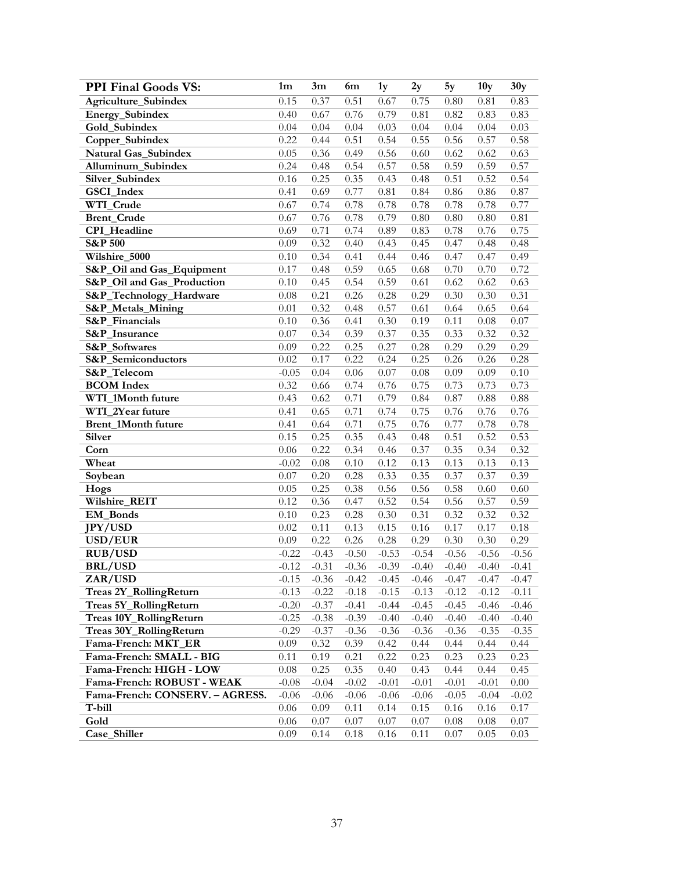| <b>PPI Final Goods VS:</b>      | 1 <sub>m</sub> | 3m      | 6m       | 1y      | 2y       | 5y      | 10y     | 30y      |
|---------------------------------|----------------|---------|----------|---------|----------|---------|---------|----------|
| <b>Agriculture Subindex</b>     | 0.15           | 0.37    | 0.51     | 0.67    | 0.75     | 0.80    | 0.81    | 0.83     |
| Energy_Subindex                 | 0.40           | 0.67    | 0.76     | 0.79    | 0.81     | 0.82    | 0.83    | 0.83     |
| Gold_Subindex                   | 0.04           | 0.04    | 0.04     | 0.03    | 0.04     | 0.04    | 0.04    | 0.03     |
| Copper_Subindex                 | 0.22           | 0.44    | 0.51     | 0.54    | 0.55     | 0.56    | 0.57    | 0.58     |
| Natural Gas_Subindex            | 0.05           | 0.36    | 0.49     | 0.56    | 0.60     | 0.62    | 0.62    | 0.63     |
| Alluminum_Subindex              | 0.24           | 0.48    | 0.54     | 0.57    | 0.58     | 0.59    | 0.59    | 0.57     |
| Silver_Subindex                 | 0.16           | 0.25    | 0.35     | 0.43    | 0.48     | 0.51    | 0.52    | 0.54     |
| GSCI_Index                      | 0.41           | 0.69    | 0.77     | 0.81    | 0.84     | 0.86    | 0.86    | 0.87     |
| WTI_Crude                       | 0.67           | 0.74    | 0.78     | 0.78    | 0.78     | 0.78    | 0.78    | 0.77     |
| <b>Brent_Crude</b>              | 0.67           | 0.76    | 0.78     | 0.79    | 0.80     | 0.80    | 0.80    | 0.81     |
| CPI_Headline                    | 0.69           | 0.71    | 0.74     | 0.89    | 0.83     | 0.78    | 0.76    | 0.75     |
| <b>S&amp;P 500</b>              | 0.09           | 0.32    | 0.40     | 0.43    | 0.45     | 0.47    | 0.48    | 0.48     |
| Wilshire_5000                   | 0.10           | 0.34    | 0.41     | 0.44    | 0.46     | 0.47    | 0.47    | 0.49     |
| S&P_Oil and Gas_Equipment       | 0.17           | 0.48    | 0.59     | 0.65    | 0.68     | 0.70    | 0.70    | 0.72     |
| S&P_Oil and Gas_Production      | 0.10           | 0.45    | 0.54     | 0.59    | 0.61     | 0.62    | 0.62    | 0.63     |
| S&P_Technology_Hardware         | 0.08           | 0.21    | 0.26     | 0.28    | 0.29     | 0.30    | 0.30    | 0.31     |
| S&P_Metals_Mining               | 0.01           | 0.32    | 0.48     | 0.57    | 0.61     | 0.64    | 0.65    | 0.64     |
| S&P_Financials                  | 0.10           | 0.36    | 0.41     | 0.30    | 0.19     | 0.11    | 0.08    | 0.07     |
| S&P_Insurance                   | 0.07           | 0.34    | 0.39     | 0.37    | 0.35     | 0.33    | 0.32    | 0.32     |
| S&P_Softwares                   | 0.09           | 0.22    | 0.25     | 0.27    | 0.28     | 0.29    | 0.29    | 0.29     |
| S&P_Semiconductors              | 0.02           | 0.17    | 0.22     | 0.24    | 0.25     | 0.26    | 0.26    | 0.28     |
| S&P_Telecom                     | $-0.05$        | 0.04    | $0.06\,$ | 0.07    | $0.08\,$ | 0.09    | 0.09    | $0.10\,$ |
| <b>BCOM</b> Index               | 0.32           | 0.66    | 0.74     | 0.76    | 0.75     | 0.73    | 0.73    | 0.73     |
| WTI_1Month future               | 0.43           | 0.62    | 0.71     | 0.79    | 0.84     | 0.87    | 0.88    | $0.88\,$ |
| WTI_2Year future                | 0.41           | 0.65    | 0.71     | 0.74    | 0.75     | 0.76    | 0.76    | 0.76     |
| Brent_1Month future             | 0.41           | 0.64    | 0.71     | 0.75    | 0.76     | 0.77    | 0.78    | 0.78     |
| <b>Silver</b>                   | 0.15           | 0.25    | 0.35     | 0.43    | 0.48     | 0.51    | 0.52    | 0.53     |
| Corn                            | 0.06           | 0.22    | 0.34     | 0.46    | 0.37     | 0.35    | 0.34    | 0.32     |
| Wheat                           | $-0.02$        | 0.08    | 0.10     | 0.12    | 0.13     | 0.13    | 0.13    | 0.13     |
| Soybean                         | 0.07           | 0.20    | 0.28     | 0.33    | 0.35     | 0.37    | 0.37    | 0.39     |
| Hogs                            | 0.05           | 0.25    | 0.38     | 0.56    | 0.56     | 0.58    | 0.60    | 0.60     |
| Wilshire_REIT                   | 0.12           | 0.36    | 0.47     | 0.52    | 0.54     | 0.56    | 0.57    | 0.59     |
| EM_Bonds                        | 0.10           | 0.23    | 0.28     | 0.30    | 0.31     | 0.32    | 0.32    | 0.32     |
| <b>JPY/USD</b>                  | 0.02           | 0.11    | 0.13     | 0.15    | 0.16     | 0.17    | 0.17    | $0.18\,$ |
| USD/EUR                         | 0.09           | 0.22    | 0.26     | 0.28    | 0.29     | 0.30    | 0.30    | 0.29     |
| <b>RUB/USD</b>                  | $-0.22$        | $-0.43$ | $-0.50$  | $-0.53$ | $-0.54$  | $-0.56$ | $-0.56$ | $-0.56$  |
| <b>BRL/USD</b>                  | $-0.12$        | $-0.31$ | $-0.36$  | $-0.39$ | $-0.40$  | $-0.40$ | $-0.40$ | $-0.41$  |
| ZAR/USD                         | $-0.15$        | $-0.36$ | $-0.42$  | $-0.45$ | $-0.46$  | $-0.47$ | $-0.47$ | $-0.47$  |
| Treas 2Y_RollingReturn          | $-0.13$        | $-0.22$ | $-0.18$  | $-0.15$ | $-0.13$  | $-0.12$ | $-0.12$ | $-0.11$  |
| Treas 5Y_RollingReturn          | $-0.20$        | $-0.37$ | $-0.41$  | $-0.44$ | $-0.45$  | $-0.45$ | $-0.46$ | $-0.46$  |
| Treas 10Y_RollingReturn         | $-0.25$        | $-0.38$ | $-0.39$  | $-0.40$ | $-0.40$  | $-0.40$ | $-0.40$ | $-0.40$  |
| Treas 30Y_RollingReturn         | $-0.29$        | $-0.37$ | $-0.36$  | $-0.36$ | $-0.36$  | $-0.36$ | $-0.35$ | $-0.35$  |
| Fama-French: MKT_ER             | 0.09           | 0.32    | 0.39     | 0.42    | 0.44     | 0.44    | 0.44    | 0.44     |
| Fama-French: SMALL - BIG        | 0.11           | 0.19    | 0.21     | 0.22    | 0.23     | 0.23    | 0.23    | 0.23     |
| Fama-French: HIGH - LOW         | $0.08\,$       | 0.25    | 0.35     | 0.40    | 0.43     | 0.44    | 0.44    | 0.45     |
| Fama-French: ROBUST - WEAK      | $-0.08$        | $-0.04$ | $-0.02$  | $-0.01$ | $-0.01$  | $-0.01$ | $-0.01$ | $0.00\,$ |
| Fama-French: CONSERV. - AGRESS. | $-0.06$        | $-0.06$ | $-0.06$  | $-0.06$ | $-0.06$  | $-0.05$ | $-0.04$ | $-0.02$  |
| T-bill                          | 0.06           | 0.09    | 0.11     | 0.14    | 0.15     | 0.16    | 0.16    | 0.17     |
| Gold                            | 0.06           | 0.07    | 0.07     | 0.07    | 0.07     | 0.08    | 0.08    | 0.07     |
| Case_Shiller                    | 0.09           | 0.14    | 0.18     | 0.16    | 0.11     | 0.07    | 0.05    | 0.03     |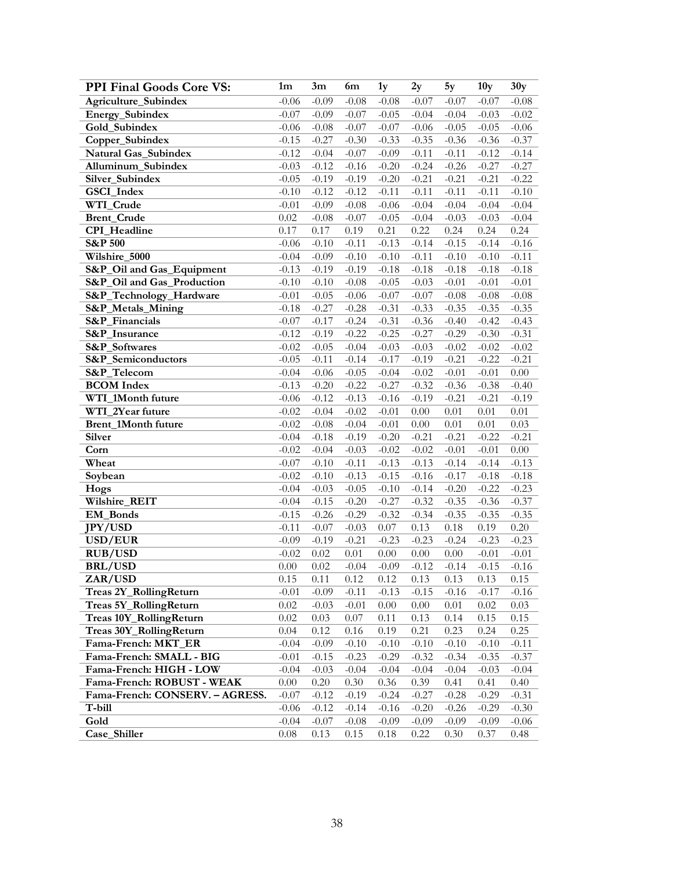| <b>PPI Final Goods Core VS:</b> | 1m       | 3m       | 6m       | 1y       | 2y       | 5y       | 10 <sub>y</sub> | 30y      |
|---------------------------------|----------|----------|----------|----------|----------|----------|-----------------|----------|
| Agriculture_Subindex            | $-0.06$  | $-0.09$  | $-0.08$  | $-0.08$  | $-0.07$  | $-0.07$  | $-0.07$         | $-0.08$  |
| Energy_Subindex                 | $-0.07$  | $-0.09$  | $-0.07$  | $-0.05$  | $-0.04$  | $-0.04$  | $-0.03$         | $-0.02$  |
| Gold_Subindex                   | $-0.06$  | $-0.08$  | $-0.07$  | $-0.07$  | $-0.06$  | $-0.05$  | $-0.05$         | $-0.06$  |
| Copper_Subindex                 | $-0.15$  | $-0.27$  | $-0.30$  | $-0.33$  | $-0.35$  | $-0.36$  | $-0.36$         | $-0.37$  |
| Natural Gas_Subindex            | $-0.12$  | $-0.04$  | $-0.07$  | $-0.09$  | $-0.11$  | $-0.11$  | $-0.12$         | $-0.14$  |
| Alluminum_Subindex              | $-0.03$  | $-0.12$  | $-0.16$  | $-0.20$  | $-0.24$  | $-0.26$  | $-0.27$         | $-0.27$  |
| Silver_Subindex                 | $-0.05$  | $-0.19$  | $-0.19$  | $-0.20$  | $-0.21$  | $-0.21$  | $-0.21$         | $-0.22$  |
| GSCI_Index                      | $-0.10$  | $-0.12$  | $-0.12$  | $-0.11$  | $-0.11$  | $-0.11$  | $-0.11$         | $-0.10$  |
| WTI_Crude                       | $-0.01$  | $-0.09$  | $-0.08$  | $-0.06$  | $-0.04$  | $-0.04$  | $-0.04$         | $-0.04$  |
| <b>Brent_Crude</b>              | 0.02     | $-0.08$  | $-0.07$  | $-0.05$  | $-0.04$  | $-0.03$  | $-0.03$         | $-0.04$  |
| CPI_Headline                    | 0.17     | 0.17     | 0.19     | 0.21     | 0.22     | 0.24     | 0.24            | 0.24     |
| <b>S&amp;P 500</b>              | $-0.06$  | $-0.10$  | $-0.11$  | $-0.13$  | $-0.14$  | $-0.15$  | $-0.14$         | $-0.16$  |
| Wilshire_5000                   | $-0.04$  | $-0.09$  | $-0.10$  | $-0.10$  | $-0.11$  | $-0.10$  | $-0.10$         | $-0.11$  |
| S&P_Oil and Gas_Equipment       | $-0.13$  | $-0.19$  | $-0.19$  | $-0.18$  | $-0.18$  | $-0.18$  | $-0.18$         | $-0.18$  |
| S&P_Oil and Gas_Production      | $-0.10$  | $-0.10$  | $-0.08$  | $-0.05$  | $-0.03$  | $-0.01$  | $-0.01$         | $-0.01$  |
| S&P_Technology_Hardware         | $-0.01$  | $-0.05$  | $-0.06$  | $-0.07$  | $-0.07$  | $-0.08$  | $-0.08$         | $-0.08$  |
| S&P_Metals_Mining               | $-0.18$  | $-0.27$  | $-0.28$  | $-0.31$  | $-0.33$  | $-0.35$  | $-0.35$         | $-0.35$  |
| S&P_Financials                  | $-0.07$  | $-0.17$  | $-0.24$  | $-0.31$  | $-0.36$  | $-0.40$  | $-0.42$         | $-0.43$  |
| S&P_Insurance                   | $-0.12$  | $-0.19$  | $-0.22$  | $-0.25$  | $-0.27$  | $-0.29$  | $-0.30$         | $-0.31$  |
| S&P_Softwares                   | $-0.02$  | $-0.05$  | $-0.04$  | $-0.03$  | $-0.03$  | $-0.02$  | $-0.02$         | $-0.02$  |
| S&P_Semiconductors              | $-0.05$  | $-0.11$  | $-0.14$  | $-0.17$  | $-0.19$  | $-0.21$  | $-0.22$         | $-0.21$  |
| S&P_Telecom                     | $-0.04$  | $-0.06$  | $-0.05$  | $-0.04$  | $-0.02$  | $-0.01$  | $-0.01$         | $0.00\,$ |
| <b>BCOM</b> Index               | $-0.13$  | $-0.20$  | $-0.22$  | $-0.27$  | $-0.32$  | $-0.36$  | $-0.38$         | $-0.40$  |
| WTI_1Month future               | $-0.06$  | $-0.12$  | $-0.13$  | $-0.16$  | $-0.19$  | $-0.21$  | $-0.21$         | $-0.19$  |
| WTI_2Year future                | $-0.02$  | $-0.04$  | $-0.02$  | $-0.01$  | $0.00\,$ | 0.01     | 0.01            | $0.01\,$ |
| Brent_1Month future             | $-0.02$  | $-0.08$  | $-0.04$  | $-0.01$  | $0.00\,$ | $0.01\,$ | 0.01            | 0.03     |
| Silver                          | $-0.04$  | $-0.18$  | $-0.19$  | $-0.20$  | $-0.21$  | $-0.21$  | $-0.22$         | $-0.21$  |
| Corn                            | $-0.02$  | $-0.04$  | $-0.03$  | $-0.02$  | $-0.02$  | $-0.01$  | $-0.01$         | $0.00\,$ |
| Wheat                           | $-0.07$  | $-0.10$  | $-0.11$  | $-0.13$  | $-0.13$  | $-0.14$  | $-0.14$         | $-0.13$  |
| Soybean                         | $-0.02$  | $-0.10$  | $-0.13$  | $-0.15$  | $-0.16$  | $-0.17$  | $-0.18$         | $-0.18$  |
| Hogs                            | $-0.04$  | $-0.03$  | $-0.05$  | $-0.10$  | $-0.14$  | $-0.20$  | $-0.22$         | $-0.23$  |
| Wilshire_REIT                   | $-0.04$  | $-0.15$  | $-0.20$  | $-0.27$  | $-0.32$  | $-0.35$  | $-0.36$         | $-0.37$  |
| EM_Bonds                        | $-0.15$  | $-0.26$  | $-0.29$  | $-0.32$  | $-0.34$  | $-0.35$  | $-0.35$         | $-0.35$  |
| <b>JPY/USD</b>                  | $-0.11$  | $-0.07$  | $-0.03$  | $0.07\,$ | 0.13     | $0.18\,$ | 0.19            | $0.20\,$ |
| USD/EUR                         | $-0.09$  | $-0.19$  | $-0.21$  | $-0.23$  | $-0.23$  | $-0.24$  | $-0.23$         | $-0.23$  |
| <b>RUB/USD</b>                  | $-0.02$  | 0.02     | $0.01\,$ | $0.00\,$ | $0.00\,$ | $0.00\,$ | $-0.01$         | $-0.01$  |
| <b>BRL/USD</b>                  | 0.00     | 0.02     | $-0.04$  | $-0.09$  | $-0.12$  | $-0.14$  | $-0.15$         | $-0.16$  |
| ZAR/USD                         | 0.15     | 0.11     | 0.12     | 0.12     | 0.13     | 0.13     | 0.13            | 0.15     |
| Treas 2Y_RollingReturn          | $-0.01$  | $-0.09$  | $-0.11$  | $-0.13$  | $-0.15$  | $-0.16$  | $-0.17$         | $-0.16$  |
| Treas 5Y_RollingReturn          | 0.02     | $-0.03$  | $-0.01$  | 0.00     | 0.00     | $0.01\,$ | 0.02            | 0.03     |
| Treas 10Y_RollingReturn         | 0.02     | 0.03     | $0.07\,$ | 0.11     | 0.13     | 0.14     | 0.15            | 0.15     |
| Treas 30Y_RollingReturn         | 0.04     | 0.12     | 0.16     | 0.19     | 0.21     | 0.23     | 0.24            | 0.25     |
| Fama-French: MKT_ER             | $-0.04$  | $-0.09$  | $-0.10$  | $-0.10$  | $-0.10$  | $-0.10$  | $-0.10$         | $-0.11$  |
| Fama-French: SMALL - BIG        | $-0.01$  | $-0.15$  | $-0.23$  | $-0.29$  | $-0.32$  | $-0.34$  | $-0.35$         | $-0.37$  |
| Fama-French: HIGH - LOW         | $-0.04$  | $-0.03$  | $-0.04$  | $-0.04$  | $-0.04$  | $-0.04$  | $-0.03$         | $-0.04$  |
| Fama-French: ROBUST - WEAK      | $0.00\,$ | $0.20\,$ | 0.30     | 0.36     | 0.39     | 0.41     | 0.41            | 0.40     |
| Fama-French: CONSERV. - AGRESS. | $-0.07$  | $-0.12$  | $-0.19$  | $-0.24$  | $-0.27$  | $-0.28$  | $-0.29$         | $-0.31$  |
| T-bill                          | $-0.06$  | $-0.12$  | $-0.14$  | $-0.16$  | $-0.20$  | $-0.26$  | $-0.29$         | $-0.30$  |
| Gold                            | $-0.04$  | $-0.07$  | $-0.08$  | $-0.09$  | $-0.09$  | $-0.09$  | $-0.09$         | $-0.06$  |
| Case_Shiller                    | 0.08     | 0.13     | 0.15     | 0.18     | 0.22     | 0.30     | 0.37            | 0.48     |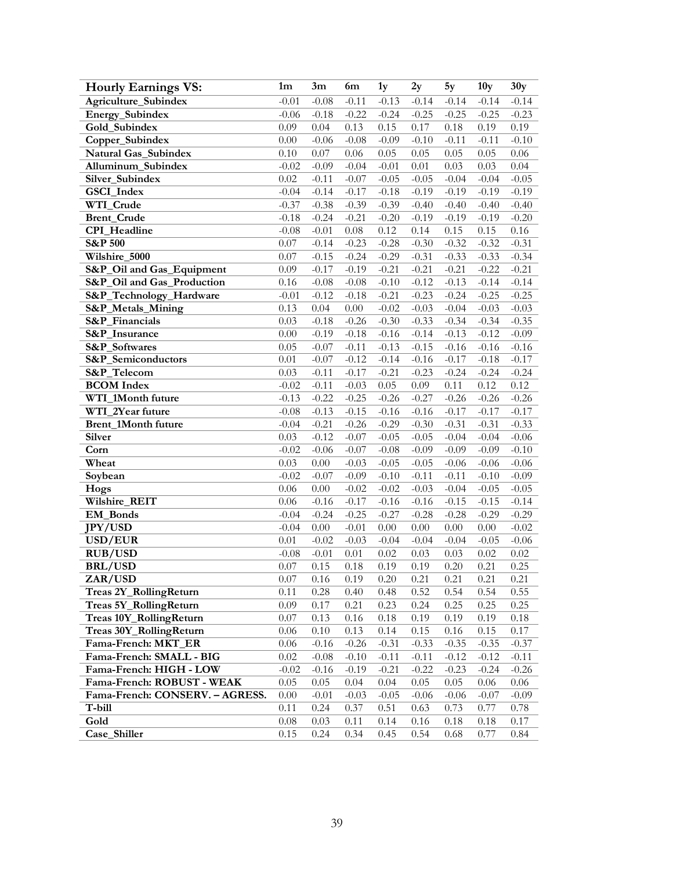| <b>Hourly Earnings VS:</b>      | 1 <sub>m</sub> | 3m       | 6m       | 1y      | 2y       | 5y       | 10 <sub>y</sub> | 30y      |
|---------------------------------|----------------|----------|----------|---------|----------|----------|-----------------|----------|
| Agriculture_Subindex            | $-0.01$        | $-0.08$  | $-0.11$  | $-0.13$ | $-0.14$  | $-0.14$  | $-0.14$         | $-0.14$  |
| Energy_Subindex                 | $-0.06$        | $-0.18$  | $-0.22$  | $-0.24$ | $-0.25$  | $-0.25$  | $-0.25$         | $-0.23$  |
| Gold_Subindex                   | 0.09           | 0.04     | 0.13     | 0.15    | 0.17     | $0.18\,$ | 0.19            | 0.19     |
| Copper_Subindex                 | 0.00           | $-0.06$  | $-0.08$  | $-0.09$ | $-0.10$  | $-0.11$  | $-0.11$         | $-0.10$  |
| Natural Gas_Subindex            | 0.10           | 0.07     | $0.06\,$ | 0.05    | 0.05     | 0.05     | 0.05            | $0.06\,$ |
| Alluminum_Subindex              | $-0.02$        | $-0.09$  | $-0.04$  | $-0.01$ | 0.01     | 0.03     | 0.03            | 0.04     |
| Silver_Subindex                 | 0.02           | $-0.11$  | $-0.07$  | $-0.05$ | $-0.05$  | $-0.04$  | $-0.04$         | $-0.05$  |
| GSCI_Index                      | $-0.04$        | $-0.14$  | $-0.17$  | $-0.18$ | $-0.19$  | $-0.19$  | $-0.19$         | $-0.19$  |
| WTI_Crude                       | $-0.37$        | $-0.38$  | $-0.39$  | $-0.39$ | $-0.40$  | $-0.40$  | $-0.40$         | $-0.40$  |
| <b>Brent_Crude</b>              | $-0.18$        | $-0.24$  | $-0.21$  | $-0.20$ | $-0.19$  | $-0.19$  | $-0.19$         | $-0.20$  |
| <b>CPI</b> Headline             | $-0.08$        | $-0.01$  | $0.08\,$ | 0.12    | 0.14     | 0.15     | 0.15            | $0.16\,$ |
| <b>S&amp;P 500</b>              | 0.07           | $-0.14$  | $-0.23$  | $-0.28$ | $-0.30$  | $-0.32$  | $-0.32$         | $-0.31$  |
| Wilshire_5000                   | 0.07           | $-0.15$  | $-0.24$  | $-0.29$ | $-0.31$  | $-0.33$  | $-0.33$         | $-0.34$  |
| S&P_Oil and Gas_Equipment       | 0.09           | $-0.17$  | $-0.19$  | $-0.21$ | $-0.21$  | $-0.21$  | $-0.22$         | $-0.21$  |
| S&P_Oil and Gas_Production      | 0.16           | $-0.08$  | $-0.08$  | $-0.10$ | $-0.12$  | $-0.13$  | $-0.14$         | $-0.14$  |
| S&P_Technology_Hardware         | $-0.01$        | $-0.12$  | $-0.18$  | $-0.21$ | $-0.23$  | $-0.24$  | $-0.25$         | $-0.25$  |
| S&P_Metals_Mining               | 0.13           | 0.04     | $0.00\,$ | $-0.02$ | $-0.03$  | $-0.04$  | $-0.03$         | $-0.03$  |
| <b>S&amp;P</b> Financials       | 0.03           | $-0.18$  | $-0.26$  | $-0.30$ | $-0.33$  | $-0.34$  | $-0.34$         | $-0.35$  |
| S&P_Insurance                   | $0.00\,$       | $-0.19$  | $-0.18$  | $-0.16$ | $-0.14$  | $-0.13$  | $-0.12$         | $-0.09$  |
| S&P_Softwares                   | 0.05           | $-0.07$  | $-0.11$  | $-0.13$ | $-0.15$  | $-0.16$  | $-0.16$         | $-0.16$  |
| S&P_Semiconductors              | 0.01           | $-0.07$  | $-0.12$  | $-0.14$ | $-0.16$  | $-0.17$  | $-0.18$         | $-0.17$  |
| S&P_Telecom                     | 0.03           | $-0.11$  | $-0.17$  | $-0.21$ | $-0.23$  | $-0.24$  | $-0.24$         | $-0.24$  |
| <b>BCOM</b> Index               | $-0.02$        | $-0.11$  | $-0.03$  | 0.05    | 0.09     | $0.11\,$ | 0.12            | 0.12     |
| WTI 1Month future               | $-0.13$        | $-0.22$  | $-0.25$  | $-0.26$ | $-0.27$  | $-0.26$  | $-0.26$         | $-0.26$  |
| WTI_2Year future                | $-0.08$        | $-0.13$  | $-0.15$  | $-0.16$ | $-0.16$  | $-0.17$  | $-0.17$         | $-0.17$  |
| Brent_1Month future             | $-0.04$        | $-0.21$  | $-0.26$  | $-0.29$ | $-0.30$  | $-0.31$  | $-0.31$         | $-0.33$  |
| <b>Silver</b>                   | 0.03           | $-0.12$  | $-0.07$  | $-0.05$ | $-0.05$  | $-0.04$  | $-0.04$         | $-0.06$  |
| Corn                            | $-0.02$        | $-0.06$  | $-0.07$  | $-0.08$ | $-0.09$  | $-0.09$  | $-0.09$         | $-0.10$  |
| Wheat                           | 0.03           | 0.00     | $-0.03$  | $-0.05$ | $-0.05$  | $-0.06$  | $-0.06$         | $-0.06$  |
| Soybean                         | $-0.02$        | $-0.07$  | $-0.09$  | $-0.10$ | $-0.11$  | $-0.11$  | $-0.10$         | $-0.09$  |
| Hogs                            | 0.06           | 0.00     | $-0.02$  | $-0.02$ | $-0.03$  | $-0.04$  | $-0.05$         | $-0.05$  |
| Wilshire_REIT                   | 0.06           | $-0.16$  | $-0.17$  | $-0.16$ | $-0.16$  | $-0.15$  | $-0.15$         | $-0.14$  |
| <b>EM_Bonds</b>                 | $-0.04$        | $-0.24$  | $-0.25$  | $-0.27$ | $-0.28$  | $-0.28$  | $-0.29$         | $-0.29$  |
| <b>JPY/USD</b>                  | $-0.04$        | $0.00\,$ | $-0.01$  | 0.00    | $0.00\,$ | 0.00     | 0.00            | $-0.02$  |
| USD/EUR                         | $0.01\,$       | $-0.02$  | $-0.03$  | $-0.04$ | $-0.04$  | $-0.04$  | $-0.05$         | $-0.06$  |
| <b>RUB/USD</b>                  | $-0.08$        | $-0.01$  | $0.01\,$ | 0.02    | 0.03     | 0.03     | $0.02\,$        | $0.02\,$ |
| <b>BRL/USD</b>                  | 0.07           | 0.15     | 0.18     | 0.19    | 0.19     | 0.20     | 0.21            | 0.25     |
| ZAR/USD                         | 0.07           | 0.16     | 0.19     | 0.20    | 0.21     | 0.21     | 0.21            | 0.21     |
| Treas 2Y_RollingReturn          | 0.11           | 0.28     | 0.40     | 0.48    | 0.52     | 0.54     | 0.54            | 0.55     |
| Treas 5Y_RollingReturn          | 0.09           | 0.17     | 0.21     | 0.23    | 0.24     | 0.25     | 0.25            | 0.25     |
| Treas 10Y_RollingReturn         | 0.07           | 0.13     | 0.16     | 0.18    | 0.19     | 0.19     | 0.19            | 0.18     |
| Treas 30Y_RollingReturn         | 0.06           | 0.10     | 0.13     | 0.14    | 0.15     | 0.16     | 0.15            | 0.17     |
| Fama-French: MKT_ER             | 0.06           | $-0.16$  | $-0.26$  | $-0.31$ | $-0.33$  | $-0.35$  | $-0.35$         | $-0.37$  |
| Fama-French: SMALL - BIG        | 0.02           | $-0.08$  | $-0.10$  | $-0.11$ | $-0.11$  | $-0.12$  | $-0.12$         | $-0.11$  |
| Fama-French: HIGH - LOW         | $-0.02$        | $-0.16$  | $-0.19$  | $-0.21$ | $-0.22$  | $-0.23$  | $-0.24$         | $-0.26$  |
| Fama-French: ROBUST - WEAK      | 0.05           | 0.05     | 0.04     | 0.04    | 0.05     | 0.05     | 0.06            | 0.06     |
| Fama-French: CONSERV. - AGRESS. | 0.00           | $-0.01$  | $-0.03$  | $-0.05$ | $-0.06$  | $-0.06$  | $-0.07$         | $-0.09$  |
| T-bill                          | 0.11           | 0.24     | 0.37     | 0.51    | 0.63     | 0.73     | 0.77            | 0.78     |
| Gold                            | 0.08           | 0.03     | 0.11     | 0.14    | 0.16     | 0.18     | 0.18            | 0.17     |
| Case_Shiller                    | 0.15           | 0.24     | 0.34     | 0.45    | 0.54     | 0.68     | 0.77            | 0.84     |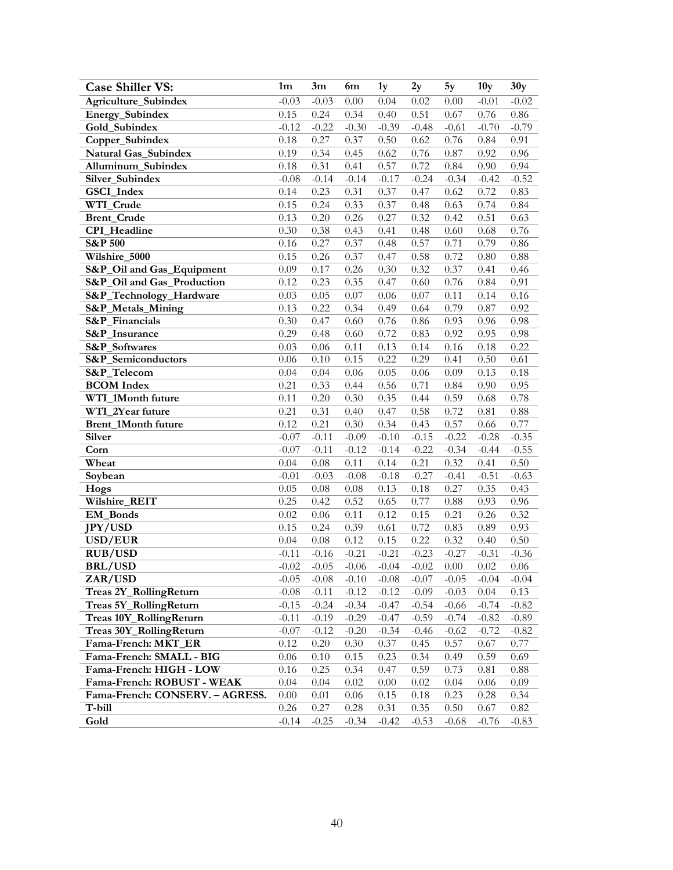| <b>Case Shiller VS:</b>         | 1 <sub>m</sub> | 3m       | 6m       | 1y      | 2y      | 5y      | 10 <sub>y</sub> | 30y      |
|---------------------------------|----------------|----------|----------|---------|---------|---------|-----------------|----------|
| Agriculture_Subindex            | $-0.03$        | $-0.03$  | 0.00     | 0.04    | 0.02    | 0.00    | $-0.01$         | $-0.02$  |
| Energy_Subindex                 | 0.15           | 0.24     | 0.34     | 0.40    | 0.51    | 0.67    | 0.76            | 0.86     |
| Gold_Subindex                   | $-0.12$        | $-0.22$  | $-0.30$  | $-0.39$ | $-0.48$ | $-0.61$ | $-0.70$         | $-0.79$  |
| Copper_Subindex                 | 0.18           | 0.27     | 0.37     | 0.50    | 0.62    | 0.76    | 0.84            | 0.91     |
| Natural Gas_Subindex            | 0.19           | 0.34     | 0.45     | 0.62    | 0.76    | 0.87    | 0.92            | 0.96     |
| Alluminum_Subindex              | 0.18           | 0.31     | 0.41     | 0.57    | 0.72    | 0.84    | 0.90            | 0.94     |
| Silver_Subindex                 | $-0.08$        | $-0.14$  | $-0.14$  | $-0.17$ | $-0.24$ | $-0.34$ | $-0.42$         | $-0.52$  |
| GSCI_Index                      | 0.14           | 0.23     | 0.31     | 0.37    | 0.47    | 0.62    | 0.72            | 0.83     |
| WTI_Crude                       | 0.15           | 0.24     | 0.33     | 0.37    | 0.48    | 0.63    | 0.74            | 0.84     |
| <b>Brent_Crude</b>              | 0.13           | 0.20     | 0.26     | 0.27    | 0.32    | 0.42    | 0.51            | 0.63     |
| CPI_Headline                    | 0.30           | 0.38     | 0.43     | 0.41    | 0.48    | 0.60    | 0.68            | 0.76     |
| <b>S&amp;P 500</b>              | 0.16           | 0.27     | 0.37     | 0.48    | 0.57    | 0.71    | 0.79            | 0.86     |
| Wilshire_5000                   | 0.15           | 0.26     | 0.37     | 0.47    | 0.58    | 0.72    | 0.80            | 0.88     |
| S&P_Oil and Gas_Equipment       | 0.09           | 0.17     | 0.26     | 0.30    | 0.32    | 0.37    | 0.41            | 0.46     |
| S&P_Oil and Gas_Production      | 0.12           | 0.23     | 0.35     | 0.47    | 0.60    | 0.76    | 0.84            | 0.91     |
| S&P_Technology_Hardware         | 0.03           | 0.05     | 0.07     | 0.06    | 0.07    | 0.11    | 0.14            | 0.16     |
| S&P_Metals_Mining               | 0.13           | 0.22     | 0.34     | 0.49    | 0.64    | 0.79    | 0.87            | 0.92     |
| S&P_Financials                  | 0.30           | 0.47     | 0.60     | 0.76    | 0.86    | 0.93    | 0.96            | 0.98     |
| S&P_Insurance                   | 0.29           | 0.48     | 0.60     | 0.72    | 0.83    | 0.92    | 0.95            | 0.98     |
| S&P_Softwares                   | 0.03           | 0.06     | 0.11     | 0.13    | 0.14    | 0.16    | 0.18            | 0.22     |
| S&P_Semiconductors              | 0.06           | 0.10     | 0.15     | 0.22    | 0.29    | 0.41    | 0.50            | 0.61     |
| S&P_Telecom                     | 0.04           | 0.04     | 0.06     | 0.05    | 0.06    | 0.09    | 0.13            | 0.18     |
| <b>BCOM</b> Index               | 0.21           | 0.33     | 0.44     | 0.56    | 0.71    | 0.84    | 0.90            | 0.95     |
| WTI_1Month future               | 0.11           | 0.20     | 0.30     | 0.35    | 0.44    | 0.59    | 0.68            | 0.78     |
| WTI_2Year future                | 0.21           | 0.31     | 0.40     | 0.47    | 0.58    | 0.72    | 0.81            | $0.88\,$ |
| Brent_1Month future             | 0.12           | 0.21     | 0.30     | 0.34    | 0.43    | 0.57    | 0.66            | 0.77     |
| <b>Silver</b>                   | $-0.07$        | $-0.11$  | $-0.09$  | $-0.10$ | $-0.15$ | $-0.22$ | $-0.28$         | $-0.35$  |
| Corn                            | $-0.07$        | $-0.11$  | $-0.12$  | $-0.14$ | $-0.22$ | $-0.34$ | $-0.44$         | $-0.55$  |
| Wheat                           | 0.04           | $0.08\,$ | 0.11     | 0.14    | 0.21    | 0.32    | 0.41            | 0.50     |
| Soybean                         | $-0.01$        | $-0.03$  | $-0.08$  | $-0.18$ | $-0.27$ | $-0.41$ | $-0.51$         | $-0.63$  |
| Hogs                            | 0.05           | 0.08     | $0.08\,$ | 0.13    | 0.18    | 0.27    | 0.35            | 0.43     |
| Wilshire_REIT                   | 0.25           | 0.42     | 0.52     | 0.65    | 0.77    | 0.88    | 0.93            | 0.96     |
| EM_Bonds                        | 0.02           | 0.06     | 0.11     | 0.12    | 0.15    | 0.21    | 0.26            | 0.32     |
| <b>JPY/USD</b>                  | 0.15           | 0.24     | 0.39     | 0.61    | 0.72    | 0.83    | 0.89            | 0.93     |
| USD/EUR                         | 0.04           | 0.08     | 0.12     | 0.15    | 0.22    | 0.32    | 0.40            | 0.50     |
| <b>RUB/USD</b>                  | $-0.11$        | $-0.16$  | $-0.21$  | $-0.21$ | $-0.23$ | $-0.27$ | $-0.31$         | $-0.36$  |
| <b>BRL/USD</b>                  | $-0.02$        | $-0.05$  | $-0.06$  | $-0.04$ | $-0.02$ | 0.00    | 0.02            | $0.06\,$ |
| ZAR/USD                         | $-0.05$        | $-0.08$  | $-0.10$  | $-0.08$ | $-0.07$ | $-0.05$ | $-0.04$         | $-0.04$  |
| Treas 2Y_RollingReturn          | $-0.08$        | $-0.11$  | $-0.12$  | $-0.12$ | $-0.09$ | $-0.03$ | 0.04            | 0.13     |
| Treas 5Y_RollingReturn          | $-0.15$        | $-0.24$  | $-0.34$  | $-0.47$ | $-0.54$ | $-0.66$ | $-0.74$         | $-0.82$  |
| Treas 10Y_RollingReturn         | $-0.11$        | $-0.19$  | $-0.29$  | $-0.47$ | $-0.59$ | $-0.74$ | $-0.82$         | $-0.89$  |
| Treas 30Y_RollingReturn         | $-0.07$        | $-0.12$  | $-0.20$  | $-0.34$ | $-0.46$ | $-0.62$ | $-0.72$         | $-0.82$  |
| Fama-French: MKT_ER             | 0.12           | 0.20     | 0.30     | 0.37    | 0.45    | 0.57    | 0.67            | 0.77     |
| Fama-French: SMALL - BIG        | 0.06           | 0.10     | 0.15     | 0.23    | 0.34    | 0.49    | 0.59            | 0.69     |
| Fama-French: HIGH - LOW         | 0.16           | 0.25     | 0.34     | 0.47    | 0.59    | 0.73    | 0.81            | 0.88     |
| Fama-French: ROBUST - WEAK      | 0.04           | 0.04     | 0.02     | 0.00    | 0.02    | 0.04    | 0.06            | 0.09     |
| Fama-French: CONSERV. - AGRESS. | 0.00           | 0.01     | 0.06     | 0.15    | 0.18    | 0.23    | 0.28            | 0.34     |
| T-bill                          | 0.26           | 0.27     | 0.28     | 0.31    | 0.35    | 0.50    | 0.67            | 0.82     |
| Gold                            | $-0.14$        | $-0.25$  | $-0.34$  | $-0.42$ | $-0.53$ | $-0.68$ | $-0.76$         | $-0.83$  |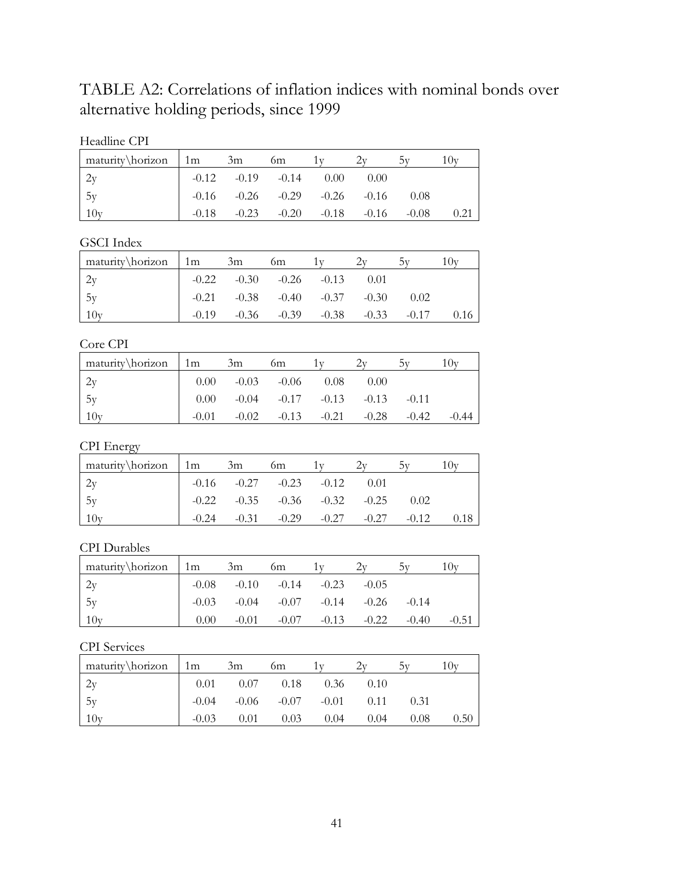TABLE A2: Correlations of inflation indices with nominal bonds over alternative holding periods, since 1999

| Headline CPI |
|--------------|
|--------------|

| maturity\horizon | $\lfloor 1m \rfloor$ | 3m                      | 6m                                      |           |         |         | $\cup$ |
|------------------|----------------------|-------------------------|-----------------------------------------|-----------|---------|---------|--------|
|                  |                      | $-0.12$ $-0.19$ $-0.14$ |                                         | 0.00      | 0.00    |         |        |
| $\frac{1}{5y}$   |                      |                         | $-0.16$ $-0.26$ $-0.29$ $-0.26$ $-0.16$ |           |         | 0.08    |        |
| 10y              | $-0.18$              | $-0.23$                 | $-0.20$                                 | $-0.18 -$ | $-0.16$ | $-0.08$ | 0.21   |

GSCI Index

| maturity\horizon | 1m      | 3m                                      | 6m                              |      |         | ىدا ، |
|------------------|---------|-----------------------------------------|---------------------------------|------|---------|-------|
| 2y               |         | $-0.22$ $-0.30$ $-0.26$ $-0.13$         |                                 | 0.01 |         |       |
| $\frac{1}{5}$    |         | $-0.21$ $-0.38$ $-0.40$ $-0.37$ $-0.30$ |                                 |      | 0.02    |       |
| $10y$            | $-0.19$ |                                         | $-0.36$ $-0.39$ $-0.38$ $-0.33$ |      | $-0.17$ | 0.16  |

Core CPI

| maturity\horizon | $\lfloor 1m \rfloor$ | 3m | 6m                            |                                                | 10v     |
|------------------|----------------------|----|-------------------------------|------------------------------------------------|---------|
| 2y               |                      |    | $0.00$ $-0.03$ $-0.06$ $0.08$ | 0.00                                           |         |
| 15y              |                      |    |                               | $0.00$ $-0.04$ $-0.17$ $-0.13$ $-0.13$ $-0.11$ |         |
| 10v              | $-0.01$              |    |                               | $-0.02$ $-0.13$ $-0.21$ $-0.28$ $-0.42$        | $-0.44$ |

## CPI Energy

| $\text{matrix} \hbox{horizon}$ 1m |         | 3m                                      | 6m                    | 1 V |         |         | $\mathbf{U}$ |
|-----------------------------------|---------|-----------------------------------------|-----------------------|-----|---------|---------|--------------|
| 2v                                |         | $-0.16$ $-0.27$ $-0.23$ $-0.12$         |                       |     | 0.01    |         |              |
| 1.5v                              |         | $-0.22$ $-0.35$ $-0.36$ $-0.32$ $-0.25$ |                       |     |         | 0.02    |              |
| 10 <sub>v</sub>                   | $-0.24$ |                                         | $-0.31 - 0.29 - 0.27$ |     | $-0.27$ | $-0.12$ | 0.18         |

#### CPI Durables

| maturity\horizon 1m |                | 3m                                              | 6m                              |  |         |         |
|---------------------|----------------|-------------------------------------------------|---------------------------------|--|---------|---------|
| 2y                  |                | $-0.08$ $-0.10$ $-0.14$ $-0.23$ $-0.05$         |                                 |  |         |         |
| 5v                  |                | $-0.03$ $-0.04$ $-0.07$ $-0.14$ $-0.26$ $-0.14$ |                                 |  |         |         |
| 10v                 | $0.00^{\circ}$ |                                                 | $-0.01$ $-0.07$ $-0.13$ $-0.22$ |  | $-0.40$ | $-0.51$ |

#### CPI Services

| maturity\horizon | 1m      | 3m   | 6m                                   |      |      |      | Jv ا ، |
|------------------|---------|------|--------------------------------------|------|------|------|--------|
| 2y               |         |      | $0.01$ $0.07$ $0.18$ $0.36$ $0.10$   |      |      |      |        |
| 5v               |         |      | $-0.04$ $-0.06$ $-0.07$ $-0.01$ 0.11 |      |      | 0.31 |        |
| 10v              | $-0.03$ | 0.01 | 0.03                                 | 0.04 | 0.04 | 0.08 | 0.50   |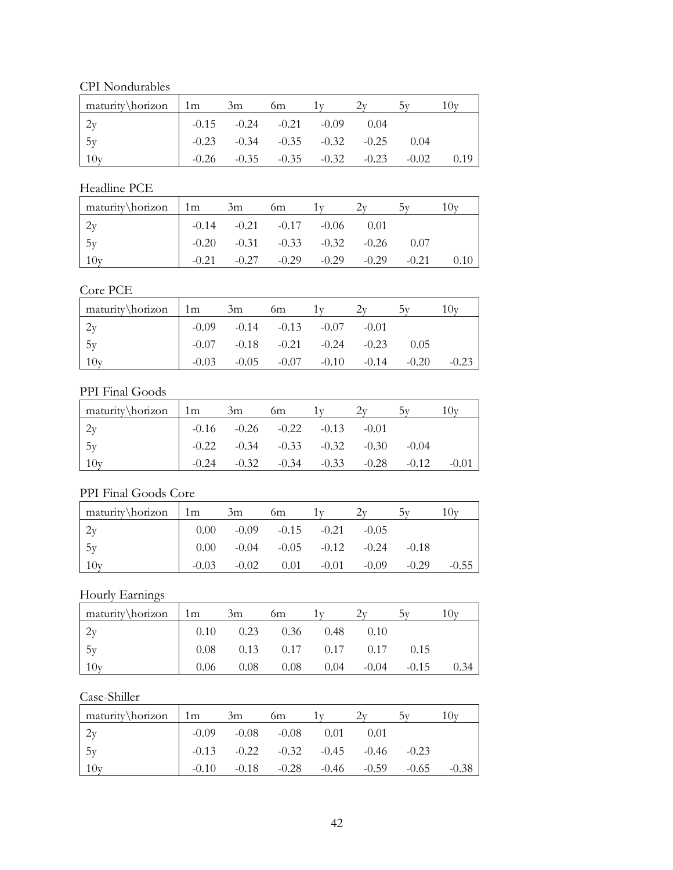CPI Nondurables

| maturity\horizon 1m | 3m | 6m                                      |                                         |         |  |
|---------------------|----|-----------------------------------------|-----------------------------------------|---------|--|
| $\frac{2y}{ }$      |    | $-0.15$ $-0.24$ $-0.21$ $-0.09$         | 0.04                                    |         |  |
| 5y                  |    | $-0.23$ $-0.34$ $-0.35$ $-0.32$ $-0.25$ |                                         | 0.04    |  |
| 10y                 |    |                                         | $-0.26$ $-0.35$ $-0.35$ $-0.32$ $-0.23$ | $-0.02$ |  |

#### Headline PCE

| maturity\horizon | $\lfloor 1m \rfloor$ | 3m      | <sub>0m</sub>                           |         |         |         |  |
|------------------|----------------------|---------|-----------------------------------------|---------|---------|---------|--|
| 2v               |                      |         | $-0.14$ $-0.21$ $-0.17$ $-0.06$         |         | 0.01    |         |  |
| 1.5v             |                      |         | $-0.20$ $-0.31$ $-0.33$ $-0.32$ $-0.26$ |         |         | 0.07    |  |
| 10v              | $-0.21$              | $-0.27$ | $-0.29$                                 | $-0.29$ | $-0.29$ | $-0.21$ |  |

## Core PCE

| $\text{matrix} \hbox{horizon}$ 1m |         | 3m                                      | 6m      |                 |         |         | 1 Ov    |
|-----------------------------------|---------|-----------------------------------------|---------|-----------------|---------|---------|---------|
|                                   |         | $-0.09$ $-0.14$ $-0.13$ $-0.07$         |         |                 | $-0.01$ |         |         |
| 5v                                |         | $-0.07$ $-0.18$ $-0.21$ $-0.24$ $-0.23$ |         |                 |         | 0.05    |         |
| 10y                               | $-0.03$ | $-0.05$                                 | $-0.07$ | $-0.10$ $-0.14$ |         | $-0.20$ | $-0.23$ |

#### PPI Final Goods

| maturity\horizon 1m |         | 3m | 6m                                      |  |         |         |
|---------------------|---------|----|-----------------------------------------|--|---------|---------|
|                     |         |    | $-0.16$ $-0.26$ $-0.22$ $-0.13$ $-0.01$ |  |         |         |
| 5y                  |         |    | $-0.22$ $-0.34$ $-0.33$ $-0.32$ $-0.30$ |  | $-0.04$ |         |
| 10y                 | $-0.24$ |    | $-0.32$ $-0.34$ $-0.33$ $-0.28$         |  | $-0.12$ | $-0.01$ |

## PPI Final Goods Core

| maturity\horizon | $\lfloor 1m \rfloor$ | 3m      | 6m                              |         |         |         | $\mathbf{U}$ |
|------------------|----------------------|---------|---------------------------------|---------|---------|---------|--------------|
| 2v               | 0.00                 |         | $-0.09$ $-0.15$ $-0.21$         |         | $-0.05$ |         |              |
| 1.5y             | 0.00                 |         | $-0.04$ $-0.05$ $-0.12$ $-0.24$ |         |         | $-0.18$ |              |
| 10y              | $-0.03$              | $-0.02$ | 0.01                            | $-0.01$ | $-0.09$ | $-0.29$ | $-0.55$      |

Hourly Earnings

| maturity\horizon 1m |      | 3m   | 6m                             |      |                                           |                | $U_{\rm V}$ |
|---------------------|------|------|--------------------------------|------|-------------------------------------------|----------------|-------------|
| 2y                  |      |      | $0.10 \t 0.23 \t 0.36 \t 0.48$ |      | 0.10                                      |                |             |
| 15y                 |      |      |                                |      | $0.08$ $0.13$ $0.17$ $0.17$ $0.17$ $0.15$ |                |             |
| 10v                 | 0.06 | 0.08 | 0.08                           | 0.04 |                                           | $-0.04 - 0.15$ | 0.34        |

## Case-Shiller

| maturity\horizon | $1 \text{ m}$ | 3m                      | 6m                              |      |                                         |         | 10v     |
|------------------|---------------|-------------------------|---------------------------------|------|-----------------------------------------|---------|---------|
|                  |               | $-0.09$ $-0.08$ $-0.08$ |                                 | 0.01 | 0.01                                    |         |         |
| 5y               |               |                         |                                 |      | $-0.13$ $-0.22$ $-0.32$ $-0.45$ $-0.46$ | $-0.23$ |         |
| 10y              | $-0.10$       |                         | $-0.18$ $-0.28$ $-0.46$ $-0.59$ |      |                                         | $-0.65$ | $-0.38$ |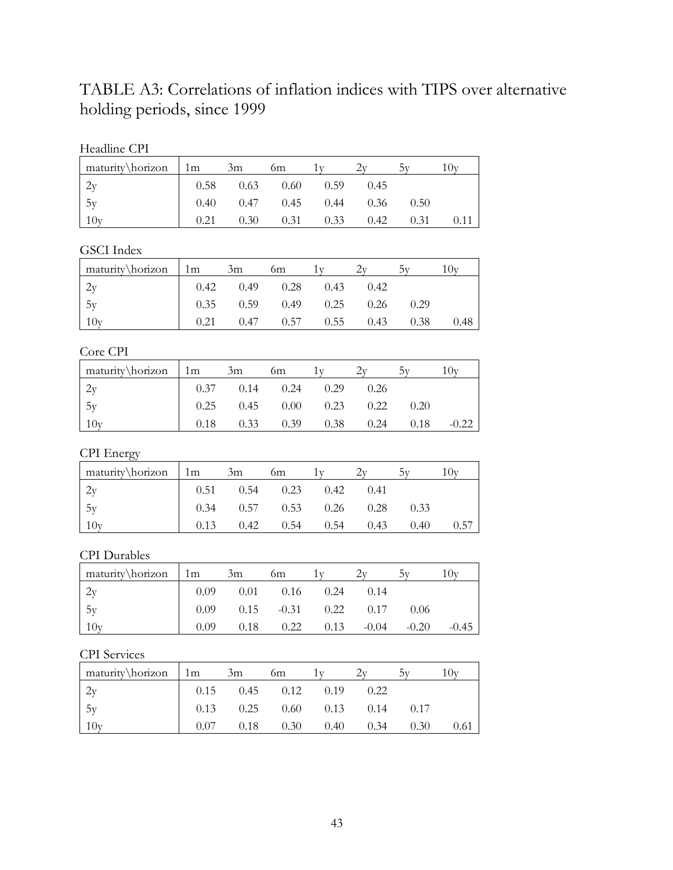TABLE A3: Correlations of inflation indices with TIPS over alternative holding periods, since 1999

| Headline CPI |  |
|--------------|--|
|--------------|--|

| maturity\horizon 1m                     |      | 3m   | 6m                          |                    |      |      | 10v |
|-----------------------------------------|------|------|-----------------------------|--------------------|------|------|-----|
|                                         |      |      | $0.58$ $0.63$ $0.60$ $0.59$ |                    | 0.45 |      |     |
| $\begin{array}{c} 2y \\ 5y \end{array}$ | 0.40 |      | $0.47$ $0.45$ $0.44$ $0.36$ |                    |      | 0.50 |     |
| 10y                                     | 0.21 | 0.30 |                             | $0.31 \qquad 0.33$ | 0.42 | 0.31 |     |

#### GSCI Index

| $\int$ maturity horizon $\int$ 1m 3m |                                                                                  |                                           | 6m |  |      |
|--------------------------------------|----------------------------------------------------------------------------------|-------------------------------------------|----|--|------|
| 2v                                   | $\begin{array}{cccc} \sim & 0.42 & 0.49 & 0.28 & 0.43 & 0.42 \end{array}$        |                                           |    |  |      |
| 5v                                   | $\begin{array}{cccc} \sim & 0.35 & 0.59 & 0.49 & 0.25 & 0.26 & 0.29 \end{array}$ |                                           |    |  |      |
| 10y                                  |                                                                                  | $0.21$ $0.47$ $0.57$ $0.55$ $0.43$ $0.38$ |    |  | 0.48 |

## Core CPI

| maturity\horizon | 1 <sub>m</sub> | 3m   | 6m   |      |      | 77   | 10v     |
|------------------|----------------|------|------|------|------|------|---------|
|                  | 0.37           | 0.14 | 0.24 | 0.29 | 0.26 |      |         |
| 5y               | 0.25           | 0.45 | 0.00 | 0.23 | 0.22 | 0.20 |         |
| 10v              | 0.18           | 0.33 | 0.39 | 0.38 | 0.24 | 0.18 | $-0.22$ |

## CPI Energy

| $\text{matrix} \text{horizon}$ 1m |      | 3m                                 | 6m          |      |      |      |
|-----------------------------------|------|------------------------------------|-------------|------|------|------|
|                                   |      | $0.51$ $0.54$ $0.23$ $0.42$        |             | 0.41 |      |      |
| 1.5v                              |      | $0.34$ $0.57$ $0.53$ $0.26$ $0.28$ |             |      | 0.33 |      |
| 10v                               | 0.13 | 0.42                               | $0.54$ 0.54 | 0.43 | 0.40 | 0.57 |

#### CPI Durables

| $\frac{matrix\hbar zon}{1m}$ | 3m | <sub>0m</sub>                              |  |                                             | . Ov    |
|------------------------------|----|--------------------------------------------|--|---------------------------------------------|---------|
| 2v                           |    | $0.09$ $0.01$ $0.16$ $0.24$ $0.14$         |  |                                             |         |
| 15v                          |    | $0.09$ $0.15$ $-0.31$ $0.22$ $0.17$ $0.06$ |  |                                             |         |
| 10y                          |    |                                            |  | $0.09$ $0.18$ $0.22$ $0.13$ $-0.04$ $-0.20$ | $-0.45$ |

#### CPI Services

| maturity\horizon | 1m   | 3m                                 | 6m            |      |      |      | $U_{V}$ |
|------------------|------|------------------------------------|---------------|------|------|------|---------|
|                  |      | $0.15$ $0.45$ $0.12$ $0.19$        |               |      | 0.22 |      |         |
| 5v               |      | $0.13$ $0.25$ $0.60$ $0.13$ $0.14$ |               |      |      | 0.17 |         |
|                  | 0.07 |                                    | $0.18$ $0.30$ | 0.40 | 0.34 | 0.30 | 0.61    |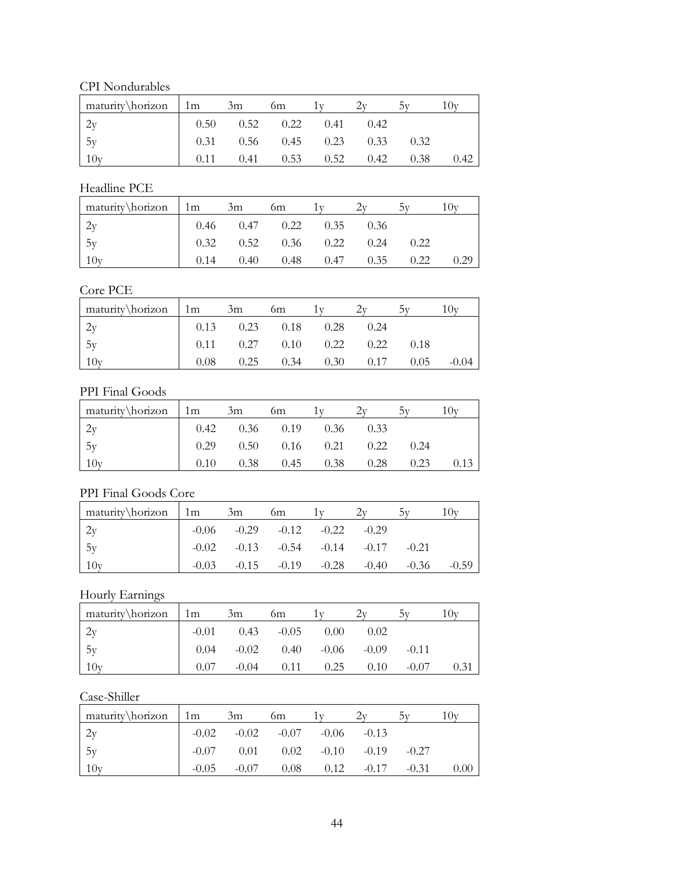CPI Nondurables

| $\text{matrix} \hbox{horizon}$ 1m | 3m | <sub>6m</sub>                      |      |      |      |
|-----------------------------------|----|------------------------------------|------|------|------|
|                                   |    | $0.50$ $0.52$ $0.22$ $0.41$ $0.42$ |      |      |      |
| 5v                                |    | $0.31$ $0.56$ $0.45$ $0.23$ $0.33$ |      | 0.32 |      |
|                                   |    | $0.41$ $0.53$ $0.52$               | 0.42 | 0.38 | 0.42 |

#### Headline PCE

| $\text{matrix} \hbox{horizon}$ 1m |      | 3m                                 | 6m |             |      |      |  |
|-----------------------------------|------|------------------------------------|----|-------------|------|------|--|
|                                   |      | $0.46$ $0.47$ $0.22$ $0.35$        |    |             | 0.36 |      |  |
| 1.5v                              |      | $0.32$ $0.52$ $0.36$ $0.22$ $0.24$ |    |             |      | 0.22 |  |
| 10v                               | 0.14 | 0.40                               |    | $0.48$ 0.47 | 0.35 | 0.22 |  |

## Core PCE

| $\text{matrix} \hbox{horizon}$ 1m |      | 3m | <sub>0m</sub>                      |                                    |      | 10v     |
|-----------------------------------|------|----|------------------------------------|------------------------------------|------|---------|
|                                   |      |    | $0.13$ $0.23$ $0.18$ $0.28$        | 0.24                               |      |         |
| $-5y$                             |      |    | $0.11$ $0.27$ $0.10$ $0.22$ $0.22$ |                                    | 0.18 |         |
| 10y                               | 0.08 |    |                                    | $0.25$ $0.34$ $0.30$ $0.17$ $0.05$ |      | $-0.04$ |

#### PPI Final Goods

| maturity\horizon 1m |      | 3m | 6m                                 |  |      |  |
|---------------------|------|----|------------------------------------|--|------|--|
|                     |      |    | $0.42$ $0.36$ $0.19$ $0.36$ $0.33$ |  |      |  |
| 5v                  |      |    | $0.29$ $0.50$ $0.16$ $0.21$ $0.22$ |  | 0.24 |  |
| 10v                 | 0.10 |    | $0.38$ $0.45$ $0.38$ $0.28$        |  | 0.23 |  |

## PPI Final Goods Core

| maturity\horizon | 1m      | 3m                                              | 6m                              |  |         |         |
|------------------|---------|-------------------------------------------------|---------------------------------|--|---------|---------|
| 2v               |         | $-0.06$ $-0.29$ $-0.12$ $-0.22$ $-0.29$         |                                 |  |         |         |
| 1.5y             |         | $-0.02$ $-0.13$ $-0.54$ $-0.14$ $-0.17$ $-0.21$ |                                 |  |         |         |
| 10v              | $-0.03$ |                                                 | $-0.15$ $-0.19$ $-0.28$ $-0.40$ |  | $-0.36$ | $-0.59$ |

Hourly Earnings

| maturity\horizon | 1 <sub>m</sub> | 3m            | 6m                             |      |      | 5V      | 10v  |
|------------------|----------------|---------------|--------------------------------|------|------|---------|------|
| 2y               | $-0.01$        | $0.43 - 0.05$ |                                | 0.00 | 0.02 |         |      |
| 5y               | 0.04           |               | $-0.02$ $0.40$ $-0.06$ $-0.09$ |      |      | $-0.11$ |      |
| 10v              | 0.07           | $-0.04$       | 0.11                           | 0.25 | 0.10 | $-0.07$ | 0.31 |

## Case-Shiller

| maturity\horizon | $1 \text{ m}$ | 3m           | 6m                                      |                       |         | 10v  |
|------------------|---------------|--------------|-----------------------------------------|-----------------------|---------|------|
|                  |               |              | $-0.02$ $-0.02$ $-0.07$ $-0.06$ $-0.13$ |                       |         |      |
| 5v               |               | $-0.07$ 0.01 | $0.02$ $-0.10$ $-0.19$                  |                       | $-0.27$ |      |
| 10y              | $-0.05$       | $-0.07$      |                                         | $0.08$ $0.12$ $-0.17$ | $-0.31$ | 0.00 |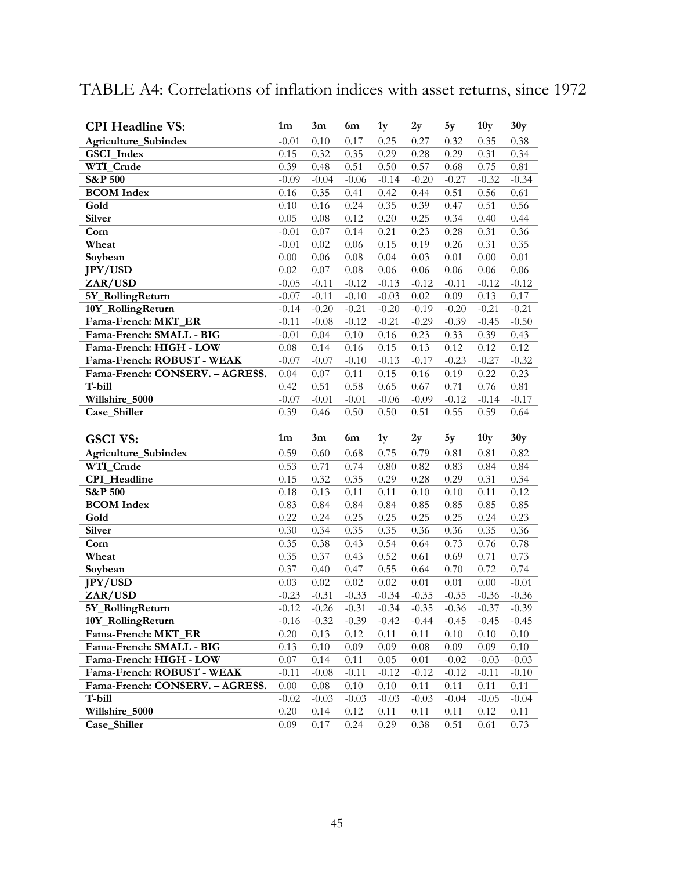# TABLE A4: Correlations of inflation indices with asset returns, since 1972

| <b>CPI Headline VS:</b>           | 1 <sub>m</sub>   | 3m           | 6m              | 1y           | 2y           | 5y                | 10 <sub>y</sub> | 30y             |
|-----------------------------------|------------------|--------------|-----------------|--------------|--------------|-------------------|-----------------|-----------------|
| Agriculture_Subindex              | $-0.01$          | 0.10         | 0.17            | 0.25         | 0.27         | 0.32              | 0.35            | 0.38            |
| GSCI_Index                        | 0.15             | 0.32         | 0.35            | 0.29         | 0.28         | 0.29              | 0.31            | 0.34            |
| WTI_Crude                         | 0.39             | 0.48         | 0.51            | 0.50         | 0.57         | 0.68              | 0.75            | 0.81            |
| <b>S&amp;P 500</b>                | $-0.09$          | $-0.04$      | $-0.06$         | $-0.14$      | $-0.20$      | $-0.27$           | $-0.32$         | $-0.34$         |
| <b>BCOM</b> Index                 | 0.16             | 0.35         | 0.41            | 0.42         | 0.44         | 0.51              | 0.56            | 0.61            |
| Gold                              | 0.10             | 0.16         | 0.24            | 0.35         | 0.39         | 0.47              | 0.51            | 0.56            |
| <b>Silver</b>                     | 0.05             | 0.08         | 0.12            | 0.20         | 0.25         | 0.34              | 0.40            | 0.44            |
| Corn                              | $-0.01$          | 0.07         | 0.14            | 0.21         | 0.23         | 0.28              | 0.31            | 0.36            |
| Wheat                             | $-0.01$          | 0.02         | 0.06            | 0.15         | 0.19         | 0.26              | 0.31            | 0.35            |
| Soybean                           | $0.00\,$         | 0.06         | 0.08            | 0.04         | 0.03         | 0.01              | 0.00            | 0.01            |
| <b>JPY/USD</b>                    | 0.02             | 0.07         | 0.08            | $0.06\,$     | 0.06         | 0.06              | 0.06            | 0.06            |
| ZAR/USD                           | $-0.05$          | $-0.11$      | $-0.12$         | $-0.13$      | $-0.12$      | $-0.11$           | $-0.12$         | $-0.12$         |
| 5Y_RollingReturn                  | $-0.07$          | $-0.11$      | $-0.10$         | $-0.03$      | 0.02         | 0.09              | 0.13            | 0.17            |
| 10Y_RollingReturn                 | $-0.14$          | $-0.20$      | $-0.21$         | $-0.20$      | $-0.19$      | $-0.20$           | $-0.21$         | $-0.21$         |
| Fama-French: MKT_ER               | $-0.11$          | $-0.08$      | $-0.12$         | $-0.21$      | $-0.29$      | $-0.39$           | $-0.45$         | $-0.50$         |
| Fama-French: SMALL - BIG          | $-0.01$          | 0.04         | 0.10            | 0.16         | 0.23         | 0.33              | 0.39            | 0.43            |
| Fama-French: HIGH - LOW           | $0.08\,$         | 0.14         | 0.16            | 0.15         | 0.13         | $0.\overline{12}$ | 0.12            | 0.12            |
| Fama-French: ROBUST - WEAK        | $-0.07$          | $-0.07$      | $-0.10$         | $-0.13$      | $-0.17$      | $-0.23$           | $-0.27$         | $-0.32$         |
| Fama-French: CONSERV. - AGRESS.   | 0.04             | 0.07         | 0.11            | 0.15         | 0.16         | 0.19              | 0.22            | 0.23            |
| T-bill                            | 0.42             | 0.51         | 0.58<br>$-0.01$ | 0.65         | 0.67         | 0.71<br>$-0.12$   | 0.76            | 0.81            |
| Willshire_5000<br>Case_Shiller    | $-0.07$          | $-0.01$      |                 | $-0.06$      | $-0.09$      |                   | $-0.14$         | $-0.17$<br>0.64 |
|                                   | 0.39             | 0.46         | 0.50            | 0.50         | 0.51         | 0.55              | 0.59            |                 |
|                                   |                  |              |                 |              |              |                   |                 |                 |
| <b>GSCI VS:</b>                   | 1 <sub>m</sub>   | 3m           | 6m              | 1y           | 2y           | 5y                | 10 <sub>y</sub> | 30y             |
|                                   |                  |              |                 | 0.75         |              |                   |                 |                 |
| Agriculture_Subindex<br>WTI_Crude | 0.59<br>0.53     | 0.60<br>0.71 | 0.68<br>0.74    | 0.80         | 0.79<br>0.82 | 0.81<br>0.83      | 0.81<br>0.84    | 0.82<br>0.84    |
| CPI_Headline                      | 0.15             | 0.32         | 0.35            | 0.29         | 0.28         | 0.29              | 0.31            | 0.34            |
| <b>S&amp;P 500</b>                | 0.18             | 0.13         | 0.11            | 0.11         | 0.10         | 0.10              | 0.11            | 0.12            |
| <b>BCOM</b> Index                 | 0.83             | 0.84         | 0.84            | 0.84         | 0.85         | 0.85              | 0.85            | 0.85            |
| Gold                              | 0.22             | 0.24         | 0.25            | 0.25         | 0.25         | 0.25              | 0.24            | 0.23            |
| Silver                            | 0.30             | 0.34         | 0.35            | 0.35         | 0.36         | 0.36              | 0.35            | 0.36            |
| Corn                              | 0.35             | 0.38         | 0.43            | 0.54         | 0.64         | 0.73              | 0.76            | 0.78            |
| Wheat                             | 0.35             | 0.37         | 0.43            | 0.52         | 0.61         | 0.69              | 0.71            | 0.73            |
| Soybean                           | 0.37             | 0.40         | 0.47            | 0.55         | 0.64         | 0.70              | 0.72            | 0.74            |
| <b>JPY/USD</b>                    | 0.03             | 0.02         | 0.02            | 0.02         | 0.01         | $0.01\,$          | 0.00            | $-0.01$         |
| ZAR/USD                           | $-0.23$          | $-0.31$      | $-0.33$         | $-0.34$      | $-0.35$      | $-0.35$           | $-0.36$         | $-0.36$         |
| 5Y_RollingReturn                  | $-0.12$          | $-0.26$      | $-0.31$         | $-0.34$      | $-0.35$      | $-0.36$           | $-0.37$         | $-0.39$         |
| 10Y_RollingReturn                 | $-0.16$          | $-0.32$      | $-0.39$         | $-0.42$      | $-0.44$      | $-0.45$           | $-0.45$         | $-0.45$         |
| Fama-French: MKT ER               | 0.20             | 0.13         | 0.12            | 0.11         | 0.11         | 0.10              | 0.10            | 0.10            |
| Fama-French: SMALL - BIG          | 0.13             | 0.10         | 0.09            | 0.09         | 0.08         | 0.09              | 0.09            | 0.10            |
| Fama-French: HIGH - LOW           | 0.07             | 0.14         | 0.11            | 0.05         | 0.01         | $-0.02$           | $-0.03$         | $-0.03$         |
| Fama-French: ROBUST - WEAK        | $-0.11$          | $-0.08$      | $-0.11$         | $-0.12$      | $-0.12$      | $-0.12$           | $-0.11$         | $-0.10$         |
| Fama-French: CONSERV. - AGRESS.   | 0.00             | 0.08         | 0.10            | 0.10         | 0.11         | 0.11              | 0.11            | 0.11            |
| T-bill                            | $-0.02$          | $-0.03$      | $-0.03$         | $-0.03$      | $-0.03$      | $-0.04$           | $-0.05$         | $-0.04$         |
| Willshire_5000<br>Case Shiller    | $0.20\,$<br>0.09 | 0.14<br>0.17 | 0.12<br>0.24    | 0.11<br>0.29 | 0.11<br>0.38 | 0.11<br>0.51      | 0.12<br>0.61    | 0.11<br>0.73    |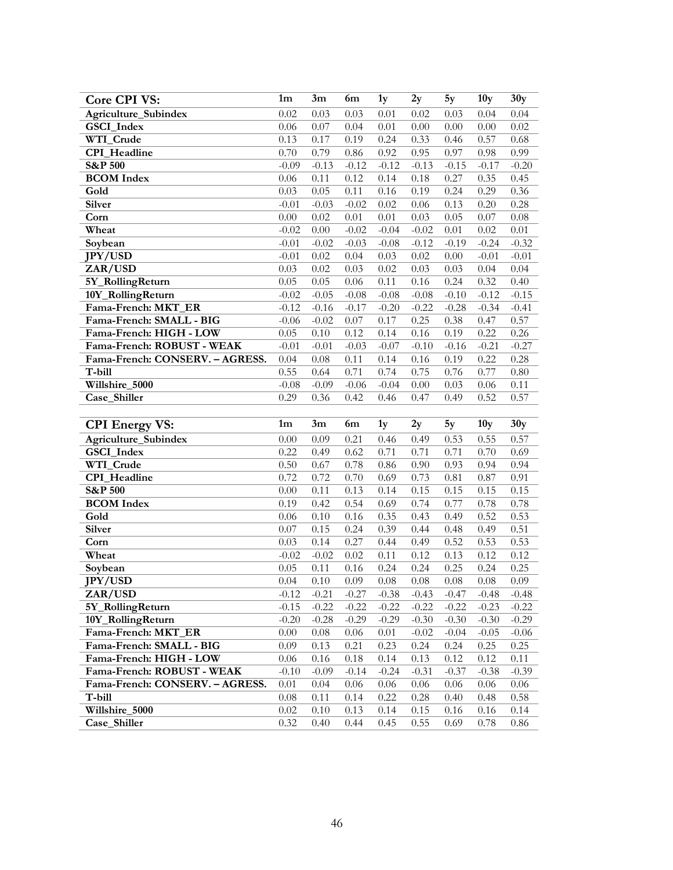| <b>Core CPI VS:</b>             | $1{\rm m}$ | 3m       | 6m      | 1y             | 2y       | 5y                | 10 <sub>y</sub> | 30y          |
|---------------------------------|------------|----------|---------|----------------|----------|-------------------|-----------------|--------------|
| Agriculture_Subindex            | 0.02       | 0.03     | 0.03    | 0.01           | 0.02     | 0.03              | 0.04            | 0.04         |
| GSCI_Index                      | 0.06       | 0.07     | 0.04    | 0.01           | 0.00     | 0.00              | 0.00            | 0.02         |
| WTI_Crude                       | 0.13       | 0.17     | 0.19    | 0.24           | 0.33     | 0.46              | 0.57            | 0.68         |
| <b>CPI</b> Headline             | 0.70       | 0.79     | 0.86    | 0.92           | 0.95     | 0.97              | 0.98            | 0.99         |
| <b>S&amp;P 500</b>              | $-0.09$    | $-0.13$  | $-0.12$ | $-0.12$        | $-0.13$  | $-0.15$           | $-0.17$         | $-0.20$      |
| <b>BCOM</b> Index               | 0.06       | 0.11     | 0.12    | 0.14           | 0.18     | 0.27              | 0.35            | 0.45         |
| Gold                            | 0.03       | 0.05     | 0.11    | 0.16           | 0.19     | 0.24              | 0.29            | 0.36         |
| Silver                          | $-0.01$    | $-0.03$  | $-0.02$ | 0.02           | 0.06     | 0.13              | 0.20            | 0.28         |
| Corn                            | 0.00       | 0.02     | 0.01    | $0.01\,$       | 0.03     | 0.05              | 0.07            | 0.08         |
| Wheat                           | $-0.02$    | 0.00     | $-0.02$ | $-0.04$        | $-0.02$  | 0.01              | 0.02            | 0.01         |
| Soybean                         | $-0.01$    | $-0.02$  | $-0.03$ | $-0.08$        | $-0.12$  | $-0.19$           | $-0.24$         | $-0.32$      |
| <b>JPY/USD</b>                  | $-0.01$    | 0.02     | 0.04    | 0.03           | 0.02     | 0.00              | $-0.01$         | $-0.01$      |
| ZAR/USD                         | 0.03       | 0.02     | 0.03    | 0.02           | 0.03     | 0.03              | 0.04            | 0.04         |
| 5Y_RollingReturn                | 0.05       | 0.05     | 0.06    | 0.11           | 0.16     | 0.24              | 0.32            | 0.40         |
| 10Y_RollingReturn               | $-0.02$    | $-0.05$  | $-0.08$ | $-0.08$        | $-0.08$  | $-0.10$           | $-0.12$         | $-0.15$      |
| Fama-French: MKT_ER             | $-0.12$    | $-0.16$  | $-0.17$ | $-0.20$        | $-0.22$  | $-0.28$           | $-0.34$         | $-0.41$      |
| Fama-French: SMALL - BIG        | $-0.06$    | $-0.02$  | 0.07    | 0.17           | 0.25     | 0.38              | 0.47            | 0.57         |
| Fama-French: HIGH - LOW         | 0.05       | 0.10     | 0.12    | 0.14           | $0.16\,$ | 0.19              | 0.22            | 0.26         |
| Fama-French: ROBUST - WEAK      | $-0.01$    | $-0.01$  | $-0.03$ | $-0.07$        | $-0.10$  | $-0.16$           | $-0.21$         | $-0.27$      |
| Fama-French: CONSERV. - AGRESS. | 0.04       | 0.08     | 0.11    | 0.14           | 0.16     | 0.19              | 0.22            | 0.28         |
| $T$ -bill                       | 0.55       | 0.64     | 0.71    | 0.74           | 0.75     | 0.76              | 0.77            | 0.80         |
| Willshire_5000                  | $-0.08$    | $-0.09$  | $-0.06$ | $-0.04$        | 0.00     | 0.03              | $0.06\,$        | 0.11         |
| Case_Shiller                    | 0.29       | 0.36     | 0.42    | 0.46           | 0.47     | 0.49              | 0.52            | 0.57         |
|                                 |            |          |         |                |          |                   |                 |              |
|                                 |            |          |         |                |          |                   |                 |              |
| <b>CPI Energy VS:</b>           | $1m$       | 3m       | 6m      | 1 <sub>y</sub> | 2y       | 5y                | 10y             | 30y          |
| Agriculture_Subindex            | 0.00       | 0.09     | 0.21    | 0.46           | 0.49     | 0.53              | 0.55            | 0.57         |
| GSCI_Index                      | 0.22       | 0.49     | 0.62    | 0.71           | 0.71     | $0.\overline{71}$ | 0.70            | 0.69         |
| WTI_Crude                       | 0.50       | 0.67     | 0.78    | 0.86           | 0.90     | 0.93              | 0.94            | 0.94         |
| <b>CPI_Headline</b>             | 0.72       | 0.72     | 0.70    | 0.69           | 0.73     | 0.81              | 0.87            | 0.91         |
| <b>S&amp;P 500</b>              | 0.00       | 0.11     | 0.13    | 0.14           | 0.15     | 0.15              | 0.15            | 0.15         |
| <b>BCOM</b> Index               | 0.19       | 0.42     | 0.54    | 0.69           | 0.74     | 0.77              | 0.78            | 0.78         |
| Gold                            | 0.06       | 0.10     | 0.16    | 0.35           | 0.43     | 0.49              | 0.52            | 0.53         |
| Silver                          | 0.07       | 0.15     | 0.24    | 0.39           | 0.44     | 0.48              | 0.49            | 0.51         |
| Corn                            | 0.03       | 0.14     | 0.27    | 0.44           | 0.49     | 0.52              | 0.53            | 0.53         |
| Wheat                           | $-0.02$    | $-0.02$  | 0.02    | 0.11           | 0.12     | 0.13              | 0.12            | 0.12         |
| Soybean                         | 0.05       | 0.11     | 0.16    | 0.24           | 0.24     | 0.25              | 0.24            | 0.25         |
| JPY/USD                         | 0.04       | $0.10\,$ | 0.09    | 0.08           | $0.08\,$ | $0.08\,$          | 0.08            | 0.09         |
| ZAR/USD                         | $-0.12$    | $-0.21$  | $-0.27$ | $-0.38$        | $-0.43$  | $-0.47$           | $-0.48$         | $-0.48$      |
| 5Y_RollingReturn                | $-0.15$    | $-0.22$  | $-0.22$ | $-0.22$        | $-0.22$  | $-0.22$           | $-0.23$         | $-0.22$      |
| 10Y_RollingReturn               | $-0.20$    | $-0.28$  | $-0.29$ | $-0.29$        | $-0.30$  | $-0.30$           | $-0.30$         | $-0.29$      |
| Fama-French: MKT_ER             | 0.00       | 0.08     | 0.06    | 0.01           | $-0.02$  | $-0.04$           | $-0.05$         | $-0.06$      |
| Fama-French: SMALL - BIG        | 0.09       | 0.13     | 0.21    | 0.23           | 0.24     | 0.24              | 0.25            | 0.25         |
| Fama-French: HIGH - LOW         | 0.06       | 0.16     | 0.18    | 0.14           | 0.13     | 0.12              | 0.12            | 0.11         |
| Fama-French: ROBUST - WEAK      | $-0.10$    | $-0.09$  | $-0.14$ | $-0.24$        | $-0.31$  | $-0.37$           | $-0.38$         | $-0.39$      |
| Fama-French: CONSERV. - AGRESS. | 0.01       | 0.04     | 0.06    | 0.06           | 0.06     | 0.06              | 0.06            | 0.06         |
| T-bill                          | 0.08       | 0.11     | 0.14    | 0.22           | 0.28     | 0.40              | 0.48            | 0.58         |
| Willshire_5000<br>Case_Shiller  | 0.02       | 0.10     | 0.13    | 0.14           | 0.15     | 0.16              | 0.16            | 0.14<br>0.86 |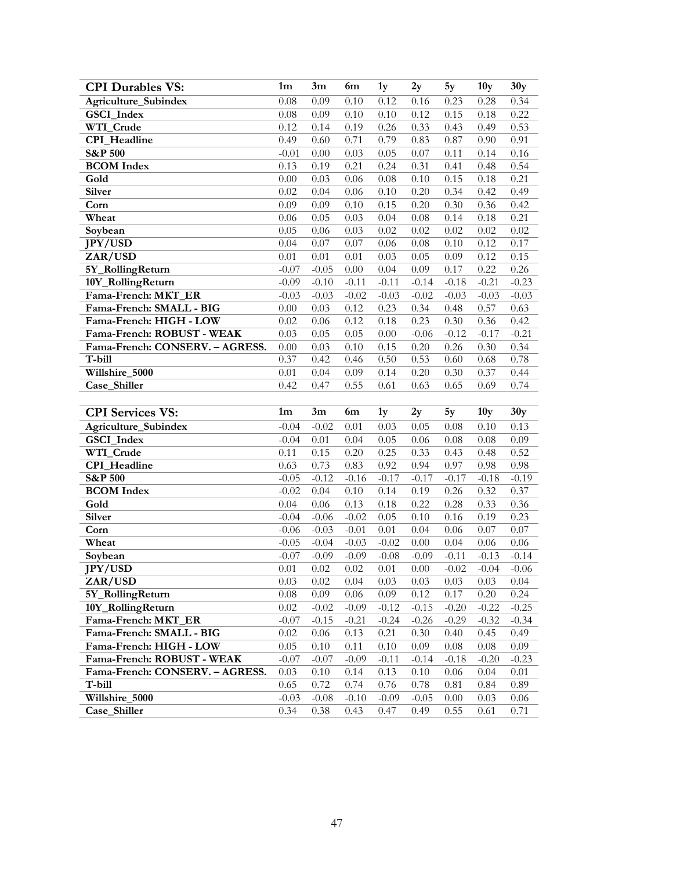| <b>CPI Durables VS:</b>         | $1{\rm m}$      | 3m              | 6m              | 1y              | 2y              | 5y           | 10 <sub>y</sub> | 30y          |
|---------------------------------|-----------------|-----------------|-----------------|-----------------|-----------------|--------------|-----------------|--------------|
| Agriculture_Subindex            | 0.08            | 0.09            | 0.10            | 0.12            | 0.16            | 0.23         | 0.28            | 0.34         |
| GSCI_Index                      | 0.08            | 0.09            | 0.10            | 0.10            | 0.12            | 0.15         | 0.18            | 0.22         |
| WTI_Crude                       | 0.12            | 0.14            | 0.19            | 0.26            | 0.33            | 0.43         | 0.49            | 0.53         |
| <b>CPI</b> Headline             | 0.49            | 0.60            | 0.71            | 0.79            | 0.83            | 0.87         | 0.90            | 0.91         |
| <b>S&amp;P 500</b>              | $-0.01$         | 0.00            | 0.03            | 0.05            | 0.07            | 0.11         | 0.14            | 0.16         |
| <b>BCOM</b> Index               | 0.13            | 0.19            | 0.21            | 0.24            | 0.31            | 0.41         | 0.48            | 0.54         |
| Gold                            | 0.00            | 0.03            | 0.06            | 0.08            | 0.10            | 0.15         | 0.18            | 0.21         |
| Silver                          | 0.02            | 0.04            | 0.06            | 0.10            | 0.20            | 0.34         | 0.42            | 0.49         |
| Corn                            | 0.09            | 0.09            | 0.10            | 0.15            | 0.20            | 0.30         | 0.36            | 0.42         |
| Wheat                           | 0.06            | 0.05            | 0.03            | 0.04            | 0.08            | 0.14         | 0.18            | 0.21         |
| Soybean                         | 0.05            | 0.06            | 0.03            | 0.02            | 0.02            | 0.02         | 0.02            | 0.02         |
| <b>JPY/USD</b>                  | 0.04            | 0.07            | 0.07            | 0.06            | 0.08            | 0.10         | 0.12            | 0.17         |
| ZAR/USD                         | 0.01            | 0.01            | 0.01            | 0.03            | 0.05            | 0.09         | 0.12            | 0.15         |
| 5Y_RollingReturn                | $-0.07$         | $-0.05$         | 0.00            | 0.04            | 0.09            | 0.17         | 0.22            | 0.26         |
| 10Y_RollingReturn               | $-0.09$         | $-0.10$         | $-0.11$         | $-0.11$         | $-0.14$         | $-0.18$      | $-0.21$         | $-0.23$      |
| Fama-French: MKT_ER             | $-0.03$         | $-0.03$         | $-0.02$         | $-0.03$         | $-0.02$         | $-0.03$      | $-0.03$         | $-0.03$      |
| Fama-French: SMALL - BIG        | 0.00            | 0.03            | 0.12            | 0.23            | 0.34            | 0.48         | 0.57            | 0.63         |
| Fama-French: HIGH - LOW         | 0.02            | 0.06            | 0.12            | 0.18            | 0.23            | 0.30         | 0.36            | 0.42         |
| Fama-French: ROBUST - WEAK      | 0.03            | 0.05            | 0.05            | 0.00            | $-0.06$         | $-0.12$      | $-0.17$         | $-0.21$      |
| Fama-French: CONSERV. - AGRESS. | 0.00            | 0.03            | 0.10            | 0.15            | 0.20            | 0.26         | 0.30            | 0.34         |
| T-bill                          | 0.37            | 0.42            | 0.46            | 0.50            | 0.53            | 0.60         | 0.68            | 0.78         |
| Willshire_5000                  | 0.01            | 0.04            | 0.09            | 0.14            | 0.20            | 0.30         | 0.37            | 0.44         |
| Case_Shiller                    | 0.42            | 0.47            | 0.55            | 0.61            | 0.63            | 0.65         | 0.69            | 0.74         |
|                                 |                 |                 |                 |                 |                 |              |                 |              |
|                                 |                 |                 |                 |                 |                 |              |                 |              |
| <b>CPI</b> Services VS:         | 1 <sub>m</sub>  | 3m              | 6m              | 1 <sub>y</sub>  | 2y              | 5y           | 10y             | 30y          |
| Agriculture_Subindex            | $-0.04$         | $-0.02$         | 0.01            | 0.03            | 0.05            | 0.08         | 0.10            | 0.13         |
| GSCI_Index                      | $-0.04$         | 0.01            | 0.04            | 0.05            | 0.06            | 0.08         | 0.08            | 0.09         |
| WTI_Crude                       | 0.11            | 0.15            | 0.20            | 0.25            | 0.33            | 0.43         | 0.48            | 0.52         |
| CPI_Headline                    | 0.63            | 0.73            | 0.83            | 0.92            | 0.94            | 0.97         | 0.98            | 0.98         |
| <b>S&amp;P 500</b>              | $-0.05$         | $-0.12$         | $-0.16$         | $-0.17$         | $-0.17$         | $-0.17$      | $-0.18$         | $-0.19$      |
| <b>BCOM</b> Index               | $-0.02$         | 0.04            | 0.10            | 0.14            | 0.19            | 0.26         | 0.32            | 0.37         |
| Gold                            | 0.04            | 0.06            | 0.13            | 0.18            | 0.22            | 0.28         | 0.33            | 0.36         |
| Silver                          | $-0.04$         | $-0.06$         | $-0.02$         | 0.05            | 0.10            | 0.16         | 0.19            | 0.23         |
| Corn                            | $-0.06$         | $-0.03$         | $-0.01$         | 0.01            | 0.04            | 0.06         | 0.07            | 0.07         |
| Wheat                           | $-0.05$         | $-0.04$         | $-0.03$         | $-0.02$         | 0.00            | 0.04         | 0.06            | 0.06         |
| Soybean                         | $-0.07$         | $-0.09$         | $-0.09$         | $-0.08$         | $-0.09$         | $-0.11$      | $-0.13$         | $-0.14$      |
| JPY/USD                         | $0.01\,$        | 0.02            | 0.02            | 0.01            | $0.00\,$        | $-0.02$      | $-0.04$         | $-0.06$      |
| ZAR/USD                         | 0.03            | 0.02            | 0.04            | 0.03            | 0.03            | 0.03         | 0.03            | 0.04         |
| 5Y_RollingReturn                | 0.08            | 0.09            | 0.06            | 0.09            | 0.12            | 0.17         | 0.20            | 0.24         |
| 10Y_RollingReturn               | 0.02            | $-0.02$         | $-0.09$         | $-0.12$         | $-0.15$         | $-0.20$      | $-0.22$         | $-0.25$      |
| Fama-French: MKT_ER             | $-0.07$         | $-0.15$         | $-0.21$         | $-0.24$         | $-0.26$         | $-0.29$      | $-0.32$         | $-0.34$      |
| Fama-French: SMALL - BIG        | 0.02            | 0.06            | 0.13            | 0.21            | 0.30            | 0.40         | 0.45            | 0.49         |
| Fama-French: HIGH - LOW         | 0.05            | 0.10            | 0.11            | 0.10            | 0.09            | 0.08         | 0.08            | 0.09         |
| Fama-French: ROBUST - WEAK      | $-0.07$         | $-0.07$         | $-0.09$         | $-0.11$         | $-0.14$         | $-0.18$      | $-0.20$         | $-0.23$      |
| Fama-French: CONSERV. - AGRESS. | 0.03            | 0.10            | 0.14            | 0.13            | 0.10            | 0.06         | 0.04            | 0.01         |
| T-bill                          | 0.65            | 0.72            | 0.74            | 0.76            | 0.78            | 0.81         | 0.84            | 0.89         |
| Willshire_5000<br>Case_Shiller  | $-0.03$<br>0.34 | $-0.08$<br>0.38 | $-0.10$<br>0.43 | $-0.09$<br>0.47 | $-0.05$<br>0.49 | 0.00<br>0.55 | 0.03<br>0.61    | 0.06<br>0.71 |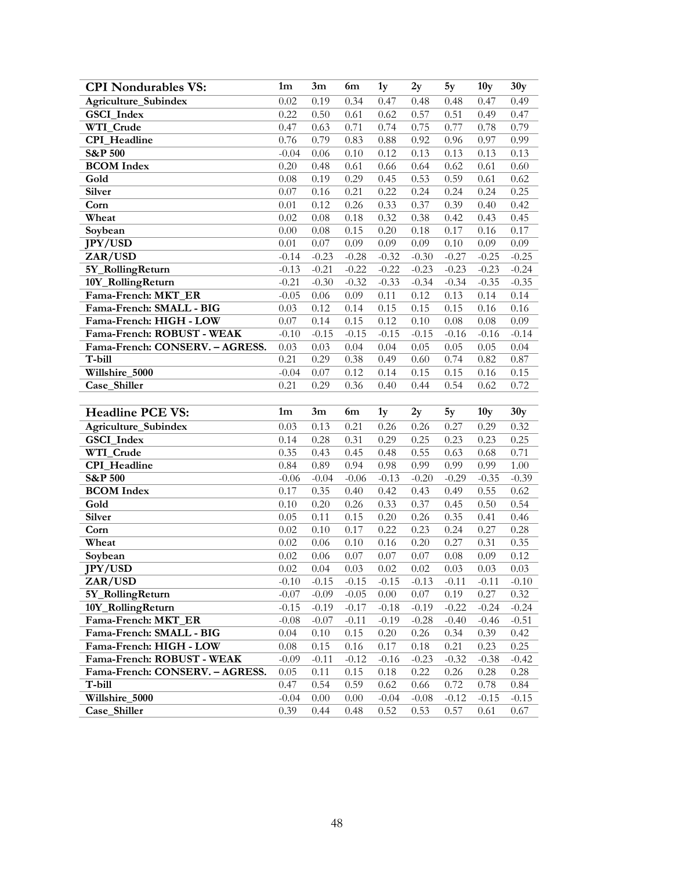| <b>CPI Nondurables VS:</b>      | 1 <sub>m</sub> | 3m       | 6m       | 1y      | 2y       | 5y      | 10 <sub>y</sub> | 30y     |
|---------------------------------|----------------|----------|----------|---------|----------|---------|-----------------|---------|
| Agriculture_Subindex            | 0.02           | 0.19     | 0.34     | 0.47    | 0.48     | 0.48    | 0.47            | 0.49    |
| GSCI_Index                      | 0.22           | 0.50     | 0.61     | 0.62    | 0.57     | 0.51    | 0.49            | 0.47    |
| WTI_Crude                       | 0.47           | 0.63     | 0.71     | 0.74    | 0.75     | 0.77    | 0.78            | 0.79    |
| <b>CPI_Headline</b>             | 0.76           | 0.79     | 0.83     | 0.88    | 0.92     | 0.96    | 0.97            | 0.99    |
| <b>S&amp;P 500</b>              | $-0.04$        | 0.06     | 0.10     | 0.12    | 0.13     | 0.13    | 0.13            | 0.13    |
| <b>BCOM</b> Index               | 0.20           | 0.48     | 0.61     | 0.66    | 0.64     | 0.62    | 0.61            | 0.60    |
| Gold                            | 0.08           | 0.19     | 0.29     | 0.45    | 0.53     | 0.59    | 0.61            | 0.62    |
| <b>Silver</b>                   | 0.07           | 0.16     | 0.21     | 0.22    | 0.24     | 0.24    | 0.24            | 0.25    |
| Corn                            | 0.01           | 0.12     | 0.26     | 0.33    | 0.37     | 0.39    | 0.40            | 0.42    |
| Wheat                           | 0.02           | 0.08     | 0.18     | 0.32    | 0.38     | 0.42    | 0.43            | 0.45    |
| Soybean                         | 0.00           | 0.08     | 0.15     | 0.20    | 0.18     | 0.17    | 0.16            | 0.17    |
| <b>JPY/USD</b>                  | 0.01           | 0.07     | 0.09     | 0.09    | 0.09     | 0.10    | 0.09            | 0.09    |
| ZAR/USD                         | $-0.14$        | $-0.23$  | $-0.28$  | $-0.32$ | $-0.30$  | $-0.27$ | $-0.25$         | $-0.25$ |
| 5Y_RollingReturn                | $-0.13$        | $-0.21$  | $-0.22$  | $-0.22$ | $-0.23$  | $-0.23$ | $-0.23$         | $-0.24$ |
| 10Y_RollingReturn               | $-0.21$        | $-0.30$  | $-0.32$  | $-0.33$ | $-0.34$  | $-0.34$ | $-0.35$         | $-0.35$ |
| Fama-French: MKT ER             | $-0.05$        | $0.06\,$ | 0.09     | 0.11    | 0.12     | 0.13    | 0.14            | 0.14    |
| Fama-French: SMALL - BIG        | 0.03           | 0.12     | 0.14     | 0.15    | 0.15     | 0.15    | 0.16            | 0.16    |
| Fama-French: HIGH - LOW         | 0.07           | 0.14     | 0.15     | 0.12    | $0.10\,$ | 0.08    | 0.08            | 0.09    |
| Fama-French: ROBUST - WEAK      | $-0.10$        | $-0.15$  | $-0.15$  | $-0.15$ | $-0.15$  | $-0.16$ | $-0.16$         | $-0.14$ |
| Fama-French: CONSERV. - AGRESS. | 0.03           | 0.03     | 0.04     | 0.04    | 0.05     | 0.05    | 0.05            | 0.04    |
| T-bill                          | 0.21           | 0.29     | 0.38     | 0.49    | 0.60     | 0.74    | 0.82            | 0.87    |
| Willshire_5000                  | $-0.04$        | 0.07     | 0.12     | 0.14    | 0.15     | 0.15    | 0.16            | 0.15    |
| Case_Shiller                    | 0.21           | 0.29     | 0.36     | 0.40    | 0.44     | 0.54    | 0.62            | 0.72    |
|                                 |                |          |          |         |          |         |                 |         |
|                                 |                |          |          |         |          |         |                 |         |
| <b>Headline PCE VS:</b>         | 1 <sub>m</sub> | 3m       | 6m       | 1y      | 2y       | 5y      | 10y             | 30y     |
| Agriculture_Subindex            | 0.03           | 0.13     | 0.21     | 0.26    | 0.26     | 0.27    | 0.29            | 0.32    |
| GSCI_Index                      | 0.14           | 0.28     | 0.31     | 0.29    | 0.25     | 0.23    | 0.23            | 0.25    |
| WTI_Crude                       | 0.35           | 0.43     | 0.45     | 0.48    | 0.55     | 0.63    | 0.68            | 0.71    |
| <b>CPI_Headline</b>             | 0.84           | 0.89     | 0.94     | 0.98    | 0.99     | 0.99    | 0.99            | 1.00    |
| <b>S&amp;P 500</b>              | $-0.06$        | $-0.04$  | $-0.06$  | $-0.13$ | $-0.20$  | $-0.29$ | $-0.35$         | $-0.39$ |
| <b>BCOM</b> Index               | 0.17           | 0.35     | 0.40     | 0.42    | 0.43     | 0.49    | 0.55            | 0.62    |
| Gold                            | 0.10           | 0.20     | 0.26     | 0.33    | 0.37     | 0.45    | 0.50            | 0.54    |
| Silver                          | 0.05           | 0.11     | 0.15     | 0.20    | 0.26     | 0.35    | 0.41            | 0.46    |
| Corn                            | 0.02           | 0.10     | 0.17     | 0.22    | 0.23     | 0.24    | 0.27            | 0.28    |
| Wheat                           | 0.02           | 0.06     | 0.10     | 0.16    | 0.20     | 0.27    | 0.31            | 0.35    |
| Soybean                         | 0.02           | 0.06     | 0.07     | 0.07    | 0.07     | 0.08    | 0.09            | 0.12    |
| JPY/USD                         | 0.02           | 0.04     | 0.03     | 0.02    | 0.02     | 0.03    | 0.03            | 0.03    |
| ZAR/USD                         | $-0.10$        | $-0.15$  | $-0.15$  | $-0.15$ | $-0.13$  | $-0.11$ | $-0.11$         | $-0.10$ |
| 5Y_RollingReturn                | $-0.07$        | $-0.09$  | $-0.05$  | 0.00    | 0.07     | 0.19    | 0.27            | 0.32    |
| 10Y_RollingReturn               | $-0.15$        | $-0.19$  | $-0.17$  | $-0.18$ | $-0.19$  | $-0.22$ | $-0.24$         | $-0.24$ |
| Fama-French: MKT_ER             | $-0.08$        | $-0.07$  | $-0.11$  | $-0.19$ | $-0.28$  | $-0.40$ | $-0.46$         | $-0.51$ |
| Fama-French: SMALL - BIG        | 0.04           | 0.10     | 0.15     | 0.20    | 0.26     | 0.34    | 0.39            | 0.42    |
| Fama-French: HIGH - LOW         | 0.08           | 0.15     | 0.16     | 0.17    | 0.18     | 0.21    | 0.23            | 0.25    |
| Fama-French: ROBUST - WEAK      | $-0.09$        | $-0.11$  | $-0.12$  | $-0.16$ | $-0.23$  | $-0.32$ | $-0.38$         | $-0.42$ |
| Fama-French: CONSERV. - AGRESS. | 0.05           | 0.11     | 0.15     | 0.18    | 0.22     | 0.26    | 0.28            | 0.28    |
| T-bill                          | 0.47           | 0.54     | 0.59     | 0.62    | $0.66\,$ | 0.72    | 0.78            | 0.84    |
| Willshire_5000<br>Case Shiller  | $-0.04$        | 0.00     | $0.00\,$ | $-0.04$ | $-0.08$  | $-0.12$ | $-0.15$         | $-0.15$ |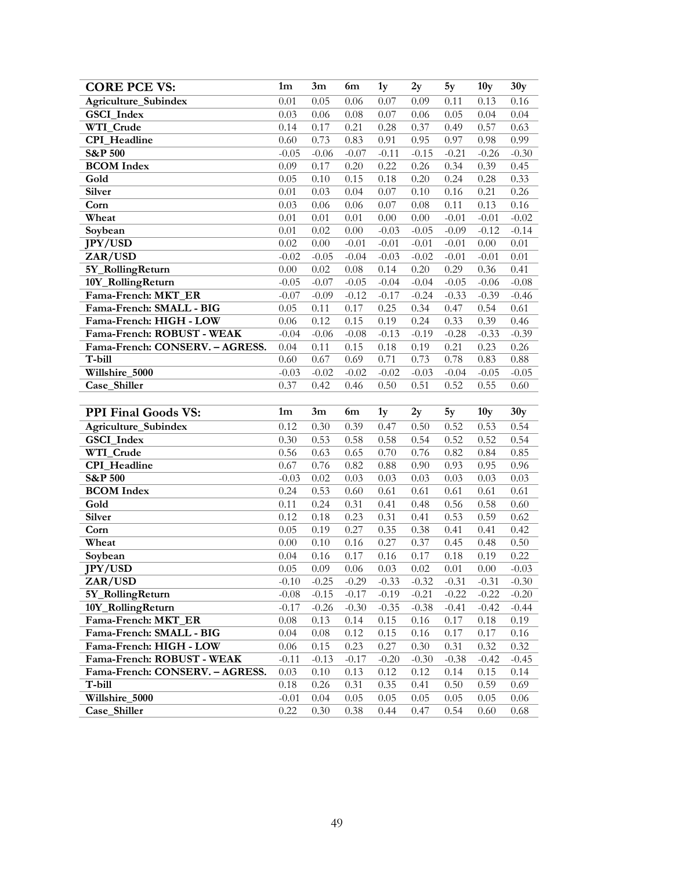| <b>CORE PCE VS:</b>             | 1m              | 3m           | 6m           | 1y           | 2y           | 5y           | 10 <sub>y</sub> | 30y          |
|---------------------------------|-----------------|--------------|--------------|--------------|--------------|--------------|-----------------|--------------|
| Agriculture_Subindex            | 0.01            | 0.05         | 0.06         | 0.07         | 0.09         | 0.11         | 0.13            | 0.16         |
| GSCI_Index                      | 0.03            | 0.06         | $0.08\,$     | 0.07         | 0.06         | 0.05         | 0.04            | 0.04         |
| WTI_Crude                       | 0.14            | 0.17         | 0.21         | 0.28         | 0.37         | 0.49         | 0.57            | 0.63         |
| <b>CPI</b> Headline             | 0.60            | 0.73         | 0.83         | 0.91         | 0.95         | 0.97         | 0.98            | 0.99         |
| <b>S&amp;P 500</b>              | $-0.05$         | $-0.06$      | $-0.07$      | $-0.11$      | $-0.15$      | $-0.21$      | $-0.26$         | $-0.30$      |
| <b>BCOM</b> Index               | 0.09            | 0.17         | 0.20         | 0.22         | 0.26         | 0.34         | 0.39            | 0.45         |
| Gold                            | 0.05            | 0.10         | 0.15         | 0.18         | 0.20         | 0.24         | 0.28            | 0.33         |
| Silver                          | 0.01            | 0.03         | 0.04         | 0.07         | 0.10         | 0.16         | 0.21            | 0.26         |
| Corn                            | 0.03            | 0.06         | 0.06         | 0.07         | 0.08         | 0.11         | 0.13            | 0.16         |
| Wheat                           | 0.01            | 0.01         | 0.01         | 0.00         | 0.00         | $-0.01$      | $-0.01$         | $-0.02$      |
| Soybean                         | 0.01            | 0.02         | 0.00         | $-0.03$      | $-0.05$      | $-0.09$      | $-0.12$         | $-0.14$      |
| <b>JPY/USD</b>                  | 0.02            | 0.00         | $-0.01$      | $-0.01$      | $-0.01$      | $-0.01$      | 0.00            | 0.01         |
| ZAR/USD                         | $-0.02$         | $-0.05$      | $-0.04$      | $-0.03$      | $-0.02$      | $-0.01$      | $-0.01$         | 0.01         |
| 5Y_RollingReturn                | 0.00            | 0.02         | $0.08\,$     | 0.14         | 0.20         | 0.29         | 0.36            | 0.41         |
| 10Y_RollingReturn               | $-0.05$         | $-0.07$      | $-0.05$      | $-0.04$      | $-0.04$      | $-0.05$      | $-0.06$         | $-0.08$      |
| Fama-French: MKT_ER             | $-0.07$         | $-0.09$      | $-0.12$      | $-0.17$      | $-0.24$      | $-0.33$      | $-0.39$         | $-0.46$      |
| Fama-French: SMALL - BIG        | 0.05            | 0.11         | 0.17         | 0.25         | 0.34         | 0.47         | 0.54            | 0.61         |
| Fama-French: HIGH - LOW         | 0.06            | 0.12         | 0.15         | 0.19         | 0.24         | 0.33         | 0.39            | 0.46         |
| Fama-French: ROBUST - WEAK      | $-0.04$         | $-0.06$      | $-0.08$      | $-0.13$      | $-0.19$      | $-0.28$      | $-0.33$         | $-0.39$      |
| Fama-French: CONSERV. - AGRESS. | 0.04            | 0.11         | 0.15         | 0.18         | 0.19         | 0.21         | 0.23            | 0.26         |
| T-bill                          | 0.60            | 0.67         | 0.69         | 0.71         | 0.73         | 0.78         | 0.83            | 0.88         |
| Willshire_5000                  | $-0.03$         | $-0.02$      | $-0.02$      | $-0.02$      | $-0.03$      | $-0.04$      | $-0.05$         | $-0.05$      |
| Case Shiller                    | 0.37            | 0.42         | 0.46         | 0.50         | 0.51         | 0.52         | 0.55            | 0.60         |
|                                 |                 |              |              |              |              |              |                 |              |
|                                 |                 |              |              |              |              |              |                 |              |
| <b>PPI Final Goods VS:</b>      | 1m              | 3m           | 6m           | 1y           | 2y           | 5y           | 10y             | 30y          |
| Agriculture_Subindex            | 0.12            | 0.30         | 0.39         | 0.47         | 0.50         | 0.52         | 0.53            | 0.54         |
| GSCI_Index                      | 0.30            | 0.53         | 0.58         | 0.58         | 0.54         | 0.52         | 0.52            | 0.54         |
| WTI_Crude                       | 0.56            | 0.63         | 0.65         | 0.70         | 0.76         | 0.82         | 0.84            | 0.85         |
| CPI_Headline                    | 0.67            | 0.76         | 0.82         | 0.88         | 0.90         | 0.93         | 0.95            | 0.96         |
| <b>S&amp;P 500</b>              | $-0.03$         | 0.02         | 0.03         | 0.03         | 0.03         | 0.03         | 0.03            | 0.03         |
| <b>BCOM</b> Index               | 0.24            | 0.53         | 0.60         | 0.61         | 0.61         | 0.61         | 0.61            | 0.61         |
| Gold                            | 0.11            | 0.24         | 0.31         | 0.41         | 0.48         | 0.56         | 0.58            | 0.60         |
| Silver                          | 0.12            | 0.18         | 0.23         | 0.31         | 0.41         | 0.53         | 0.59            | 0.62         |
| Corn                            | 0.05            | 0.19         | 0.27         | 0.35         | 0.38         | 0.41         | 0.41            | 0.42         |
| Wheat                           | 0.00            | 0.10         | 0.16         | 0.27         | 0.37         | 0.45         | 0.48            | 0.50         |
| Soybean                         | 0.04            | 0.16         | 0.17         | 0.16         | 0.17         | 0.18         | 0.19            | 0.22         |
| JPY/USD                         | 0.05            | 0.09         | 0.06         | 0.03         | 0.02         | 0.01         | 0.00            | $-0.03$      |
| ZAR/USD                         | $-0.10$         | $-0.25$      | $-0.29$      | $-0.33$      | $-0.32$      | $-0.31$      | $-0.31$         | $-0.30$      |
| 5Y_RollingReturn                | $-0.08$         | $-0.15$      | $-0.17$      | $-0.19$      | $-0.21$      | $-0.22$      | $-0.22$         | $-0.20$      |
| 10Y_RollingReturn               | $-0.17$         | $-0.26$      | $-0.30$      | $-0.35$      | $-0.38$      | $-0.41$      | $-0.42$         | $-0.44$      |
| Fama-French: MKT_ER             | 0.08            | 0.13         | 0.14         | 0.15         | 0.16         | 0.17         | 0.18            | 0.19         |
| Fama-French: SMALL - BIG        | 0.04            | 0.08         | 0.12         | 0.15         | 0.16         | 0.17         | 0.17            | 0.16         |
| Fama-French: HIGH - LOW         | 0.06            | 0.15         | 0.23         | 0.27         | 0.30         | 0.31         | 0.32            | 0.32         |
| Fama-French: ROBUST - WEAK      | $-0.11$         | $-0.13$      | $-0.17$      | $-0.20$      | $-0.30$      | $-0.38$      | $-0.42$         | $-0.45$      |
| Fama-French: CONSERV. - AGRESS. | 0.03            | 0.10         | 0.13         | 0.12         | 0.12         | 0.14         | 0.15            | 0.14         |
| T-bill                          | 0.18            | 0.26         | 0.31         | 0.35         | 0.41         | 0.50         | 0.59            | 0.69         |
| Willshire_5000<br>Case_Shiller  | $-0.01$<br>0.22 | 0.04<br>0.30 | 0.05<br>0.38 | 0.05<br>0.44 | 0.05<br>0.47 | 0.05<br>0.54 | 0.05<br>0.60    | 0.06<br>0.68 |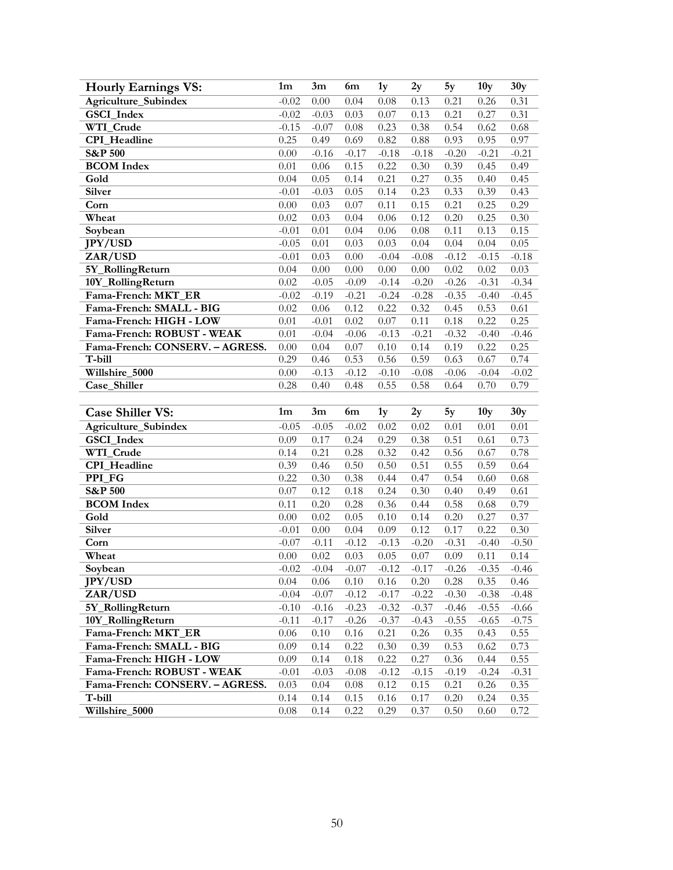| <b>Hourly Earnings VS:</b>      | 1m       | 3m       | 6m      | 1 <sub>y</sub> | 2y       | 5y      | 10 <sub>y</sub> | 30y          |
|---------------------------------|----------|----------|---------|----------------|----------|---------|-----------------|--------------|
| Agriculture_Subindex            | $-0.02$  | 0.00     | 0.04    | 0.08           | 0.13     | 0.21    | 0.26            | 0.31         |
| GSCI_Index                      | $-0.02$  | $-0.03$  | 0.03    | 0.07           | 0.13     | 0.21    | 0.27            | 0.31         |
| WTI_Crude                       | $-0.15$  | $-0.07$  | 0.08    | 0.23           | 0.38     | 0.54    | 0.62            | 0.68         |
| CPI_Headline                    | 0.25     | 0.49     | 0.69    | 0.82           | 0.88     | 0.93    | 0.95            | 0.97         |
| <b>S&amp;P 500</b>              | 0.00     | $-0.16$  | $-0.17$ | $-0.18$        | $-0.18$  | $-0.20$ | $-0.21$         | $-0.21$      |
| <b>BCOM</b> Index               | 0.01     | 0.06     | 0.15    | 0.22           | 0.30     | 0.39    | 0.45            | 0.49         |
| Gold                            | 0.04     | 0.05     | 0.14    | 0.21           | 0.27     | 0.35    | 0.40            | 0.45         |
| Silver                          | $-0.01$  | $-0.03$  | 0.05    | 0.14           | 0.23     | 0.33    | 0.39            | 0.43         |
| Corn                            | 0.00     | 0.03     | 0.07    | 0.11           | 0.15     | 0.21    | 0.25            | 0.29         |
| Wheat                           | 0.02     | 0.03     | 0.04    | 0.06           | 0.12     | 0.20    | 0.25            | 0.30         |
| Soybean                         | $-0.01$  | 0.01     | 0.04    | 0.06           | 0.08     | 0.11    | 0.13            | 0.15         |
| <b>JPY/USD</b>                  | $-0.05$  | 0.01     | 0.03    | 0.03           | 0.04     | 0.04    | 0.04            | 0.05         |
| ZAR/USD                         | $-0.01$  | 0.03     | 0.00    | $-0.04$        | $-0.08$  | $-0.12$ | $-0.15$         | $-0.18$      |
| 5Y_RollingReturn                | 0.04     | 0.00     | 0.00    | $0.00\,$       | $0.00\,$ | 0.02    | 0.02            | 0.03         |
| 10Y_RollingReturn               | 0.02     | $-0.05$  | $-0.09$ | $-0.14$        | $-0.20$  | $-0.26$ | $-0.31$         | $-0.34$      |
| Fama-French: MKT_ER             | $-0.02$  | $-0.19$  | $-0.21$ | $-0.24$        | $-0.28$  | $-0.35$ | $-0.40$         | $-0.45$      |
| Fama-French: SMALL - BIG        | 0.02     | $0.06\,$ | 0.12    | 0.22           | 0.32     | 0.45    | 0.53            | 0.61         |
| Fama-French: HIGH - LOW         | 0.01     | $-0.01$  | 0.02    | 0.07           | 0.11     | 0.18    | 0.22            | 0.25         |
| Fama-French: ROBUST - WEAK      | 0.01     | $-0.04$  | $-0.06$ | $-0.13$        | $-0.21$  | $-0.32$ | $-0.40$         | $-0.46$      |
| Fama-French: CONSERV. - AGRESS. | 0.00     | 0.04     | 0.07    | $0.10\,$       | 0.14     | 0.19    | 0.22            | 0.25         |
| T-bill                          | 0.29     | 0.46     | 0.53    | 0.56           | 0.59     | 0.63    | 0.67            | 0.74         |
| Willshire_5000                  | 0.00     | $-0.13$  | $-0.12$ | $-0.10$        | $-0.08$  | $-0.06$ | $-0.04$         | $-0.02$      |
| Case_Shiller                    | 0.28     | 0.40     | 0.48    | 0.55           | 0.58     | 0.64    | 0.70            | 0.79         |
|                                 |          |          |         |                |          |         |                 |              |
|                                 |          |          |         |                |          |         |                 |              |
| <b>Case Shiller VS:</b>         | 1m       | 3m       | 6m      | 1 <sub>y</sub> | 2y       | 5y      | 10y             | 30y          |
| Agriculture_Subindex            | $-0.05$  | $-0.05$  | $-0.02$ | 0.02           | 0.02     | 0.01    | 0.01            | 0.01         |
| GSCI_Index                      | 0.09     | 0.17     | 0.24    | 0.29           | 0.38     | 0.51    | 0.61            | 0.73         |
| WTI_Crude                       | 0.14     | 0.21     | 0.28    | 0.32           | 0.42     | 0.56    | 0.67            | 0.78         |
| CPI_Headline                    | 0.39     | 0.46     | 0.50    | 0.50           | 0.51     | 0.55    | 0.59            | 0.64         |
| PPI_FG                          | 0.22     | 0.30     | 0.38    | 0.44           | 0.47     | 0.54    | 0.60            | 0.68         |
| <b>S&amp;P 500</b>              | 0.07     | 0.12     | 0.18    | 0.24           | 0.30     | 0.40    | 0.49            | 0.61         |
| <b>BCOM</b> Index               | 0.11     | 0.20     | 0.28    | 0.36           | 0.44     | 0.58    | 0.68            | 0.79         |
| Gold                            | 0.00     | 0.02     | 0.05    | 0.10           | 0.14     | 0.20    | 0.27            | 0.37         |
| <b>Silver</b>                   | $-0.01$  | 0.00     | 0.04    | 0.09           | 0.12     | 0.17    | 0.22            | 0.30         |
| Corn                            | $-0.07$  | $-0.11$  | $-0.12$ | $-0.13$        | $-0.20$  | $-0.31$ | $-0.40$         | $-0.50$      |
| Wheat                           | $0.00\,$ | 0.02     | 0.03    | 0.05           | $0.07\,$ | 0.09    | 0.11            | 0.14         |
| Soybean                         | $-0.02$  | $-0.04$  | $-0.07$ | $-0.12$        | $-0.17$  | $-0.26$ | $-0.35$         | $-0.46$      |
| JPY/USD                         | 0.04     | 0.06     | 0.10    | 0.16           | 0.20     | 0.28    | 0.35            | 0.46         |
| ZAR/USD                         | $-0.04$  | $-0.07$  | $-0.12$ | $-0.17$        | $-0.22$  | $-0.30$ | $-0.38$         | $-0.48$      |
| 5Y_RollingReturn                | $-0.10$  | $-0.16$  | $-0.23$ | $-0.32$        | $-0.37$  | $-0.46$ | $-0.55$         | $-0.66$      |
| 10Y_RollingReturn               | $-0.11$  | $-0.17$  | $-0.26$ | $-0.37$        | $-0.43$  | $-0.55$ | $-0.65$         | $-0.75$      |
| Fama-French: MKT_ER             | 0.06     | 0.10     | 0.16    | 0.21           | 0.26     | 0.35    | 0.43            | 0.55         |
| Fama-French: SMALL - BIG        | 0.09     | 0.14     | 0.22    | 0.30           | 0.39     | 0.53    | 0.62            | 0.73         |
| Fama-French: HIGH - LOW         | 0.09     | 0.14     | 0.18    | 0.22           | 0.27     | 0.36    | 0.44            | 0.55         |
| Fama-French: ROBUST - WEAK      | $-0.01$  | $-0.03$  | $-0.08$ | $-0.12$        | $-0.15$  | $-0.19$ | $-0.24$         | $-0.31$      |
| Fama-French: CONSERV. - AGRESS. | 0.03     | 0.04     | 0.08    | 0.12           | 0.15     | 0.21    | 0.26            | 0.35         |
| T-bill<br>Willshire_5000        | 0.14     | 0.14     | 0.15    | 0.16<br>0.29   | 0.17     | 0.20    | 0.24            | 0.35<br>0.72 |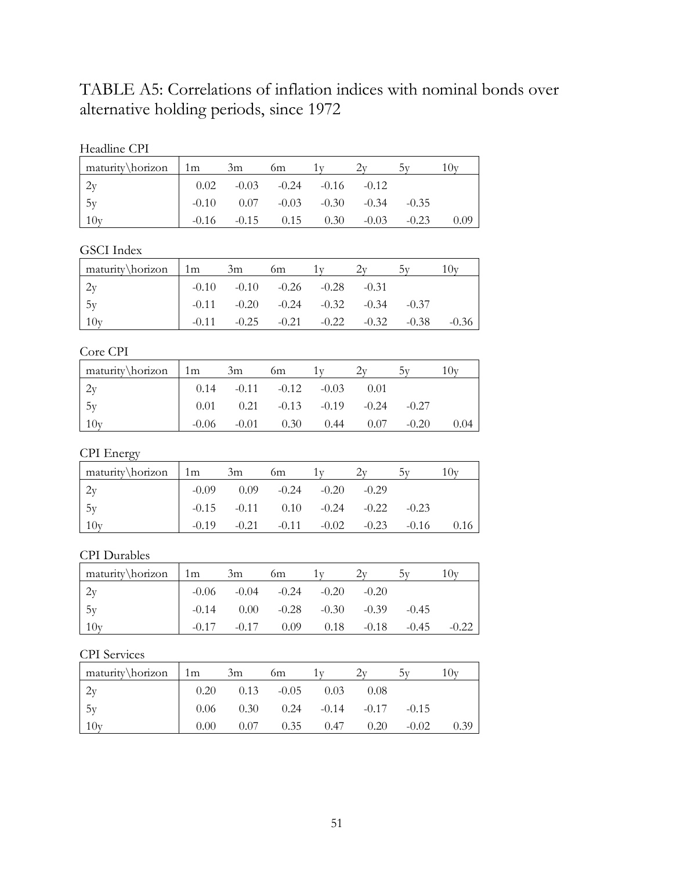# TABLE A5: Correlations of inflation indices with nominal bonds over alternative holding periods, since 1972

| Headline CPI |
|--------------|
|--------------|

| maturity\horizon 1m                     | 3m | <sub>0</sub> m                         |                                               |         | 10v  |
|-----------------------------------------|----|----------------------------------------|-----------------------------------------------|---------|------|
|                                         |    | $0.02$ $-0.03$ $-0.24$ $-0.16$ $-0.12$ |                                               |         |      |
| $\begin{array}{c} 2y \\ 5y \end{array}$ |    | $-0.10$ $0.07$ $-0.03$ $-0.30$ $-0.34$ |                                               | $-0.35$ |      |
| 10y                                     |    |                                        | $-0.16$ $-0.15$ $0.15$ $0.30$ $-0.03$ $-0.23$ |         | 0.09 |

## GSCI Index

| $\frac{matrix\hbar zon}{1m}$ | 3m                                              | 6m |  |         | (0 <sub>V</sub> ) |
|------------------------------|-------------------------------------------------|----|--|---------|-------------------|
| 2v                           | $-0.10$ $-0.10$ $-0.26$ $-0.28$ $-0.31$         |    |  |         |                   |
| 5v                           | $-0.11$ $-0.20$ $-0.24$ $-0.32$ $-0.34$ $-0.37$ |    |  |         |                   |
| 10y                          | $-0.11$ $-0.25$ $-0.21$ $-0.22$ $-0.32$         |    |  | $-0.38$ | $-0.36$           |

## Core CPI

| maturity\horizon 1m |         | 3m      | 6m                                            |                   |      |         | 10v  |
|---------------------|---------|---------|-----------------------------------------------|-------------------|------|---------|------|
|                     |         |         | $0.14$ $-0.11$ $-0.12$ $-0.03$                |                   | 0.01 |         |      |
| 5y                  |         |         | $0.01$ $0.21$ $-0.13$ $-0.19$ $-0.24$ $-0.27$ |                   |      |         |      |
| $-10r$              | $-0.06$ | $-0.01$ |                                               | $0.30\qquad 0.44$ | 0.07 | $-0.20$ | 0.04 |

## CPI Energy

| $\text{matrix} \hbox{horizon}$ 1m 3m |                                                 | <sub>0</sub> m |  |  |
|--------------------------------------|-------------------------------------------------|----------------|--|--|
|                                      | $-0.09$ $0.09$ $-0.24$ $-0.20$ $-0.29$          |                |  |  |
| 15v                                  | $-0.15$ $-0.11$ $0.10$ $-0.24$ $-0.22$ $-0.23$  |                |  |  |
| 10 <sub>v</sub>                      | $-0.19$ $-0.21$ $-0.11$ $-0.02$ $-0.23$ $-0.16$ |                |  |  |

#### CPI Durables

| maturity\horizon 1m | 3m | 6m                                     |         |         | $U_{\text{N}}$ |
|---------------------|----|----------------------------------------|---------|---------|----------------|
| 2y                  |    | $-0.06$ $-0.04$ $-0.24$ $-0.20$        | $-0.20$ |         |                |
| 1.5v                |    | $-0.14$ $0.00$ $-0.28$ $-0.30$ $-0.39$ |         | $-0.45$ |                |
| 10v                 |    | $-0.17$ $-0.17$ $0.09$ $0.18$ $-0.18$  |         | $-0.45$ |                |

## CPI Services

| maturity\horizon | $1 \text{ m}$ | 3m                                           | 6m                   |             |      |         |      |
|------------------|---------------|----------------------------------------------|----------------------|-------------|------|---------|------|
|                  | 0.20          |                                              | $0.13 - 0.05$ $0.03$ |             | 0.08 |         |      |
| 1.5v             |               | $0.06$ $0.30$ $0.24$ $-0.14$ $-0.17$ $-0.15$ |                      |             |      |         |      |
| 10y              | 0.00          | 0.07                                         |                      | $0.35$ 0.47 | 0.20 | $-0.02$ | 0.39 |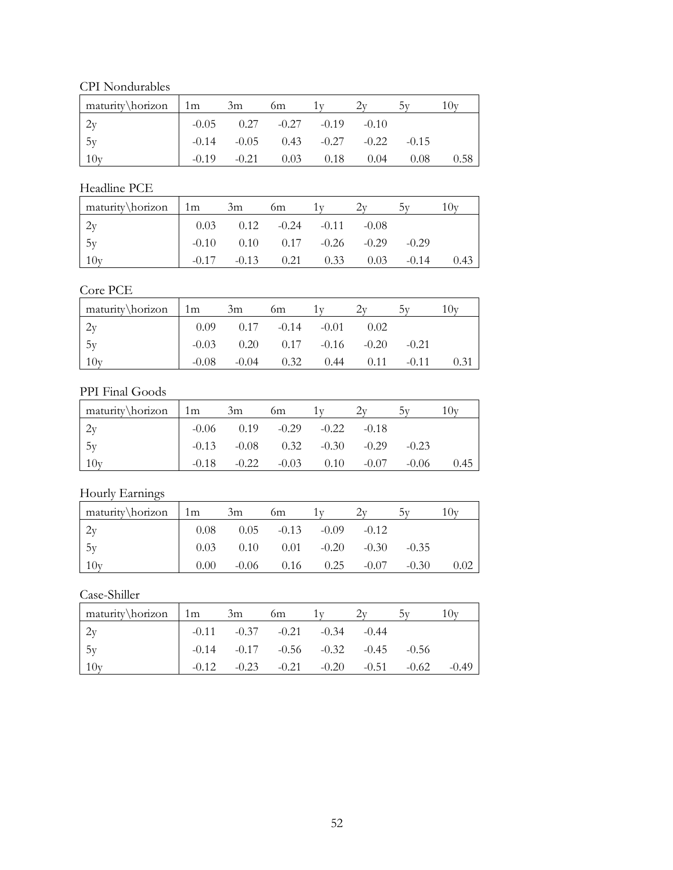CPI Nondurables

| maturity\horizon | 1m      | 3m      | <sub>0m</sub>                          |      |         |         | 10v  |
|------------------|---------|---------|----------------------------------------|------|---------|---------|------|
| 2y               |         |         | $-0.05$ 0.27 $-0.27$ $-0.19$           |      | $-0.10$ |         |      |
| 1.5y             |         |         | $-0.14$ $-0.05$ $0.43$ $-0.27$ $-0.22$ |      |         | $-0.15$ |      |
| 10v              | $-0.19$ | $-0.21$ | 0.03                                   | 0.18 | 0.04    | 0.08    | 0.58 |

## Headline PCE

| maturity\horizon | 1m | 3m | 6m                                    |      |      |         | Ux   |
|------------------|----|----|---------------------------------------|------|------|---------|------|
| 2y               |    |    | $0.03$ $0.12$ $-0.24$ $-0.11$ $-0.08$ |      |      |         |      |
| 5y               |    |    | $-0.10$ $0.10$ $0.17$ $-0.26$ $-0.29$ |      |      | $-0.29$ |      |
| 10v              |    |    | $-0.17$ $-0.13$ $0.21$                | 0.33 | 0.03 | $-0.14$ | 0.43 |

## Core PCE

| maturity\horizon | 1m      | 3m                                    | 6m   |      |      |         | (x)  |
|------------------|---------|---------------------------------------|------|------|------|---------|------|
|                  |         | $0.09$ $0.17$ $-0.14$ $-0.01$         |      |      | 0.02 |         |      |
| 5y               |         | $-0.03$ $0.20$ $0.17$ $-0.16$ $-0.20$ |      |      |      | $-0.21$ |      |
| 10 <sub>y</sub>  | $-0.08$ | $-0.04$                               | 0.32 | 0.44 | 0.11 | $-0.11$ | 0.31 |

## PPI Final Goods

| maturity\horizon 1m |         | 3m                                     | 6m      |      |         |         |      |
|---------------------|---------|----------------------------------------|---------|------|---------|---------|------|
|                     |         | $-0.06$ $0.19$ $-0.29$ $-0.22$ $-0.18$ |         |      |         |         |      |
| 5y                  |         | $-0.13$ $-0.08$ $0.32$ $-0.30$ $-0.29$ |         |      |         | $-0.23$ |      |
| 10y                 | $-0.18$ | $-0.22$                                | $-0.03$ | 0.10 | $-0.07$ | $-0.06$ | 0.45 |

## Hourly Earnings

| maturity\horizon | 1 <sub>m</sub> | 3m      | 6m                    |      | 2v      |         | $($ $\mathbf{v}$ |
|------------------|----------------|---------|-----------------------|------|---------|---------|------------------|
| 2y               | 0.08           |         | $0.05 -0.13 -0.09$    |      | $-0.12$ |         |                  |
| 1.5y             | 0.03           |         | $0.10$ $0.01$ $-0.20$ |      | $-0.30$ | $-0.35$ |                  |
| 10 <sub>V</sub>  | 0.00           | $-0.06$ | 0.16                  | 0.25 | $-0.07$ | $-0.30$ |                  |

## Case-Shiller

| $\text{matrix} \hbox{horizon}$ 1m | 3m                      | 6m      |                                         |         |         | U       |
|-----------------------------------|-------------------------|---------|-----------------------------------------|---------|---------|---------|
| 2y                                | $-0.11$ $-0.37$ $-0.21$ |         | $-0.34$                                 | $-0.44$ |         |         |
| 1.5v                              |                         |         | $-0.14$ $-0.17$ $-0.56$ $-0.32$ $-0.45$ |         | $-0.56$ |         |
| 10 <sub>v</sub>                   | $-0.23$                 | $-0.21$ | $-0.20$                                 | $-0.51$ | $-0.62$ | $-0.49$ |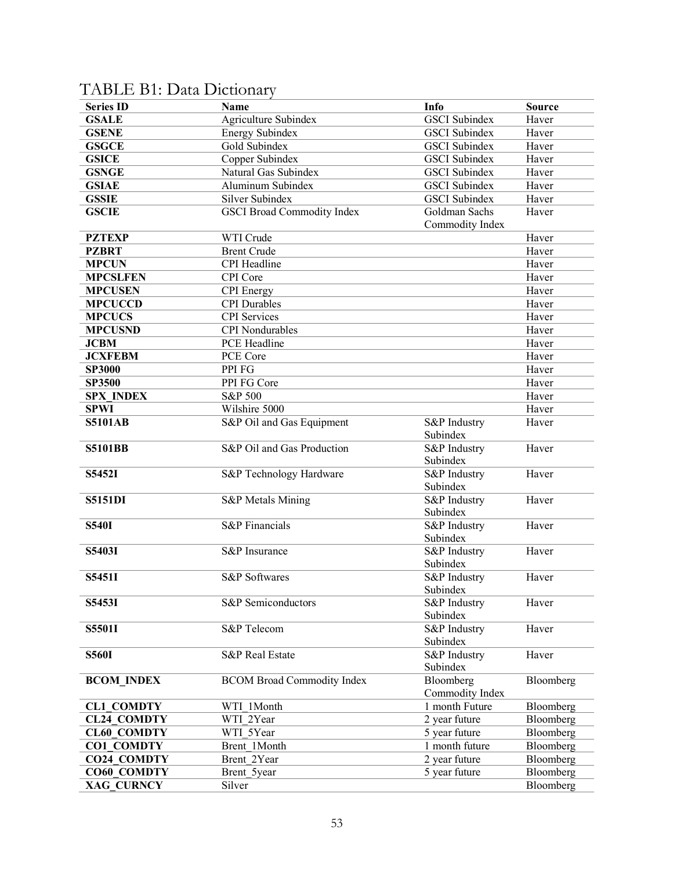| <b>Series ID</b>   | Name                              | Info                     | <b>Source</b> |
|--------------------|-----------------------------------|--------------------------|---------------|
| <b>GSALE</b>       | Agriculture Subindex              | <b>GSCI</b> Subindex     | Haver         |
| <b>GSENE</b>       | <b>Energy Subindex</b>            | <b>GSCI</b> Subindex     | Haver         |
| <b>GSGCE</b>       | Gold Subindex                     | <b>GSCI</b> Subindex     | Haver         |
| <b>GSICE</b>       | Copper Subindex                   | <b>GSCI</b> Subindex     | Haver         |
| <b>GSNGE</b>       | Natural Gas Subindex              | <b>GSCI</b> Subindex     | Haver         |
| <b>GSIAE</b>       | Aluminum Subindex                 | <b>GSCI</b> Subindex     | Haver         |
| <b>GSSIE</b>       | Silver Subindex                   | <b>GSCI</b> Subindex     | Haver         |
| <b>GSCIE</b>       | <b>GSCI Broad Commodity Index</b> | Goldman Sachs            | Haver         |
|                    |                                   | Commodity Index          |               |
| <b>PZTEXP</b>      | WTI Crude                         |                          | Haver         |
| <b>PZBRT</b>       | <b>Brent Crude</b>                |                          | Haver         |
| <b>MPCUN</b>       | CPI Headline                      |                          | Haver         |
| <b>MPCSLFEN</b>    | CPI Core                          |                          | Haver         |
| <b>MPCUSEN</b>     | <b>CPI</b> Energy                 |                          | Haver         |
| <b>MPCUCCD</b>     | <b>CPI</b> Durables               |                          | Haver         |
| <b>MPCUCS</b>      | <b>CPI</b> Services               |                          | Haver         |
| <b>MPCUSND</b>     | <b>CPI</b> Nondurables            |                          | Haver         |
| <b>JCBM</b>        | PCE Headline                      |                          | Haver         |
| <b>JCXFEBM</b>     | PCE Core                          |                          | Haver         |
| <b>SP3000</b>      | PPI FG                            |                          | Haver         |
| <b>SP3500</b>      | PPI FG Core                       |                          | Haver         |
| <b>SPX INDEX</b>   | <b>S&amp;P 500</b>                |                          | Haver         |
| <b>SPWI</b>        | Wilshire 5000                     |                          | Haver         |
| <b>S5101AB</b>     |                                   |                          | Haver         |
|                    | S&P Oil and Gas Equipment         | S&P Industry<br>Subindex |               |
| <b>S5101BB</b>     | S&P Oil and Gas Production        | S&P Industry             | Haver         |
|                    |                                   | Subindex                 |               |
| S5452I             | S&P Technology Hardware           | S&P Industry             | Haver         |
|                    |                                   | Subindex                 |               |
| <b>S5151DI</b>     | S&P Metals Mining                 | S&P Industry             | Haver         |
|                    |                                   | Subindex                 |               |
| <b>S540I</b>       | <b>S&amp;P</b> Financials         | S&P Industry             | Haver         |
|                    |                                   | Subindex                 |               |
| S5403I             | S&P Insurance                     | S&P Industry             | Haver         |
|                    |                                   | Subindex                 |               |
| S5451I             | <b>S&amp;P</b> Softwares          | S&P Industry             | Haver         |
|                    |                                   | Subindex                 |               |
| S5453I             | S&P Semiconductors                | S&P Industry             | Haver         |
|                    |                                   | Subindex                 |               |
| S5501I             | <b>S&amp;P</b> Telecom            | S&P Industry             | Haver         |
|                    |                                   | Subindex                 |               |
| <b>S560I</b>       | <b>S&amp;P</b> Real Estate        | S&P Industry             | Haver         |
|                    |                                   | Subindex                 |               |
| <b>BCOM INDEX</b>  | <b>BCOM Broad Commodity Index</b> | Bloomberg                | Bloomberg     |
|                    |                                   | Commodity Index          |               |
| <b>CL1 COMDTY</b>  | WTI 1Month                        | 1 month Future           | Bloomberg     |
| <b>CL24 COMDTY</b> | WTI 2Year                         | 2 year future            | Bloomberg     |
| <b>CL60 COMDTY</b> | WTI 5Year                         | 5 year future            | Bloomberg     |
| <b>CO1 COMDTY</b>  | Brent 1Month                      | 1 month future           | Bloomberg     |
| <b>CO24 COMDTY</b> | Brent 2Year                       | 2 year future            | Bloomberg     |
| CO60 COMDTY        | Brent 5year                       | 5 year future            | Bloomberg     |
| XAG CURNCY         | Silver                            |                          | Bloomberg     |

# TABLE B1: Data Dictionary